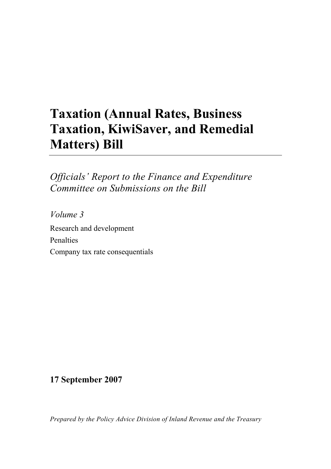# **Taxation (Annual Rates, Business Taxation, KiwiSaver, and Remedial Matters) Bill**

*Officials' Report to the Finance and Expenditure Committee on Submissions on the Bill* 

*Volume 3*  Research and development Penalties Company tax rate consequentials

**17 September 2007** 

*Prepared by the Policy Advice Division of Inland Revenue and the Treasury*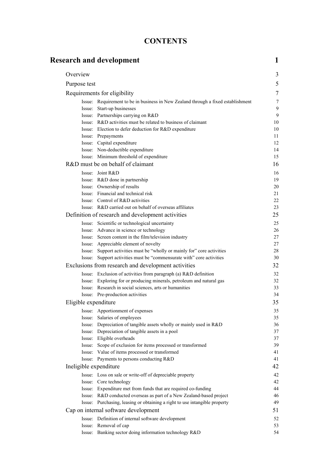| <b>CONTENTS</b> |
|-----------------|
|-----------------|

|                        | <b>Research and development</b>                                                                                         | 1        |
|------------------------|-------------------------------------------------------------------------------------------------------------------------|----------|
| Overview               |                                                                                                                         | 3        |
| Purpose test           |                                                                                                                         | 5        |
|                        | Requirements for eligibility                                                                                            | 7        |
|                        | Issue: Requirement to be in business in New Zealand through a fixed establishment                                       | 7        |
|                        | Issue: Start-up businesses                                                                                              | 9        |
|                        | Issue: Partnerships carrying on R&D                                                                                     | 9        |
|                        | Issue: R&D activities must be related to business of claimant                                                           | 10       |
|                        | Issue: Election to defer deduction for R&D expenditure                                                                  | 10       |
|                        | Issue: Prepayments                                                                                                      | 11       |
|                        | Issue: Capital expenditure                                                                                              | 12       |
|                        | Issue: Non-deductible expenditure                                                                                       | 14       |
|                        | Issue: Minimum threshold of expenditure                                                                                 | 15       |
|                        | R&D must be on behalf of claimant                                                                                       | 16       |
|                        | Issue: Joint R&D                                                                                                        | 16       |
|                        | Issue: R&D done in partnership                                                                                          | 19       |
|                        | Issue: Ownership of results                                                                                             | 20       |
|                        | Issue: Financial and technical risk                                                                                     | 21       |
|                        | Issue: Control of R&D activities                                                                                        | 22       |
|                        | Issue: R&D carried out on behalf of overseas affiliates                                                                 | 23       |
|                        | Definition of research and development activities                                                                       | 25       |
|                        | Issue: Scientific or technological uncertainty                                                                          | 25       |
|                        | Issue: Advance in science or technology                                                                                 | 26       |
|                        | Issue: Screen content in the film/television industry                                                                   | 27       |
|                        | Issue: Appreciable element of novelty                                                                                   | 27       |
|                        | Issue: Support activities must be "wholly or mainly for" core activities                                                | 28       |
|                        | Issue: Support activities must be "commensurate with" core activities                                                   | 30       |
|                        | Exclusions from research and development activities                                                                     | 32       |
|                        | Issue: Exclusion of activities from paragraph (a) R&D definition                                                        | 32       |
|                        | Issue: Exploring for or producing minerals, petroleum and natural gas                                                   | 32       |
|                        | Issue: Research in social sciences, arts or humanities                                                                  | 33<br>34 |
|                        | Issue: Pre-production activities                                                                                        |          |
| Eligible expenditure   |                                                                                                                         | 35       |
|                        | Issue: Apportionment of expenses                                                                                        | 35       |
|                        | Issue: Salaries of employees                                                                                            | 35       |
|                        | Issue: Depreciation of tangible assets wholly or mainly used in R&D<br>Issue: Depreciation of tangible assets in a pool | 36<br>37 |
|                        | Issue: Eligible overheads                                                                                               | 37       |
|                        | Issue: Scope of exclusion for items processed or transformed                                                            | 39       |
|                        | Issue: Value of items processed or transformed                                                                          | 41       |
|                        | Issue: Payments to persons conducting R&D                                                                               | 41       |
| Ineligible expenditure |                                                                                                                         | 42       |
|                        | Issue: Loss on sale or write-off of depreciable property                                                                | 42       |
|                        | Issue: Core technology                                                                                                  | 42       |
|                        | Issue: Expenditure met from funds that are required co-funding                                                          | 44       |
|                        | Issue: R&D conducted overseas as part of a New Zealand-based project                                                    | 46       |
|                        | Issue: Purchasing, leasing or obtaining a right to use intangible property                                              | 49       |
|                        | Cap on internal software development                                                                                    | 51       |
|                        | Issue: Definition of internal software development                                                                      | 52       |
|                        | Issue: Removal of cap                                                                                                   | 53       |
|                        | Issue: Banking sector doing information technology R&D                                                                  | 54       |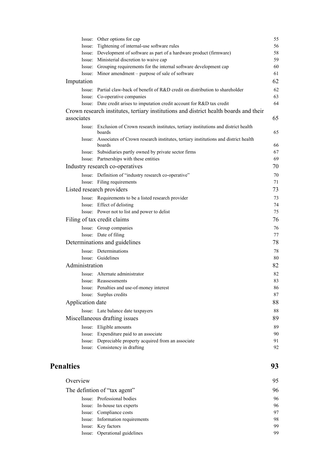|                  | Issue: Other options for cap                                                                        | 55 |
|------------------|-----------------------------------------------------------------------------------------------------|----|
|                  | Issue: Tightening of internal-use software rules                                                    | 56 |
|                  | Issue: Development of software as part of a hardware product (firmware)                             | 58 |
|                  | Issue: Ministerial discretion to waive cap                                                          | 59 |
|                  | Issue: Grouping requirements for the internal software development cap                              | 60 |
|                  | Issue: Minor amendment – purpose of sale of software                                                | 61 |
| Imputation       |                                                                                                     | 62 |
|                  | Issue: Partial claw-back of benefit of R&D credit on distribution to shareholder                    | 62 |
|                  | Issue: Co-operative companies                                                                       | 63 |
|                  | Issue: Date credit arises to imputation credit account for R&D tax credit                           | 64 |
|                  | Crown research institutes, tertiary institutions and district health boards and their               |    |
| associates       |                                                                                                     | 65 |
|                  | Issue: Exclusion of Crown research institutes, tertiary institutions and district health<br>boards  | 65 |
|                  | Issue: Associates of Crown research institutes, tertiary institutions and district health<br>boards | 66 |
|                  | Issue: Subsidiaries partly owned by private sector firms                                            | 67 |
|                  | Issue: Partnerships with these entities                                                             | 69 |
|                  | Industry research co-operatives                                                                     | 70 |
|                  | Issue: Definition of "industry research co-operative"                                               | 70 |
|                  | Issue: Filing requirements                                                                          | 71 |
|                  | Listed research providers                                                                           | 73 |
|                  | Issue: Requirements to be a listed research provider                                                | 73 |
|                  | Issue: Effect of delisting                                                                          | 74 |
|                  | Issue: Power not to list and power to delist                                                        | 75 |
|                  | Filing of tax credit claims                                                                         | 76 |
|                  | Issue: Group companies                                                                              | 76 |
|                  | Issue: Date of filing                                                                               | 77 |
|                  | Determinations and guidelines                                                                       | 78 |
|                  | Issue: Determinations                                                                               | 78 |
|                  | Issue: Guidelines                                                                                   | 80 |
| Administration   |                                                                                                     | 82 |
|                  | Issue: Alternate administrator                                                                      | 82 |
|                  | Issue: Reassessments                                                                                | 83 |
|                  | Issue: Penalties and use-of-money interest                                                          | 86 |
|                  | Issue: Surplus credits                                                                              | 87 |
| Application date |                                                                                                     | 88 |
|                  | Issue: Late balance date taxpayers                                                                  | 88 |
|                  | Miscellaneous drafting issues                                                                       | 89 |
|                  | Issue: Eligible amounts                                                                             | 89 |
|                  | Issue: Expenditure paid to an associate                                                             | 90 |
|                  | Issue: Depreciable property acquired from an associate                                              | 91 |
|                  | Issue: Consistency in drafting                                                                      | 92 |
|                  |                                                                                                     |    |

# **Penalties** 93

| Overview |                                 | 95 |
|----------|---------------------------------|----|
|          | The defintion of "tax agent"    | 96 |
|          | Issue: Professional bodies      | 96 |
|          | Issue: In-house tax experts     | 96 |
|          | Issue: Compliance costs         | 97 |
|          | Issue: Information requirements | 98 |
|          | Issue: Key factors              | 99 |
|          | Issue: Operational guidelines   | 99 |
|          |                                 |    |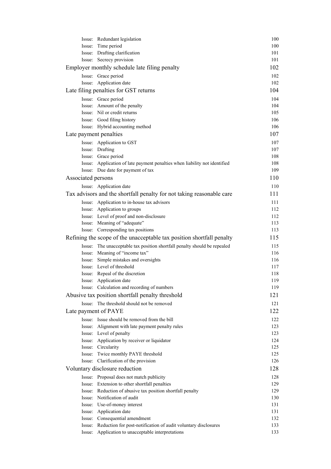|                        | Issue: Redundant legislation                                               | 100 |
|------------------------|----------------------------------------------------------------------------|-----|
|                        | Issue: Time period                                                         | 100 |
|                        | Issue: Drafting clarification                                              | 101 |
|                        | Issue: Secrecy provision                                                   | 101 |
|                        | Employer monthly schedule late filing penalty                              | 102 |
|                        | Issue: Grace period                                                        | 102 |
|                        | Issue: Application date                                                    | 102 |
|                        | Late filing penalties for GST returns                                      | 104 |
|                        | Issue: Grace period                                                        | 104 |
|                        | Issue: Amount of the penalty                                               | 104 |
|                        | Issue: Nil or credit returns                                               | 105 |
|                        | Issue: Good filing history                                                 | 106 |
|                        | Issue: Hybrid accounting method                                            | 106 |
| Late payment penalties |                                                                            | 107 |
|                        | Issue: Application to GST                                                  | 107 |
|                        | Issue: Drafting                                                            | 107 |
|                        | Issue: Grace period                                                        | 108 |
|                        | Issue: Application of late payment penalties when liability not identified | 108 |
|                        | Issue: Due date for payment of tax                                         | 109 |
| Associated persons     |                                                                            | 110 |
|                        | Issue: Application date                                                    | 110 |
|                        | Tax advisors and the shortfall penalty for not taking reasonable care      | 111 |
|                        | Issue: Application to in-house tax advisors                                | 111 |
|                        | Issue: Application to groups                                               | 112 |
|                        | Issue: Level of proof and non-disclosure                                   | 112 |
|                        | Issue: Meaning of "adequate"                                               | 113 |
|                        | Issue: Corresponding tax positions                                         | 113 |
|                        | Refining the scope of the unacceptable tax position shortfall penalty      | 115 |
|                        | Issue: The unacceptable tax position shortfall penalty should be repealed  | 115 |
|                        | Issue: Meaning of "income tax"                                             | 116 |
|                        | Issue: Simple mistakes and oversights                                      | 116 |
|                        | Issue: Level of threshold                                                  | 117 |
|                        | Issue: Repeal of the discretion                                            | 118 |
|                        | Issue: Application date                                                    | 119 |
|                        | Issue: Calculation and recording of numbers                                | 119 |
|                        | Abusive tax position shortfall penalty threshold                           | 121 |
|                        | Issue: The threshold should not be removed                                 | 121 |
| Late payment of PAYE   |                                                                            | 122 |
|                        | Issue: Issue should be removed from the bill                               | 122 |
|                        | Issue: Alignment with late payment penalty rules                           | 123 |
|                        | Issue: Level of penalty                                                    | 123 |
|                        | Issue: Application by receiver or liquidator                               | 124 |
|                        | Issue: Circularity                                                         | 125 |
|                        | Issue: Twice monthly PAYE threshold                                        | 125 |
|                        | Issue: Clarification of the provision                                      | 126 |
|                        | Voluntary disclosure reduction                                             | 128 |
|                        | Issue: Proposal does not match publicity                                   | 128 |
|                        | Issue: Extension to other shortfall penalties                              | 129 |
|                        | Issue: Reduction of abusive tax position shortfall penalty                 | 129 |
|                        | Issue: Notification of audit                                               | 130 |
|                        | Issue: Use-of-money interest                                               | 131 |
|                        | Issue: Application date                                                    | 131 |
|                        | Issue: Consequential amendment                                             | 132 |
|                        | Issue: Reduction for post-notification of audit voluntary disclosures      | 133 |
|                        | Issue: Application to unacceptable interpretations                         | 133 |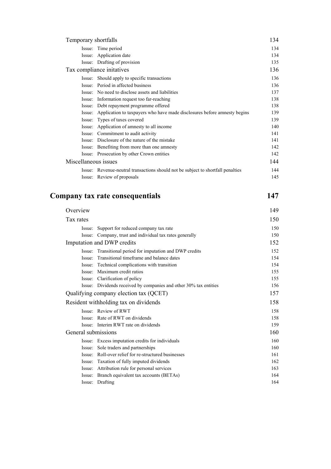| Temporary shortfalls      |                                                                                  | 134 |
|---------------------------|----------------------------------------------------------------------------------|-----|
|                           | Issue: Time period                                                               | 134 |
|                           | Issue: Application date                                                          | 134 |
|                           | Issue: Drafting of provision                                                     | 135 |
| Tax compliance initatives |                                                                                  | 136 |
|                           | Issue: Should apply to specific transactions                                     | 136 |
|                           | Issue: Period in affected business                                               | 136 |
|                           | Issue: No need to disclose assets and liabilities                                | 137 |
|                           | Issue: Information request too far-reaching                                      | 138 |
|                           | Issue: Debt repayment programme offered                                          | 138 |
| Issue:                    | Application to taxpayers who have made disclosures before amnesty begins         | 139 |
| Issue:                    | Types of taxes covered                                                           | 139 |
| Issue:                    | Application of amnesty to all income                                             | 140 |
|                           | Issue: Commitment to audit activity                                              | 141 |
|                           | Issue: Disclosure of the nature of the mistake                                   | 141 |
|                           | Issue: Benefiting from more than one amnesty                                     | 142 |
|                           | Issue: Prosecution by other Crown entities                                       | 142 |
| Miscellaneous issues      |                                                                                  | 144 |
|                           | Issue: Revenue-neutral transactions should not be subject to shortfall penalties | 144 |
|                           | Issue: Review of proposals                                                       | 145 |

# **Company tax rate consequentials** 147

| Overview                   |                                                                   | 149 |
|----------------------------|-------------------------------------------------------------------|-----|
| Tax rates                  |                                                                   | 150 |
|                            | Issue: Support for reduced company tax rate                       | 150 |
|                            | Issue: Company, trust and individual tax rates generally          | 150 |
| Imputation and DWP credits |                                                                   | 152 |
|                            | Issue: Transitional period for imputation and DWP credits         | 152 |
| Issue:                     | Transitional timeframe and balance dates                          | 154 |
| Issue:                     | Technical complications with transition                           | 154 |
|                            | Issue: Maximum credit ratios                                      | 155 |
|                            | Issue: Clarification of policy                                    | 155 |
|                            | Issue: Dividends received by companies and other 30% tax entities | 156 |
|                            | Qualifying company election tax (QCET)                            | 157 |
|                            | Resident withholding tax on dividends                             | 158 |
|                            | Issue: Review of RWT                                              | 158 |
|                            | Issue: Rate of RWT on dividends                                   | 158 |
|                            | Issue: Interim RWT rate on dividends                              | 159 |
| General submissions        |                                                                   | 160 |
|                            | Issue: Excess imputation credits for individuals                  | 160 |
|                            | Issue: Sole traders and partnerships                              | 160 |
|                            | Issue: Roll-over relief for re-structured businesses              | 161 |
|                            | Issue: Taxation of fully imputed dividends                        | 162 |
|                            | Issue: Attribution rule for personal services                     | 163 |
| Issue:                     | Branch equivalent tax accounts (BETAs)                            | 164 |
|                            | Issue: Drafting                                                   | 164 |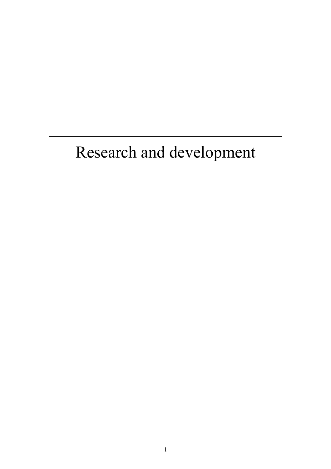# Research and development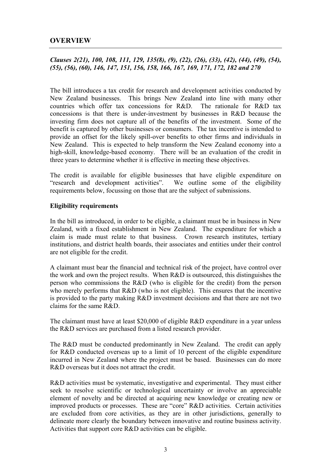# **OVERVIEW**

# *Clauses 2(21), 100, 108, 111, 129, 135(8), (9), (22), (26), (33), (42), (44), (49), (54), (55), (56), (60), 146, 147, 151, 156, 158, 166, 167, 169, 171, 172, 182 and 270*

The bill introduces a tax credit for research and development activities conducted by New Zealand businesses. This brings New Zealand into line with many other countries which offer tax concessions for R&D. The rationale for R&D tax concessions is that there is under-investment by businesses in R&D because the investing firm does not capture all of the benefits of the investment. Some of the benefit is captured by other businesses or consumers. The tax incentive is intended to provide an offset for the likely spill-over benefits to other firms and individuals in New Zealand. This is expected to help transform the New Zealand economy into a high-skill, knowledge-based economy. There will be an evaluation of the credit in three years to determine whether it is effective in meeting these objectives.

The credit is available for eligible businesses that have eligible expenditure on "research and development activities". We outline some of the eligibility requirements below, focussing on those that are the subject of submissions.

# **Eligibility requirements**

In the bill as introduced, in order to be eligible, a claimant must be in business in New Zealand, with a fixed establishment in New Zealand. The expenditure for which a claim is made must relate to that business. Crown research institutes, tertiary institutions, and district health boards, their associates and entities under their control are not eligible for the credit.

A claimant must bear the financial and technical risk of the project, have control over the work and own the project results. When R&D is outsourced, this distinguishes the person who commissions the R&D (who is eligible for the credit) from the person who merely performs that R&D (who is not eligible). This ensures that the incentive is provided to the party making R&D investment decisions and that there are not two claims for the same R&D.

The claimant must have at least \$20,000 of eligible R&D expenditure in a year unless the R&D services are purchased from a listed research provider.

The R&D must be conducted predominantly in New Zealand. The credit can apply for R&D conducted overseas up to a limit of 10 percent of the eligible expenditure incurred in New Zealand where the project must be based. Businesses can do more R&D overseas but it does not attract the credit.

R&D activities must be systematic, investigative and experimental. They must either seek to resolve scientific or technological uncertainty or involve an appreciable element of novelty and be directed at acquiring new knowledge or creating new or improved products or processes. These are "core" R&D activities. Certain activities are excluded from core activities, as they are in other jurisdictions, generally to delineate more clearly the boundary between innovative and routine business activity. Activities that support core R&D activities can be eligible.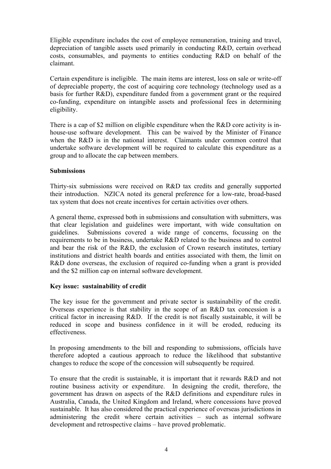Eligible expenditure includes the cost of employee remuneration, training and travel, depreciation of tangible assets used primarily in conducting R&D, certain overhead costs, consumables, and payments to entities conducting R&D on behalf of the claimant.

Certain expenditure is ineligible. The main items are interest, loss on sale or write-off of depreciable property, the cost of acquiring core technology (technology used as a basis for further R&D), expenditure funded from a government grant or the required co-funding, expenditure on intangible assets and professional fees in determining eligibility.

There is a cap of \$2 million on eligible expenditure when the R&D core activity is inhouse-use software development. This can be waived by the Minister of Finance when the R&D is in the national interest. Claimants under common control that undertake software development will be required to calculate this expenditure as a group and to allocate the cap between members.

# **Submissions**

Thirty-six submissions were received on R&D tax credits and generally supported their introduction. NZICA noted its general preference for a low-rate, broad-based tax system that does not create incentives for certain activities over others.

A general theme, expressed both in submissions and consultation with submitters, was that clear legislation and guidelines were important, with wide consultation on guidelines. Submissions covered a wide range of concerns, focussing on the requirements to be in business, undertake R&D related to the business and to control and bear the risk of the R&D, the exclusion of Crown research institutes, tertiary institutions and district health boards and entities associated with them, the limit on R&D done overseas, the exclusion of required co-funding when a grant is provided and the \$2 million cap on internal software development.

# **Key issue: sustainability of credit**

The key issue for the government and private sector is sustainability of the credit. Overseas experience is that stability in the scope of an R&D tax concession is a critical factor in increasing R&D. If the credit is not fiscally sustainable, it will be reduced in scope and business confidence in it will be eroded, reducing its effectiveness.

In proposing amendments to the bill and responding to submissions, officials have therefore adopted a cautious approach to reduce the likelihood that substantive changes to reduce the scope of the concession will subsequently be required.

To ensure that the credit is sustainable, it is important that it rewards R&D and not routine business activity or expenditure. In designing the credit, therefore, the government has drawn on aspects of the R&D definitions and expenditure rules in Australia, Canada, the United Kingdom and Ireland, where concessions have proved sustainable. It has also considered the practical experience of overseas jurisdictions in administering the credit where certain activities – such as internal software development and retrospective claims – have proved problematic.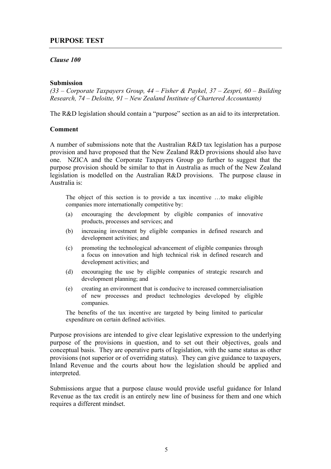# **PURPOSE TEST**

# *Clause 100*

# **Submission**

*(33 – Corporate Taxpayers Group, 44 – Fisher & Paykel, 37 – Zespri, 60 – Building Research, 74 – Deloitte, 91 – New Zealand Institute of Chartered Accountants)* 

The R&D legislation should contain a "purpose" section as an aid to its interpretation.

#### **Comment**

A number of submissions note that the Australian R&D tax legislation has a purpose provision and have proposed that the New Zealand R&D provisions should also have one. NZICA and the Corporate Taxpayers Group go further to suggest that the purpose provision should be similar to that in Australia as much of the New Zealand legislation is modelled on the Australian R&D provisions. The purpose clause in Australia is:

The object of this section is to provide a tax incentive …to make eligible companies more internationally competitive by:

- (a) encouraging the development by eligible companies of innovative products, processes and services; and
- (b) increasing investment by eligible companies in defined research and development activities; and
- (c) promoting the technological advancement of eligible companies through a focus on innovation and high technical risk in defined research and development activities; and
- (d) encouraging the use by eligible companies of strategic research and development planning; and
- (e) creating an environment that is conducive to increased commercialisation of new processes and product technologies developed by eligible companies.

The benefits of the tax incentive are targeted by being limited to particular expenditure on certain defined activities.

Purpose provisions are intended to give clear legislative expression to the underlying purpose of the provisions in question, and to set out their objectives, goals and conceptual basis. They are operative parts of legislation, with the same status as other provisions (not superior or of overriding status). They can give guidance to taxpayers, Inland Revenue and the courts about how the legislation should be applied and interpreted.

Submissions argue that a purpose clause would provide useful guidance for Inland Revenue as the tax credit is an entirely new line of business for them and one which requires a different mindset.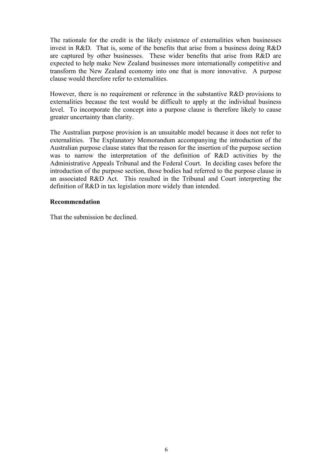The rationale for the credit is the likely existence of externalities when businesses invest in R&D. That is, some of the benefits that arise from a business doing R&D are captured by other businesses. These wider benefits that arise from R&D are expected to help make New Zealand businesses more internationally competitive and transform the New Zealand economy into one that is more innovative. A purpose clause would therefore refer to externalities.

However, there is no requirement or reference in the substantive R&D provisions to externalities because the test would be difficult to apply at the individual business level. To incorporate the concept into a purpose clause is therefore likely to cause greater uncertainty than clarity.

The Australian purpose provision is an unsuitable model because it does not refer to externalities. The Explanatory Memorandum accompanying the introduction of the Australian purpose clause states that the reason for the insertion of the purpose section was to narrow the interpretation of the definition of R&D activities by the Administrative Appeals Tribunal and the Federal Court. In deciding cases before the introduction of the purpose section, those bodies had referred to the purpose clause in an associated R&D Act. This resulted in the Tribunal and Court interpreting the definition of R&D in tax legislation more widely than intended.

# **Recommendation**

That the submission be declined.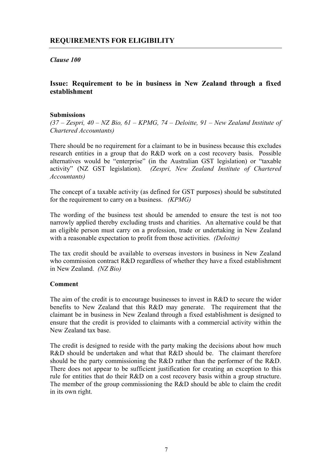*Clause 100* 

# **Issue: Requirement to be in business in New Zealand through a fixed establishment**

# **Submissions**

*(37 – Zespri, 40 – NZ Bio, 61 – KPMG, 74 – Deloitte, 91 – New Zealand Institute of Chartered Accountants)* 

There should be no requirement for a claimant to be in business because this excludes research entities in a group that do R&D work on a cost recovery basis. Possible alternatives would be "enterprise" (in the Australian GST legislation) or "taxable activity" (NZ GST legislation). *(Zespri, New Zealand Institute of Chartered Accountants)* 

The concept of a taxable activity (as defined for GST purposes) should be substituted for the requirement to carry on a business. *(KPMG)* 

The wording of the business test should be amended to ensure the test is not too narrowly applied thereby excluding trusts and charities. An alternative could be that an eligible person must carry on a profession, trade or undertaking in New Zealand with a reasonable expectation to profit from those activities. *(Deloitte)* 

The tax credit should be available to overseas investors in business in New Zealand who commission contract R&D regardless of whether they have a fixed establishment in New Zealand. *(NZ Bio)*

# **Comment**

The aim of the credit is to encourage businesses to invest in R&D to secure the wider benefits to New Zealand that this R&D may generate. The requirement that the claimant be in business in New Zealand through a fixed establishment is designed to ensure that the credit is provided to claimants with a commercial activity within the New Zealand tax base.

The credit is designed to reside with the party making the decisions about how much R&D should be undertaken and what that R&D should be. The claimant therefore should be the party commissioning the R&D rather than the performer of the R&D. There does not appear to be sufficient justification for creating an exception to this rule for entities that do their R&D on a cost recovery basis within a group structure. The member of the group commissioning the R&D should be able to claim the credit in its own right.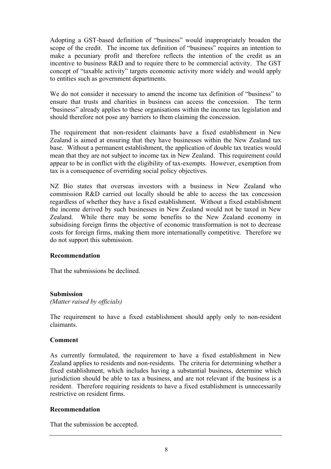Adopting a GST-based definition of "business" would inappropriately broaden the scope of the credit. The income tax definition of "business" requires an intention to make a pecuniary profit and therefore reflects the intention of the credit as an incentive to business R&D and to require there to be commercial activity. The GST concept of "taxable activity" targets economic activity more widely and would apply to entities such as government departments.

We do not consider it necessary to amend the income tax definition of "business" to ensure that trusts and charities in business can access the concession. The term "business" already applies to these organisations within the income tax legislation and should therefore not pose any barriers to them claiming the concession.

The requirement that non-resident claimants have a fixed establishment in New Zealand is aimed at ensuring that they have businesses within the New Zealand tax base. Without a permanent establishment, the application of double tax treaties would mean that they are not subject to income tax in New Zealand. This requirement could appear to be in conflict with the eligibility of tax-exempts. However, exemption from tax is a consequence of overriding social policy objectives.

NZ Bio states that overseas investors with a business in New Zealand who commission R&D carried out locally should be able to access the tax concession regardless of whether they have a fixed establishment. Without a fixed establishment the income derived by such businesses in New Zealand would not be taxed in New Zealand. While there may be some benefits to the New Zealand economy in subsidising foreign firms the objective of economic transformation is not to decrease costs for foreign firms, making them more internationally competitive. Therefore we do not support this submission.

# **Recommendation**

That the submissions be declined.

# **Submission**

*(Matter raised by officials)* 

The requirement to have a fixed establishment should apply only to non-resident claimants.

# **Comment**

As currently formulated, the requirement to have a fixed establishment in New Zealand applies to residents and non-residents. The criteria for determining whether a fixed establishment, which includes having a substantial business, determine which jurisdiction should be able to tax a business, and are not relevant if the business is a resident. Therefore requiring residents to have a fixed establishment is unnecessarily restrictive on resident firms.

# **Recommendation**

That the submission be accepted.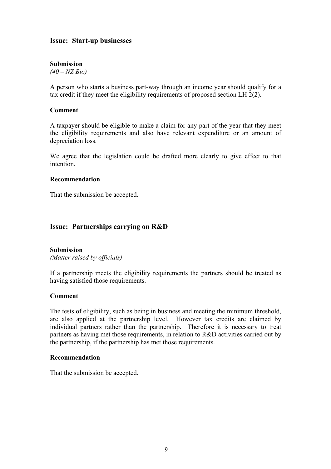# **Issue: Start-up businesses**

#### **Submission**

*(40 – NZ Bio)* 

A person who starts a business part-way through an income year should qualify for a tax credit if they meet the eligibility requirements of proposed section LH 2(2).

#### **Comment**

A taxpayer should be eligible to make a claim for any part of the year that they meet the eligibility requirements and also have relevant expenditure or an amount of depreciation loss.

We agree that the legislation could be drafted more clearly to give effect to that intention.

# **Recommendation**

That the submission be accepted.

# **Issue: Partnerships carrying on R&D**

#### **Submission**

*(Matter raised by officials)* 

If a partnership meets the eligibility requirements the partners should be treated as having satisfied those requirements.

#### **Comment**

The tests of eligibility, such as being in business and meeting the minimum threshold, are also applied at the partnership level. However tax credits are claimed by individual partners rather than the partnership. Therefore it is necessary to treat partners as having met those requirements, in relation to R&D activities carried out by the partnership, if the partnership has met those requirements.

#### **Recommendation**

That the submission be accepted.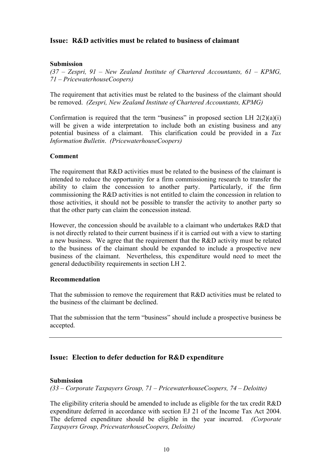# **Issue: R&D activities must be related to business of claimant**

# **Submission**

*(37 – Zespri, 91 – New Zealand Institute of Chartered Accountants, 61 – KPMG, 71 – PricewaterhouseCoopers)* 

The requirement that activities must be related to the business of the claimant should be removed. *(Zespri, New Zealand Institute of Chartered Accountants, KPMG)* 

Confirmation is required that the term "business" in proposed section LH  $2(2)(a)(i)$ will be given a wide interpretation to include both an existing business and any potential business of a claimant. This clarification could be provided in a *Tax Information Bulletin*. *(PricewaterhouseCoopers)*

# **Comment**

The requirement that R&D activities must be related to the business of the claimant is intended to reduce the opportunity for a firm commissioning research to transfer the ability to claim the concession to another party. Particularly, if the firm commissioning the R&D activities is not entitled to claim the concession in relation to those activities, it should not be possible to transfer the activity to another party so that the other party can claim the concession instead.

However, the concession should be available to a claimant who undertakes R&D that is not directly related to their current business if it is carried out with a view to starting a new business. We agree that the requirement that the R&D activity must be related to the business of the claimant should be expanded to include a prospective new business of the claimant. Nevertheless, this expenditure would need to meet the general deductibility requirements in section LH 2.

# **Recommendation**

That the submission to remove the requirement that R&D activities must be related to the business of the claimant be declined.

That the submission that the term "business" should include a prospective business be accepted.

# **Issue: Election to defer deduction for R&D expenditure**

# **Submission**

*(33 – Corporate Taxpayers Group, 71 – PricewaterhouseCoopers, 74 – Deloitte)* 

The eligibility criteria should be amended to include as eligible for the tax credit R&D expenditure deferred in accordance with section EJ 21 of the Income Tax Act 2004. The deferred expenditure should be eligible in the year incurred. *(Corporate Taxpayers Group, PricewaterhouseCoopers, Deloitte)*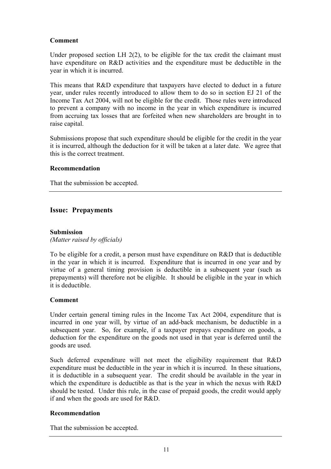# **Comment**

Under proposed section LH  $2(2)$ , to be eligible for the tax credit the claimant must have expenditure on R&D activities and the expenditure must be deductible in the year in which it is incurred.

This means that R&D expenditure that taxpayers have elected to deduct in a future year, under rules recently introduced to allow them to do so in section EJ 21 of the Income Tax Act 2004, will not be eligible for the credit. Those rules were introduced to prevent a company with no income in the year in which expenditure is incurred from accruing tax losses that are forfeited when new shareholders are brought in to raise capital.

Submissions propose that such expenditure should be eligible for the credit in the year it is incurred, although the deduction for it will be taken at a later date. We agree that this is the correct treatment.

# **Recommendation**

That the submission be accepted.

# **Issue: Prepayments**

# **Submission**

*(Matter raised by officials)* 

To be eligible for a credit, a person must have expenditure on R&D that is deductible in the year in which it is incurred. Expenditure that is incurred in one year and by virtue of a general timing provision is deductible in a subsequent year (such as prepayments) will therefore not be eligible. It should be eligible in the year in which it is deductible.

# **Comment**

Under certain general timing rules in the Income Tax Act 2004, expenditure that is incurred in one year will, by virtue of an add-back mechanism, be deductible in a subsequent year. So, for example, if a taxpayer prepays expenditure on goods, a deduction for the expenditure on the goods not used in that year is deferred until the goods are used.

Such deferred expenditure will not meet the eligibility requirement that R&D expenditure must be deductible in the year in which it is incurred. In these situations, it is deductible in a subsequent year. The credit should be available in the year in which the expenditure is deductible as that is the year in which the nexus with R&D should be tested. Under this rule, in the case of prepaid goods, the credit would apply if and when the goods are used for R&D.

# **Recommendation**

That the submission be accepted.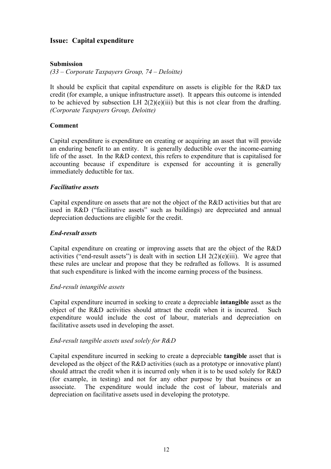# **Issue: Capital expenditure**

# **Submission**

*(33 – Corporate Taxpayers Group, 74 – Deloitte)* 

It should be explicit that capital expenditure on assets is eligible for the R&D tax credit (for example, a unique infrastructure asset). It appears this outcome is intended to be achieved by subsection LH  $2(2)(e)(iii)$  but this is not clear from the drafting. *(Corporate Taxpayers Group, Deloitte)* 

# **Comment**

Capital expenditure is expenditure on creating or acquiring an asset that will provide an enduring benefit to an entity. It is generally deductible over the income-earning life of the asset. In the R&D context, this refers to expenditure that is capitalised for accounting because if expenditure is expensed for accounting it is generally immediately deductible for tax.

# *Facilitative assets*

Capital expenditure on assets that are not the object of the R&D activities but that are used in R&D ("facilitative assets" such as buildings) are depreciated and annual depreciation deductions are eligible for the credit.

# *End-result assets*

Capital expenditure on creating or improving assets that are the object of the R&D activities ("end-result assets") is dealt with in section LH  $2(2)(e)(iii)$ . We agree that these rules are unclear and propose that they be redrafted as follows. It is assumed that such expenditure is linked with the income earning process of the business.

# *End-result intangible assets*

Capital expenditure incurred in seeking to create a depreciable **intangible** asset as the object of the R&D activities should attract the credit when it is incurred. Such expenditure would include the cost of labour, materials and depreciation on facilitative assets used in developing the asset.

# *End-result tangible assets used solely for R&D*

Capital expenditure incurred in seeking to create a depreciable **tangible** asset that is developed as the object of the R&D activities (such as a prototype or innovative plant) should attract the credit when it is incurred only when it is to be used solely for R&D (for example, in testing) and not for any other purpose by that business or an associate. The expenditure would include the cost of labour, materials and depreciation on facilitative assets used in developing the prototype.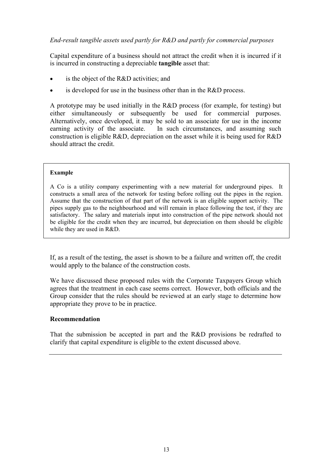# *End-result tangible assets used partly for R&D and partly for commercial purposes*

Capital expenditure of a business should not attract the credit when it is incurred if it is incurred in constructing a depreciable **tangible** asset that:

- is the object of the R&D activities; and
- is developed for use in the business other than in the  $R&D$  process.

A prototype may be used initially in the R&D process (for example, for testing) but either simultaneously or subsequently be used for commercial purposes. Alternatively, once developed, it may be sold to an associate for use in the income earning activity of the associate. In such circumstances, and assuming such construction is eligible R&D, depreciation on the asset while it is being used for R&D should attract the credit.

# **Example**

A Co is a utility company experimenting with a new material for underground pipes. It constructs a small area of the network for testing before rolling out the pipes in the region. Assume that the construction of that part of the network is an eligible support activity. The pipes supply gas to the neighbourhood and will remain in place following the test, if they are satisfactory. The salary and materials input into construction of the pipe network should not be eligible for the credit when they are incurred, but depreciation on them should be eligible while they are used in R&D.

If, as a result of the testing, the asset is shown to be a failure and written off, the credit would apply to the balance of the construction costs.

We have discussed these proposed rules with the Corporate Taxpayers Group which agrees that the treatment in each case seems correct. However, both officials and the Group consider that the rules should be reviewed at an early stage to determine how appropriate they prove to be in practice.

# **Recommendation**

That the submission be accepted in part and the R&D provisions be redrafted to clarify that capital expenditure is eligible to the extent discussed above.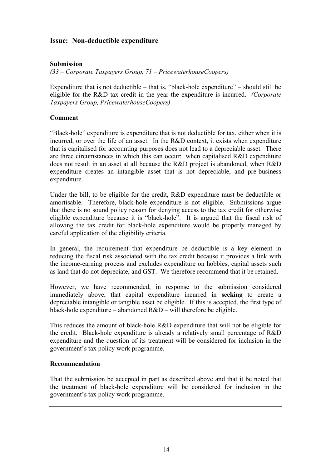# **Issue: Non-deductible expenditure**

# **Submission**

*(33 – Corporate Taxpayers Group, 71 – PricewaterhouseCoopers)* 

Expenditure that is not deductible – that is, "black-hole expenditure" – should still be eligible for the R&D tax credit in the year the expenditure is incurred. *(Corporate Taxpayers Group, PricewaterhouseCoopers)*

# **Comment**

"Black-hole" expenditure is expenditure that is not deductible for tax, either when it is incurred, or over the life of an asset. In the R&D context, it exists when expenditure that is capitalised for accounting purposes does not lead to a depreciable asset. There are three circumstances in which this can occur: when capitalised R&D expenditure does not result in an asset at all because the R&D project is abandoned, when R&D expenditure creates an intangible asset that is not depreciable, and pre-business expenditure.

Under the bill, to be eligible for the credit, R&D expenditure must be deductible or amortisable. Therefore, black-hole expenditure is not eligible. Submissions argue that there is no sound policy reason for denying access to the tax credit for otherwise eligible expenditure because it is "black-hole". It is argued that the fiscal risk of allowing the tax credit for black-hole expenditure would be properly managed by careful application of the eligibility criteria.

In general, the requirement that expenditure be deductible is a key element in reducing the fiscal risk associated with the tax credit because it provides a link with the income-earning process and excludes expenditure on hobbies, capital assets such as land that do not depreciate, and GST. We therefore recommend that it be retained.

However, we have recommended, in response to the submission considered immediately above, that capital expenditure incurred in **seeking** to create a depreciable intangible or tangible asset be eligible. If this is accepted, the first type of black-hole expenditure – abandoned R&D – will therefore be eligible.

This reduces the amount of black-hole R&D expenditure that will not be eligible for the credit. Black-hole expenditure is already a relatively small percentage of R&D expenditure and the question of its treatment will be considered for inclusion in the government's tax policy work programme.

# **Recommendation**

That the submission be accepted in part as described above and that it be noted that the treatment of black-hole expenditure will be considered for inclusion in the government's tax policy work programme.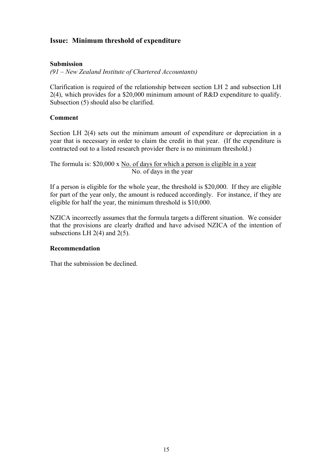# **Issue: Minimum threshold of expenditure**

# **Submission**

*(91 – New Zealand Institute of Chartered Accountants)* 

Clarification is required of the relationship between section LH 2 and subsection LH 2(4), which provides for a \$20,000 minimum amount of R&D expenditure to qualify. Subsection (5) should also be clarified.

# **Comment**

Section LH 2(4) sets out the minimum amount of expenditure or depreciation in a year that is necessary in order to claim the credit in that year. (If the expenditure is contracted out to a listed research provider there is no minimum threshold.)

The formula is: \$20,000 x No. of days for which a person is eligible in a year No. of days in the year

If a person is eligible for the whole year, the threshold is \$20,000. If they are eligible for part of the year only, the amount is reduced accordingly. For instance, if they are eligible for half the year, the minimum threshold is \$10,000.

NZICA incorrectly assumes that the formula targets a different situation. We consider that the provisions are clearly drafted and have advised NZICA of the intention of subsections LH  $2(4)$  and  $2(5)$ .

# **Recommendation**

That the submission be declined.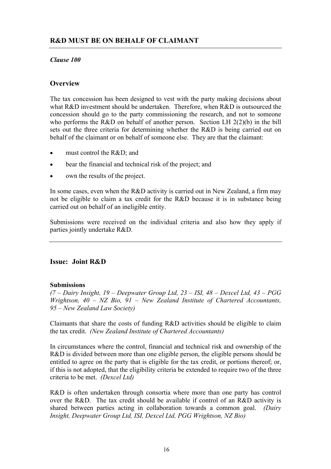# *Clause 100*

# **Overview**

The tax concession has been designed to vest with the party making decisions about what R&D investment should be undertaken. Therefore, when R&D is outsourced the concession should go to the party commissioning the research, and not to someone who performs the R&D on behalf of another person. Section LH  $2(2)(b)$  in the bill sets out the three criteria for determining whether the R&D is being carried out on behalf of the claimant or on behalf of someone else. They are that the claimant:

- must control the R&D; and
- bear the financial and technical risk of the project; and
- own the results of the project.

In some cases, even when the R&D activity is carried out in New Zealand, a firm may not be eligible to claim a tax credit for the R&D because it is in substance being carried out on behalf of an ineligible entity.

Submissions were received on the individual criteria and also how they apply if parties jointly undertake R&D.

# **Issue: Joint R&D**

# **Submissions**

*(7 – Dairy Insight, 19 – Deepwater Group Ltd, 23 – ISI, 48 – Dexcel Ltd, 43 – PGG Wrightson, 40 – NZ Bio, 91 – New Zealand Institute of Chartered Accountants, 95 – New Zealand Law Society)* 

Claimants that share the costs of funding R&D activities should be eligible to claim the tax credit. *(New Zealand Institute of Chartered Accountants)* 

In circumstances where the control, financial and technical risk and ownership of the R&D is divided between more than one eligible person, the eligible persons should be entitled to agree on the party that is eligible for the tax credit, or portions thereof; or, if this is not adopted, that the eligibility criteria be extended to require two of the three criteria to be met. *(Dexcel Ltd)*

R&D is often undertaken through consortia where more than one party has control over the R&D. The tax credit should be available if control of an R&D activity is shared between parties acting in collaboration towards a common goal. *(Dairy Insight, Deepwater Group Ltd, ISI, Dexcel Ltd, PGG Wrightson, NZ Bio)*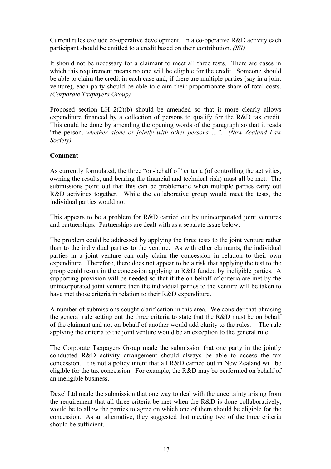Current rules exclude co-operative development. In a co-operative R&D activity each participant should be entitled to a credit based on their contribution. *(ISI)* 

It should not be necessary for a claimant to meet all three tests. There are cases in which this requirement means no one will be eligible for the credit. Someone should be able to claim the credit in each case and, if there are multiple parties (say in a joint venture), each party should be able to claim their proportionate share of total costs. *(Corporate Taxpayers Group)* 

Proposed section LH 2(2)(b) should be amended so that it more clearly allows expenditure financed by a collection of persons to qualify for the R&D tax credit. This could be done by amending the opening words of the paragraph so that it reads "the person, *whether alone or jointly with other persons …"*. *(New Zealand Law Society)* 

# **Comment**

As currently formulated, the three "on-behalf of" criteria (of controlling the activities, owning the results, and bearing the financial and technical risk) must all be met. The submissions point out that this can be problematic when multiple parties carry out R&D activities together. While the collaborative group would meet the tests, the individual parties would not.

This appears to be a problem for R&D carried out by unincorporated joint ventures and partnerships. Partnerships are dealt with as a separate issue below.

The problem could be addressed by applying the three tests to the joint venture rather than to the individual parties to the venture. As with other claimants, the individual parties in a joint venture can only claim the concession in relation to their own expenditure. Therefore, there does not appear to be a risk that applying the test to the group could result in the concession applying to R&D funded by ineligible parties. A supporting provision will be needed so that if the on-behalf of criteria are met by the unincorporated joint venture then the individual parties to the venture will be taken to have met those criteria in relation to their R&D expenditure.

A number of submissions sought clarification in this area. We consider that phrasing the general rule setting out the three criteria to state that the R&D must be on behalf of the claimant and not on behalf of another would add clarity to the rules. The rule applying the criteria to the joint venture would be an exception to the general rule.

The Corporate Taxpayers Group made the submission that one party in the jointly conducted R&D activity arrangement should always be able to access the tax concession. It is not a policy intent that all R&D carried out in New Zealand will be eligible for the tax concession. For example, the R&D may be performed on behalf of an ineligible business.

Dexel Ltd made the submission that one way to deal with the uncertainty arising from the requirement that all three criteria be met when the R&D is done collaboratively, would be to allow the parties to agree on which one of them should be eligible for the concession. As an alternative, they suggested that meeting two of the three criteria should be sufficient.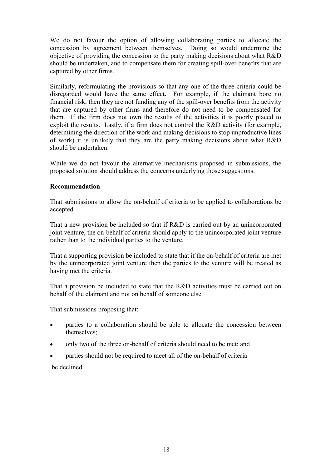We do not favour the option of allowing collaborating parties to allocate the concession by agreement between themselves. Doing so would undermine the objective of providing the concession to the party making decisions about what R&D should be undertaken, and to compensate them for creating spill-over benefits that are captured by other firms.

Similarly, reformulating the provisions so that any one of the three criteria could be disregarded would have the same effect. For example, if the claimant bore no financial risk, then they are not funding any of the spill-over benefits from the activity that are captured by other firms and therefore do not need to be compensated for them. If the firm does not own the results of the activities it is poorly placed to exploit the results. Lastly, if a firm does not control the R&D activity (for example, determining the direction of the work and making decisions to stop unproductive lines of work) it is unlikely that they are the party making decisions about what R&D should be undertaken.

While we do not favour the alternative mechanisms proposed in submissions, the proposed solution should address the concerns underlying those suggestions.

# **Recommendation**

That submissions to allow the on-behalf of criteria to be applied to collaborations be accepted.

That a new provision be included so that if R&D is carried out by an unincorporated joint venture, the on-behalf of criteria should apply to the unincorporated joint venture rather than to the individual parties to the venture.

That a supporting provision be included to state that if the on-behalf of criteria are met by the unincorporated joint venture then the parties to the venture will be treated as having met the criteria.

That a provision be included to state that the R&D activities must be carried out on behalf of the claimant and not on behalf of someone else.

That submissions proposing that:

- parties to a collaboration should be able to allocate the concession between themselves;
- only two of the three on-behalf of criteria should need to be met; and
- parties should not be required to meet all of the on-behalf of criteria

be declined.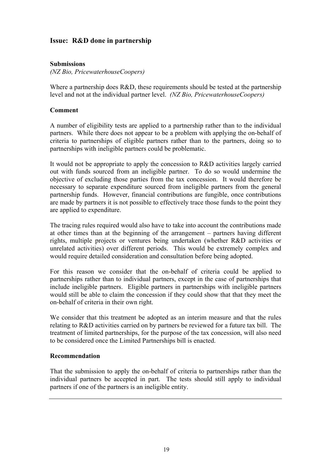# **Issue: R&D done in partnership**

# **Submissions**

*(NZ Bio, PricewaterhouseCoopers)* 

Where a partnership does R&D, these requirements should be tested at the partnership level and not at the individual partner level. *(NZ Bio, PricewaterhouseCoopers)*

#### **Comment**

A number of eligibility tests are applied to a partnership rather than to the individual partners. While there does not appear to be a problem with applying the on-behalf of criteria to partnerships of eligible partners rather than to the partners, doing so to partnerships with ineligible partners could be problematic.

It would not be appropriate to apply the concession to R&D activities largely carried out with funds sourced from an ineligible partner. To do so would undermine the objective of excluding those parties from the tax concession. It would therefore be necessary to separate expenditure sourced from ineligible partners from the general partnership funds. However, financial contributions are fungible, once contributions are made by partners it is not possible to effectively trace those funds to the point they are applied to expenditure.

The tracing rules required would also have to take into account the contributions made at other times than at the beginning of the arrangement – partners having different rights, multiple projects or ventures being undertaken (whether R&D activities or unrelated activities) over different periods. This would be extremely complex and would require detailed consideration and consultation before being adopted.

For this reason we consider that the on-behalf of criteria could be applied to partnerships rather than to individual partners, except in the case of partnerships that include ineligible partners. Eligible partners in partnerships with ineligible partners would still be able to claim the concession if they could show that that they meet the on-behalf of criteria in their own right.

We consider that this treatment be adopted as an interim measure and that the rules relating to R&D activities carried on by partners be reviewed for a future tax bill. The treatment of limited partnerships, for the purpose of the tax concession, will also need to be considered once the Limited Partnerships bill is enacted.

# **Recommendation**

That the submission to apply the on-behalf of criteria to partnerships rather than the individual partners be accepted in part. The tests should still apply to individual partners if one of the partners is an ineligible entity.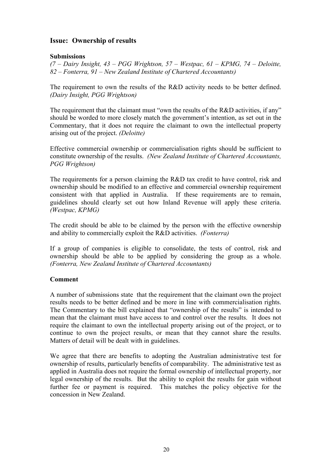# **Issue: Ownership of results**

# **Submissions**

*(7 – Dairy Insight, 43 – PGG Wrightson, 57 – Westpac, 61 – KPMG, 74 – Deloitte, 82 – Fonterra, 91 – New Zealand Institute of Chartered Accountants)* 

The requirement to own the results of the R&D activity needs to be better defined. *(Dairy Insight, PGG Wrightson)* 

The requirement that the claimant must "own the results of the R&D activities, if any" should be worded to more closely match the government's intention, as set out in the Commentary, that it does not require the claimant to own the intellectual property arising out of the project. *(Deloitte)* 

Effective commercial ownership or commercialisation rights should be sufficient to constitute ownership of the results. *(New Zealand Institute of Chartered Accountants, PGG Wrightson)*

The requirements for a person claiming the R&D tax credit to have control, risk and ownership should be modified to an effective and commercial ownership requirement consistent with that applied in Australia. If these requirements are to remain, guidelines should clearly set out how Inland Revenue will apply these criteria. *(Westpac, KPMG)* 

The credit should be able to be claimed by the person with the effective ownership and ability to commercially exploit the R&D activities. *(Fonterra)* 

If a group of companies is eligible to consolidate, the tests of control, risk and ownership should be able to be applied by considering the group as a whole. *(Fonterra, New Zealand Institute of Chartered Accountants)*

# **Comment**

A number of submissions state that the requirement that the claimant own the project results needs to be better defined and be more in line with commercialisation rights. The Commentary to the bill explained that "ownership of the results" is intended to mean that the claimant must have access to and control over the results. It does not require the claimant to own the intellectual property arising out of the project, or to continue to own the project results, or mean that they cannot share the results. Matters of detail will be dealt with in guidelines.

We agree that there are benefits to adopting the Australian administrative test for ownership of results, particularly benefits of comparability. The administrative test as applied in Australia does not require the formal ownership of intellectual property, nor legal ownership of the results. But the ability to exploit the results for gain without further fee or payment is required. This matches the policy objective for the concession in New Zealand.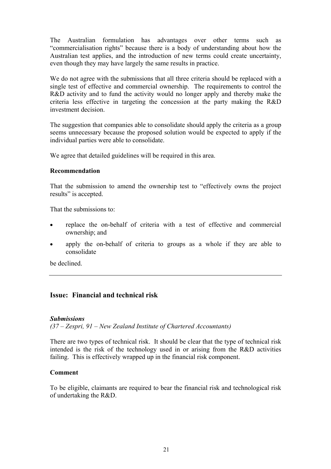The Australian formulation has advantages over other terms such as "commercialisation rights" because there is a body of understanding about how the Australian test applies, and the introduction of new terms could create uncertainty, even though they may have largely the same results in practice.

We do not agree with the submissions that all three criteria should be replaced with a single test of effective and commercial ownership. The requirements to control the R&D activity and to fund the activity would no longer apply and thereby make the criteria less effective in targeting the concession at the party making the R&D investment decision.

The suggestion that companies able to consolidate should apply the criteria as a group seems unnecessary because the proposed solution would be expected to apply if the individual parties were able to consolidate.

We agree that detailed guidelines will be required in this area.

# **Recommendation**

That the submission to amend the ownership test to "effectively owns the project results" is accepted.

That the submissions to:

- replace the on-behalf of criteria with a test of effective and commercial ownership; and
- apply the on-behalf of criteria to groups as a whole if they are able to consolidate

be declined.

# **Issue: Financial and technical risk**

# *Submissions*

*(37 – Zespri, 91 – New Zealand Institute of Chartered Accountants)* 

There are two types of technical risk. It should be clear that the type of technical risk intended is the risk of the technology used in or arising from the R&D activities failing. This is effectively wrapped up in the financial risk component.

# **Comment**

To be eligible, claimants are required to bear the financial risk and technological risk of undertaking the R&D.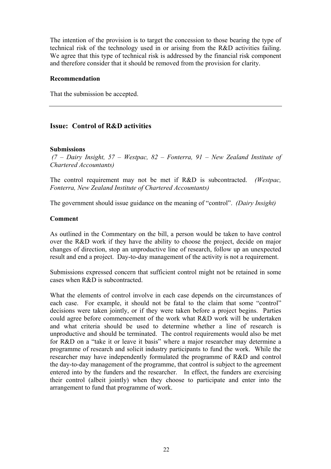The intention of the provision is to target the concession to those bearing the type of technical risk of the technology used in or arising from the R&D activities failing. We agree that this type of technical risk is addressed by the financial risk component and therefore consider that it should be removed from the provision for clarity.

# **Recommendation**

That the submission be accepted.

# **Issue: Control of R&D activities**

# **Submissions**

 *(7 – Dairy Insight, 57 – Westpac, 82 – Fonterra, 91 – New Zealand Institute of Chartered Accountants)* 

The control requirement may not be met if R&D is subcontracted. *(Westpac, Fonterra, New Zealand Institute of Chartered Accountants)* 

The government should issue guidance on the meaning of "control". *(Dairy Insight)* 

# **Comment**

As outlined in the Commentary on the bill, a person would be taken to have control over the R&D work if they have the ability to choose the project, decide on major changes of direction, stop an unproductive line of research, follow up an unexpected result and end a project. Day-to-day management of the activity is not a requirement.

Submissions expressed concern that sufficient control might not be retained in some cases when R&D is subcontracted.

What the elements of control involve in each case depends on the circumstances of each case. For example, it should not be fatal to the claim that some "control" decisions were taken jointly, or if they were taken before a project begins. Parties could agree before commencement of the work what R&D work will be undertaken and what criteria should be used to determine whether a line of research is unproductive and should be terminated. The control requirements would also be met for R&D on a "take it or leave it basis" where a major researcher may determine a programme of research and solicit industry participants to fund the work. While the researcher may have independently formulated the programme of R&D and control the day-to-day management of the programme, that control is subject to the agreement entered into by the funders and the researcher. In effect, the funders are exercising their control (albeit jointly) when they choose to participate and enter into the arrangement to fund that programme of work.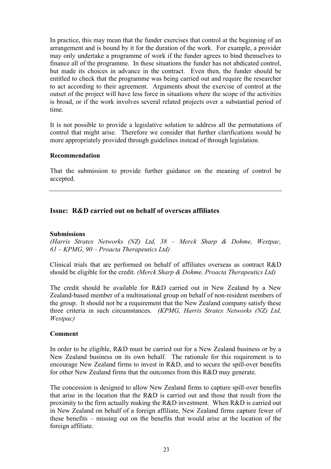In practice, this may mean that the funder exercises that control at the beginning of an arrangement and is bound by it for the duration of the work. For example, a provider may only undertake a programme of work if the funder agrees to bind themselves to finance all of the programme. In these situations the funder has not abdicated control, but made its choices in advance in the contract. Even then, the funder should be entitled to check that the programme was being carried out and require the researcher to act according to their agreement. Arguments about the exercise of control at the outset of the project will have less force in situations where the scope of the activities is broad, or if the work involves several related projects over a substantial period of time.

It is not possible to provide a legislative solution to address all the permutations of control that might arise. Therefore we consider that further clarifications would be more appropriately provided through guidelines instead of through legislation.

# **Recommendation**

That the submission to provide further guidance on the meaning of control be accepted.

# **Issue: R&D carried out on behalf of overseas affiliates**

# **Submissions**

*(Harris Stratex Networks (NZ) Ltd, 38 – Merck Sharp & Dohme, Westpac, 61 – KPMG, 90 – Proacta Therapeutics Ltd)* 

Clinical trials that are performed on behalf of affiliates overseas as contract R&D should be eligible for the credit. *(Merck Sharp & Dohme, Proacta Therapeutics Ltd)*

The credit should be available for R&D carried out in New Zealand by a New Zealand-based member of a multinational group on behalf of non-resident members of the group. It should not be a requirement that the New Zealand company satisfy these three criteria in such circumstances. *(KPMG, Harris Stratex Networks (NZ) Ltd, Westpac)*

# **Comment**

In order to be eligible, R&D must be carried out for a New Zealand business or by a New Zealand business on its own behalf. The rationale for this requirement is to encourage New Zealand firms to invest in R&D, and to secure the spill-over benefits for other New Zealand firms that the outcomes from this R&D may generate.

The concession is designed to allow New Zealand firms to capture spill-over benefits that arise in the location that the R&D is carried out and those that result from the proximity to the firm actually making the R&D investment. When R&D is carried out in New Zealand on behalf of a foreign affiliate, New Zealand firms capture fewer of these benefits – missing out on the benefits that would arise at the location of the foreign affiliate.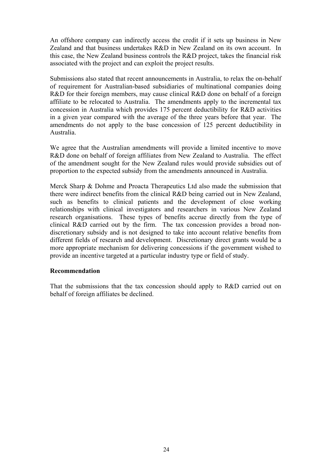An offshore company can indirectly access the credit if it sets up business in New Zealand and that business undertakes R&D in New Zealand on its own account. In this case, the New Zealand business controls the R&D project, takes the financial risk associated with the project and can exploit the project results.

Submissions also stated that recent announcements in Australia, to relax the on-behalf of requirement for Australian-based subsidiaries of multinational companies doing R&D for their foreign members, may cause clinical R&D done on behalf of a foreign affiliate to be relocated to Australia. The amendments apply to the incremental tax concession in Australia which provides 175 percent deductibility for R&D activities in a given year compared with the average of the three years before that year. The amendments do not apply to the base concession of 125 percent deductibility in Australia.

We agree that the Australian amendments will provide a limited incentive to move R&D done on behalf of foreign affiliates from New Zealand to Australia. The effect of the amendment sought for the New Zealand rules would provide subsidies out of proportion to the expected subsidy from the amendments announced in Australia.

Merck Sharp & Dohme and Proacta Therapeutics Ltd also made the submission that there were indirect benefits from the clinical R&D being carried out in New Zealand, such as benefits to clinical patients and the development of close working relationships with clinical investigators and researchers in various New Zealand research organisations. These types of benefits accrue directly from the type of clinical R&D carried out by the firm. The tax concession provides a broad nondiscretionary subsidy and is not designed to take into account relative benefits from different fields of research and development. Discretionary direct grants would be a more appropriate mechanism for delivering concessions if the government wished to provide an incentive targeted at a particular industry type or field of study.

# **Recommendation**

That the submissions that the tax concession should apply to R&D carried out on behalf of foreign affiliates be declined.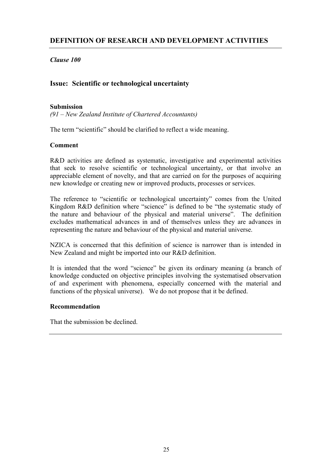*Clause 100* 

# **Issue: Scientific or technological uncertainty**

# **Submission**

*(91 – New Zealand Institute of Chartered Accountants)* 

The term "scientific" should be clarified to reflect a wide meaning.

# **Comment**

R&D activities are defined as systematic, investigative and experimental activities that seek to resolve scientific or technological uncertainty, or that involve an appreciable element of novelty, and that are carried on for the purposes of acquiring new knowledge or creating new or improved products, processes or services.

The reference to "scientific or technological uncertainty" comes from the United Kingdom R&D definition where "science" is defined to be "the systematic study of the nature and behaviour of the physical and material universe". The definition excludes mathematical advances in and of themselves unless they are advances in representing the nature and behaviour of the physical and material universe.

NZICA is concerned that this definition of science is narrower than is intended in New Zealand and might be imported into our R&D definition.

It is intended that the word "science" be given its ordinary meaning (a branch of knowledge conducted on objective principles involving the systematised observation of and experiment with phenomena, especially concerned with the material and functions of the physical universe). We do not propose that it be defined.

# **Recommendation**

That the submission be declined.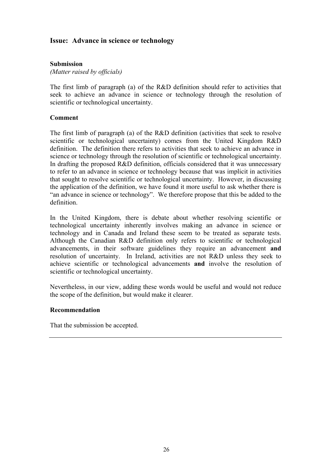# **Issue: Advance in science or technology**

# **Submission**

*(Matter raised by officials)* 

The first limb of paragraph (a) of the R&D definition should refer to activities that seek to achieve an advance in science or technology through the resolution of scientific or technological uncertainty.

# **Comment**

The first limb of paragraph (a) of the R&D definition (activities that seek to resolve scientific or technological uncertainty) comes from the United Kingdom R&D definition. The definition there refers to activities that seek to achieve an advance in science or technology through the resolution of scientific or technological uncertainty. In drafting the proposed R&D definition, officials considered that it was unnecessary to refer to an advance in science or technology because that was implicit in activities that sought to resolve scientific or technological uncertainty. However, in discussing the application of the definition, we have found it more useful to ask whether there is "an advance in science or technology". We therefore propose that this be added to the definition.

In the United Kingdom, there is debate about whether resolving scientific or technological uncertainty inherently involves making an advance in science or technology and in Canada and Ireland these seem to be treated as separate tests. Although the Canadian R&D definition only refers to scientific or technological advancements, in their software guidelines they require an advancement **and** resolution of uncertainty. In Ireland, activities are not R&D unless they seek to achieve scientific or technological advancements **and** involve the resolution of scientific or technological uncertainty.

Nevertheless, in our view, adding these words would be useful and would not reduce the scope of the definition, but would make it clearer.

# **Recommendation**

That the submission be accepted.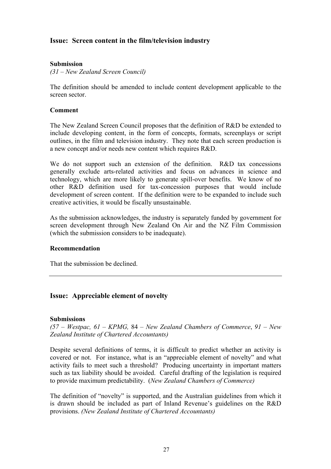# **Issue: Screen content in the film/television industry**

# **Submission**

*(31 – New Zealand Screen Council)* 

The definition should be amended to include content development applicable to the screen sector.

#### **Comment**

The New Zealand Screen Council proposes that the definition of R&D be extended to include developing content, in the form of concepts, formats, screenplays or script outlines, in the film and television industry. They note that each screen production is a new concept and/or needs new content which requires R&D.

We do not support such an extension of the definition. R&D tax concessions generally exclude arts-related activities and focus on advances in science and technology, which are more likely to generate spill-over benefits. We know of no other R&D definition used for tax-concession purposes that would include development of screen content. If the definition were to be expanded to include such creative activities, it would be fiscally unsustainable.

As the submission acknowledges, the industry is separately funded by government for screen development through New Zealand On Air and the NZ Film Commission (which the submission considers to be inadequate).

# **Recommendation**

That the submission be declined.

# **Issue: Appreciable element of novelty**

#### **Submissions**

*(57 – Westpac, 61 – KPMG,* 84 – *New Zealand Chambers of Commerce*, *91 – New Zealand Institute of Chartered Accountants)* 

Despite several definitions of terms, it is difficult to predict whether an activity is covered or not. For instance, what is an "appreciable element of novelty" and what activity fails to meet such a threshold? Producing uncertainty in important matters such as tax liability should be avoided. Careful drafting of the legislation is required to provide maximum predictability. (*New Zealand Chambers of Commerce)* 

The definition of "novelty" is supported, and the Australian guidelines from which it is drawn should be included as part of Inland Revenue's guidelines on the R&D provisions. *(New Zealand Institute of Chartered Accountants)*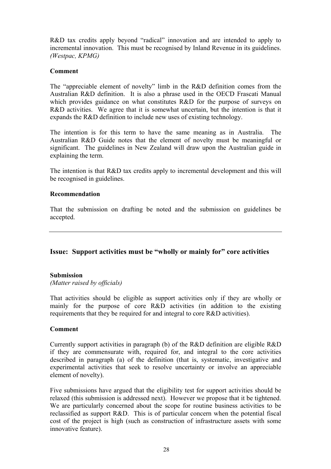R&D tax credits apply beyond "radical" innovation and are intended to apply to incremental innovation. This must be recognised by Inland Revenue in its guidelines. *(Westpac, KPMG)*

# **Comment**

The "appreciable element of novelty" limb in the R&D definition comes from the Australian R&D definition. It is also a phrase used in the OECD Frascati Manual which provides guidance on what constitutes R&D for the purpose of surveys on R&D activities. We agree that it is somewhat uncertain, but the intention is that it expands the R&D definition to include new uses of existing technology.

The intention is for this term to have the same meaning as in Australia. The Australian R&D Guide notes that the element of novelty must be meaningful or significant. The guidelines in New Zealand will draw upon the Australian guide in explaining the term.

The intention is that R&D tax credits apply to incremental development and this will be recognised in guidelines.

# **Recommendation**

That the submission on drafting be noted and the submission on guidelines be accepted.

# **Issue: Support activities must be "wholly or mainly for" core activities**

#### **Submission**

*(Matter raised by officials)* 

That activities should be eligible as support activities only if they are wholly or mainly for the purpose of core R&D activities (in addition to the existing requirements that they be required for and integral to core R&D activities).

# **Comment**

Currently support activities in paragraph (b) of the R&D definition are eligible R&D if they are commensurate with, required for, and integral to the core activities described in paragraph (a) of the definition (that is, systematic, investigative and experimental activities that seek to resolve uncertainty or involve an appreciable element of novelty).

Five submissions have argued that the eligibility test for support activities should be relaxed (this submission is addressed next). However we propose that it be tightened. We are particularly concerned about the scope for routine business activities to be reclassified as support R&D. This is of particular concern when the potential fiscal cost of the project is high (such as construction of infrastructure assets with some innovative feature).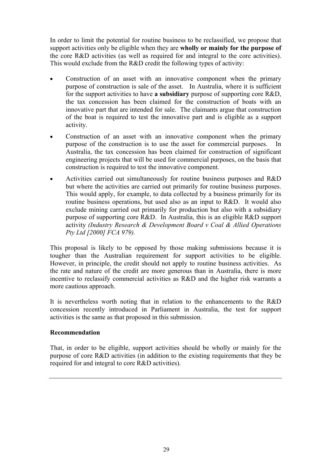In order to limit the potential for routine business to be reclassified, we propose that support activities only be eligible when they are **wholly or mainly for the purpose of** the core R&D activities (as well as required for and integral to the core activities). This would exclude from the R&D credit the following types of activity:

- Construction of an asset with an innovative component when the primary purpose of construction is sale of the asset. In Australia, where it is sufficient for the support activities to have **a subsidiary** purpose of supporting core R&D, the tax concession has been claimed for the construction of boats with an innovative part that are intended for sale. The claimants argue that construction of the boat is required to test the innovative part and is eligible as a support activity.
- Construction of an asset with an innovative component when the primary purpose of the construction is to use the asset for commercial purposes. In Australia, the tax concession has been claimed for construction of significant engineering projects that will be used for commercial purposes, on the basis that construction is required to test the innovative component.
- Activities carried out simultaneously for routine business purposes and R&D but where the activities are carried out primarily for routine business purposes. This would apply, for example, to data collected by a business primarily for its routine business operations, but used also as an input to R&D. It would also exclude mining carried out primarily for production but also with a subsidiary purpose of supporting core R&D. In Australia, this is an eligible R&D support activity *(Industry Research & Development Board v Coal & Allied Operations Pty Ltd [2000] FCA 979).*

This proposal is likely to be opposed by those making submissions because it is tougher than the Australian requirement for support activities to be eligible. However, in principle, the credit should not apply to routine business activities. As the rate and nature of the credit are more generous than in Australia, there is more incentive to reclassify commercial activities as R&D and the higher risk warrants a more cautious approach.

It is nevertheless worth noting that in relation to the enhancements to the R&D concession recently introduced in Parliament in Australia, the test for support activities is the same as that proposed in this submission.

# **Recommendation**

That, in order to be eligible, support activities should be wholly or mainly for the purpose of core R&D activities (in addition to the existing requirements that they be required for and integral to core R&D activities).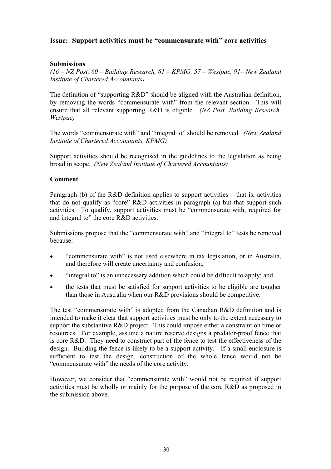# **Issue: Support activities must be "commensurate with" core activities**

# **Submissions**

*(16 – NZ Post, 60 – Building Research, 61 – KPMG, 57 – Westpac, 91– New Zealand Institute of Chartered Accountants)* 

The definition of "supporting R&D" should be aligned with the Australian definition, by removing the words "commensurate with" from the relevant section. This will ensure that all relevant supporting R&D is eligible. *(NZ Post, Building Research, Westpac)*

The words "commensurate with" and "integral to" should be removed. *(New Zealand Institute of Chartered Accountants, KPMG)*

Support activities should be recognised in the guidelines to the legislation as being broad in scope. *(New Zealand Institute of Chartered Accountants)*

# **Comment**

Paragraph (b) of the R&D definition applies to support activities – that is, activities that do not qualify as "core" R&D activities in paragraph (a) but that support such activities. To qualify, support activities must be "commensurate with, required for and integral to" the core R&D activities.

Submissions propose that the "commensurate with" and "integral to" tests be removed because:

- "commensurate with" is not used elsewhere in tax legislation, or in Australia, and therefore will create uncertainty and confusion;
- "integral to" is an unnecessary addition which could be difficult to apply; and
- the tests that must be satisfied for support activities to be eligible are tougher than those in Australia when our R&D provisions should be competitive.

The test "commensurate with" is adopted from the Canadian R&D definition and is intended to make it clear that support activities must be only to the extent necessary to support the substantive R&D project. This could impose either a constraint on time or resources. For example, assume a nature reserve designs a predator-proof fence that is core R&D. They need to construct part of the fence to test the effectiveness of the design. Building the fence is likely to be a support activity. If a small enclosure is sufficient to test the design, construction of the whole fence would not be "commensurate with" the needs of the core activity.

However, we consider that "commensurate with" would not be required if support activities must be wholly or mainly for the purpose of the core R&D as proposed in the submission above.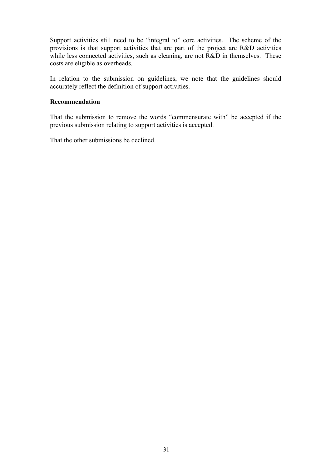Support activities still need to be "integral to" core activities. The scheme of the provisions is that support activities that are part of the project are R&D activities while less connected activities, such as cleaning, are not R&D in themselves. These costs are eligible as overheads.

In relation to the submission on guidelines, we note that the guidelines should accurately reflect the definition of support activities.

#### **Recommendation**

That the submission to remove the words "commensurate with" be accepted if the previous submission relating to support activities is accepted.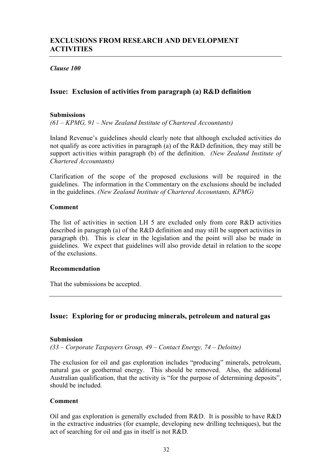## *Clause 100*

# **Issue: Exclusion of activities from paragraph (a) R&D definition**

### **Submissions**

*(61 – KPMG, 91 – New Zealand Institute of Chartered Accountants)* 

Inland Revenue's guidelines should clearly note that although excluded activities do not qualify as core activities in paragraph (a) of the R&D definition, they may still be support activities within paragraph (b) of the definition. *(New Zealand Institute of Chartered Accountants)* 

Clarification of the scope of the proposed exclusions will be required in the guidelines. The information in the Commentary on the exclusions should be included in the guidelines. *(New Zealand Institute of Chartered Accountants, KPMG)* 

#### **Comment**

The list of activities in section LH 5 are excluded only from core R&D activities described in paragraph (a) of the R&D definition and may still be support activities in paragraph (b). This is clear in the legislation and the point will also be made in guidelines. We expect that guidelines will also provide detail in relation to the scope of the exclusions.

### **Recommendation**

That the submissions be accepted.

## **Issue: Exploring for or producing minerals, petroleum and natural gas**

#### **Submission**

*(33 – Corporate Taxpayers Group, 49 – Contact Energy, 74 – Deloitte)* 

The exclusion for oil and gas exploration includes "producing" minerals, petroleum, natural gas or geothermal energy. This should be removed. Also, the additional Australian qualification, that the activity is "for the purpose of determining deposits", should be included.

### **Comment**

Oil and gas exploration is generally excluded from R&D. It is possible to have R&D in the extractive industries (for example, developing new drilling techniques), but the act of searching for oil and gas in itself is not R&D.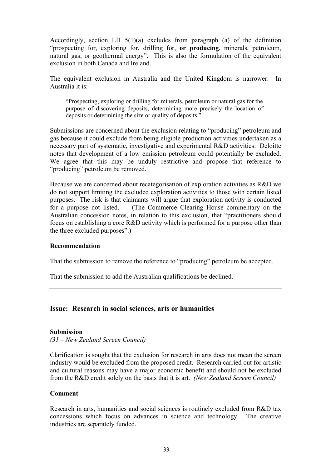Accordingly, section LH  $5(1)(a)$  excludes from paragraph (a) of the definition "prospecting for, exploring for, drilling for, **or producing**, minerals, petroleum, natural gas, or geothermal energy". This is also the formulation of the equivalent exclusion in both Canada and Ireland.

The equivalent exclusion in Australia and the United Kingdom is narrower. In Australia it is:

"Prospecting, exploring or drilling for minerals, petroleum or natural gas for the purpose of discovering deposits, determining more precisely the location of deposits or determining the size or quality of deposits."

Submissions are concerned about the exclusion relating to "producing" petroleum and gas because it could exclude from being eligible production activities undertaken as a necessary part of systematic, investigative and experimental R&D activities. Deloitte notes that development of a low emission petroleum could potentially be excluded. We agree that this may be unduly restrictive and propose that reference to "producing" petroleum be removed.

Because we are concerned about recategorisation of exploration activities as R&D we do not support limiting the excluded exploration activities to those with certain listed purposes. The risk is that claimants will argue that exploration activity is conducted for a purpose not listed. (The Commerce Clearing House commentary on the Australian concession notes, in relation to this exclusion, that "practitioners should focus on establishing a core R&D activity which is performed for a purpose other than the three excluded purposes".)

### **Recommendation**

That the submission to remove the reference to "producing" petroleum be accepted.

That the submission to add the Australian qualifications be declined.

### **Issue: Research in social sciences, arts or humanities**

#### **Submission**

*(31 – New Zealand Screen Council)* 

Clarification is sought that the exclusion for research in arts does not mean the screen industry would be excluded from the proposed credit. Research carried out for artistic and cultural reasons may have a major economic benefit and should not be excluded from the R&D credit solely on the basis that it is art. *(New Zealand Screen Council)* 

#### **Comment**

Research in arts, humanities and social sciences is routinely excluded from R&D tax concessions which focus on advances in science and technology. The creative industries are separately funded.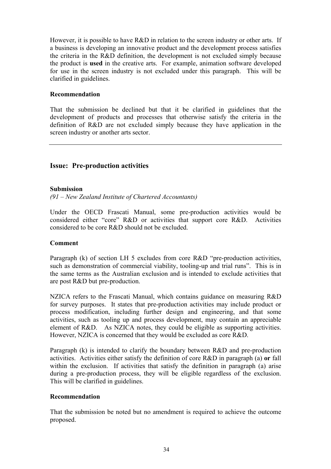However, it is possible to have R&D in relation to the screen industry or other arts. If a business is developing an innovative product and the development process satisfies the criteria in the R&D definition, the development is not excluded simply because the product is **used** in the creative arts. For example, animation software developed for use in the screen industry is not excluded under this paragraph. This will be clarified in guidelines.

## **Recommendation**

That the submission be declined but that it be clarified in guidelines that the development of products and processes that otherwise satisfy the criteria in the definition of R&D are not excluded simply because they have application in the screen industry or another arts sector.

# **Issue: Pre-production activities**

### **Submission**

*(91 – New Zealand Institute of Chartered Accountants)* 

Under the OECD Frascati Manual, some pre-production activities would be considered either "core" R&D or activities that support core R&D. Activities considered to be core R&D should not be excluded.

### **Comment**

Paragraph (k) of section LH 5 excludes from core R&D "pre-production activities, such as demonstration of commercial viability, tooling-up and trial runs". This is in the same terms as the Australian exclusion and is intended to exclude activities that are post R&D but pre-production.

NZICA refers to the Frascati Manual, which contains guidance on measuring R&D for survey purposes. It states that pre-production activities may include product or process modification, including further design and engineering, and that some activities, such as tooling up and process development, may contain an appreciable element of R&D. As NZICA notes, they could be eligible as supporting activities. However, NZICA is concerned that they would be excluded as core R&D.

Paragraph (k) is intended to clarify the boundary between R&D and pre-production activities. Activities either satisfy the definition of core R&D in paragraph (a) **or** fall within the exclusion. If activities that satisfy the definition in paragraph (a) arise during a pre-production process, they will be eligible regardless of the exclusion. This will be clarified in guidelines.

### **Recommendation**

That the submission be noted but no amendment is required to achieve the outcome proposed.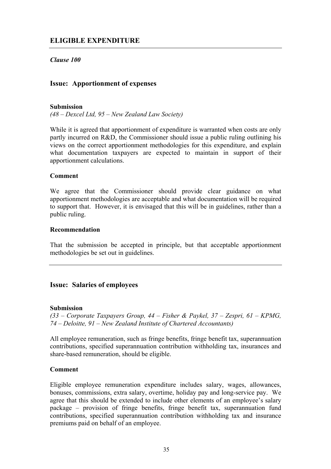# **ELIGIBLE EXPENDITURE**

## *Clause 100*

### **Issue: Apportionment of expenses**

#### **Submission**

*(48 – Dexcel Ltd, 95 – New Zealand Law Society)* 

While it is agreed that apportionment of expenditure is warranted when costs are only partly incurred on R&D, the Commissioner should issue a public ruling outlining his views on the correct apportionment methodologies for this expenditure, and explain what documentation taxpayers are expected to maintain in support of their apportionment calculations.

#### **Comment**

We agree that the Commissioner should provide clear guidance on what apportionment methodologies are acceptable and what documentation will be required to support that. However, it is envisaged that this will be in guidelines, rather than a public ruling.

#### **Recommendation**

That the submission be accepted in principle, but that acceptable apportionment methodologies be set out in guidelines.

### **Issue: Salaries of employees**

#### **Submission**

*(33 – Corporate Taxpayers Group, 44 – Fisher & Paykel, 37 – Zespri, 61 – KPMG, 74 – Deloitte, 91 – New Zealand Institute of Chartered Accountants)* 

All employee remuneration, such as fringe benefits, fringe benefit tax, superannuation contributions, specified superannuation contribution withholding tax, insurances and share-based remuneration, should be eligible.

### **Comment**

Eligible employee remuneration expenditure includes salary, wages, allowances, bonuses, commissions, extra salary, overtime, holiday pay and long-service pay. We agree that this should be extended to include other elements of an employee's salary package – provision of fringe benefits, fringe benefit tax, superannuation fund contributions, specified superannuation contribution withholding tax and insurance premiums paid on behalf of an employee.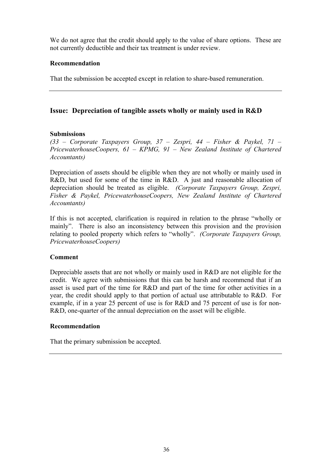We do not agree that the credit should apply to the value of share options. These are not currently deductible and their tax treatment is under review.

### **Recommendation**

That the submission be accepted except in relation to share-based remuneration.

# **Issue: Depreciation of tangible assets wholly or mainly used in R&D**

## **Submissions**

*(33 – Corporate Taxpayers Group, 37 – Zespri, 44 – Fisher & Paykel, 71 – PricewaterhouseCoopers, 61 – KPMG, 91 – New Zealand Institute of Chartered Accountants)* 

Depreciation of assets should be eligible when they are not wholly or mainly used in R&D, but used for some of the time in R&D. A just and reasonable allocation of depreciation should be treated as eligible. *(Corporate Taxpayers Group, Zespri, Fisher & Paykel, PricewaterhouseCoopers, New Zealand Institute of Chartered Accountants)*

If this is not accepted, clarification is required in relation to the phrase "wholly or mainly". There is also an inconsistency between this provision and the provision relating to pooled property which refers to "wholly". *(Corporate Taxpayers Group, PricewaterhouseCoopers)* 

## **Comment**

Depreciable assets that are not wholly or mainly used in R&D are not eligible for the credit. We agree with submissions that this can be harsh and recommend that if an asset is used part of the time for R&D and part of the time for other activities in a year, the credit should apply to that portion of actual use attributable to R&D. For example, if in a year 25 percent of use is for R&D and 75 percent of use is for non-R&D, one-quarter of the annual depreciation on the asset will be eligible.

### **Recommendation**

That the primary submission be accepted.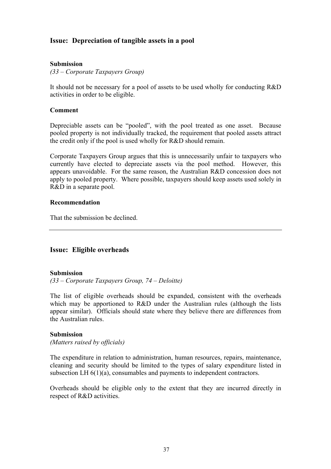# **Issue: Depreciation of tangible assets in a pool**

### **Submission**

*(33 – Corporate Taxpayers Group)* 

It should not be necessary for a pool of assets to be used wholly for conducting R&D activities in order to be eligible.

#### **Comment**

Depreciable assets can be "pooled", with the pool treated as one asset. Because pooled property is not individually tracked, the requirement that pooled assets attract the credit only if the pool is used wholly for R&D should remain.

Corporate Taxpayers Group argues that this is unnecessarily unfair to taxpayers who currently have elected to depreciate assets via the pool method. However, this appears unavoidable. For the same reason, the Australian R&D concession does not apply to pooled property. Where possible, taxpayers should keep assets used solely in R&D in a separate pool.

### **Recommendation**

That the submission be declined.

## **Issue: Eligible overheads**

### **Submission**

*(33 – Corporate Taxpayers Group, 74 – Deloitte)* 

The list of eligible overheads should be expanded, consistent with the overheads which may be apportioned to R&D under the Australian rules (although the lists appear similar). Officials should state where they believe there are differences from the Australian rules.

#### **Submission**

*(Matters raised by officials)* 

The expenditure in relation to administration, human resources, repairs, maintenance, cleaning and security should be limited to the types of salary expenditure listed in subsection LH 6(1)(a), consumables and payments to independent contractors.

Overheads should be eligible only to the extent that they are incurred directly in respect of R&D activities.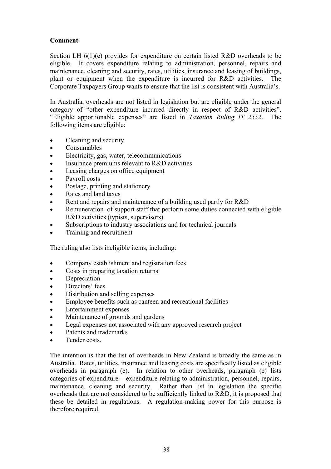# **Comment**

Section LH 6(1)(e) provides for expenditure on certain listed R&D overheads to be eligible. It covers expenditure relating to administration, personnel, repairs and maintenance, cleaning and security, rates, utilities, insurance and leasing of buildings, plant or equipment when the expenditure is incurred for R&D activities. The Corporate Taxpayers Group wants to ensure that the list is consistent with Australia's.

In Australia, overheads are not listed in legislation but are eligible under the general category of "other expenditure incurred directly in respect of R&D activities". "Eligible apportionable expenses" are listed in *Taxation Ruling IT 2552*. The following items are eligible:

- Cleaning and security
- Consumables
- Electricity, gas, water, telecommunications
- Insurance premiums relevant to R&D activities
- Leasing charges on office equipment
- Payroll costs
- Postage, printing and stationery
- Rates and land taxes
- Rent and repairs and maintenance of a building used partly for R&D
- Remuneration of support staff that perform some duties connected with eligible R&D activities (typists, supervisors)
- Subscriptions to industry associations and for technical journals
- Training and recruitment

The ruling also lists ineligible items, including:

- Company establishment and registration fees
- Costs in preparing taxation returns
- Depreciation
- Directors' fees
- Distribution and selling expenses
- Employee benefits such as canteen and recreational facilities
- Entertainment expenses
- Maintenance of grounds and gardens
- Legal expenses not associated with any approved research project
- Patents and trademarks
- Tender costs

The intention is that the list of overheads in New Zealand is broadly the same as in Australia. Rates, utilities, insurance and leasing costs are specifically listed as eligible overheads in paragraph (e). In relation to other overheads, paragraph (e) lists categories of expenditure – expenditure relating to administration, personnel, repairs, maintenance, cleaning and security. Rather than list in legislation the specific overheads that are not considered to be sufficiently linked to R&D, it is proposed that these be detailed in regulations. A regulation-making power for this purpose is therefore required.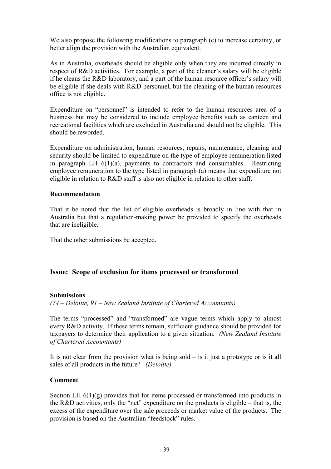We also propose the following modifications to paragraph (e) to increase certainty, or better align the provision with the Australian equivalent.

As in Australia, overheads should be eligible only when they are incurred directly in respect of R&D activities. For example, a part of the cleaner's salary will be eligible if he cleans the R&D laboratory, and a part of the human resource officer's salary will be eligible if she deals with R&D personnel, but the cleaning of the human resources office is not eligible.

Expenditure on "personnel" is intended to refer to the human resources area of a business but may be considered to include employee benefits such as canteen and recreational facilities which are excluded in Australia and should not be eligible. This should be reworded.

Expenditure on administration, human resources, repairs, maintenance, cleaning and security should be limited to expenditure on the type of employee remuneration listed in paragraph LH  $6(1)(a)$ , payments to contractors and consumables. Restricting employee remuneration to the type listed in paragraph (a) means that expenditure not eligible in relation to R&D staff is also not eligible in relation to other staff.

### **Recommendation**

That it be noted that the list of eligible overheads is broadly in line with that in Australia but that a regulation-making power be provided to specify the overheads that are ineligible.

That the other submissions be accepted.

### **Issue: Scope of exclusion for items processed or transformed**

#### **Submissions**

*(74 – Deloitte, 91 – New Zealand Institute of Chartered Accountants)* 

The terms "processed" and "transformed" are vague terms which apply to almost every R&D activity. If these terms remain, sufficient guidance should be provided for taxpayers to determine their application to a given situation. *(New Zealand Institute of Chartered Accountants)* 

It is not clear from the provision what is being sold – is it just a prototype or is it all sales of all products in the future? *(Deloitte)* 

### **Comment**

Section LH  $6(1)(g)$  provides that for items processed or transformed into products in the R&D activities, only the "net" expenditure on the products is eligible – that is, the excess of the expenditure over the sale proceeds or market value of the products. The provision is based on the Australian "feedstock" rules.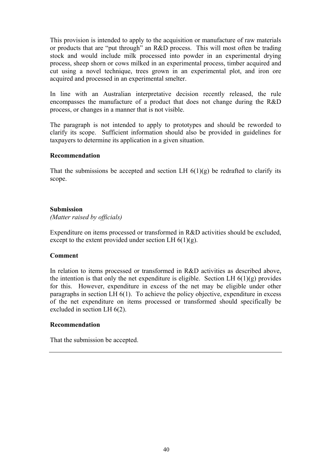This provision is intended to apply to the acquisition or manufacture of raw materials or products that are "put through" an R&D process. This will most often be trading stock and would include milk processed into powder in an experimental drying process, sheep shorn or cows milked in an experimental process, timber acquired and cut using a novel technique, trees grown in an experimental plot, and iron ore acquired and processed in an experimental smelter.

In line with an Australian interpretative decision recently released, the rule encompasses the manufacture of a product that does not change during the R&D process, or changes in a manner that is not visible.

The paragraph is not intended to apply to prototypes and should be reworded to clarify its scope. Sufficient information should also be provided in guidelines for taxpayers to determine its application in a given situation.

## **Recommendation**

That the submissions be accepted and section LH  $6(1)(g)$  be redrafted to clarify its scope.

### **Submission**

*(Matter raised by officials)* 

Expenditure on items processed or transformed in R&D activities should be excluded, except to the extent provided under section LH  $6(1)(g)$ .

### **Comment**

In relation to items processed or transformed in R&D activities as described above, the intention is that only the net expenditure is eligible. Section LH  $6(1)(g)$  provides for this. However, expenditure in excess of the net may be eligible under other paragraphs in section LH 6(1). To achieve the policy objective, expenditure in excess of the net expenditure on items processed or transformed should specifically be excluded in section LH 6(2).

### **Recommendation**

That the submission be accepted.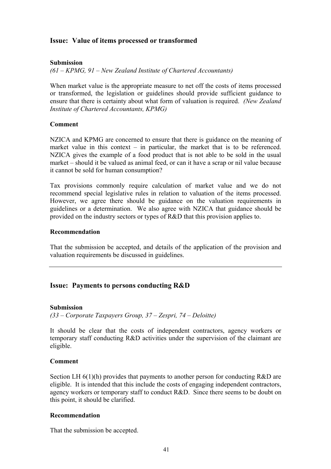# **Issue: Value of items processed or transformed**

## **Submission**

*(61 – KPMG, 91 – New Zealand Institute of Chartered Accountants)* 

When market value is the appropriate measure to net off the costs of items processed or transformed, the legislation or guidelines should provide sufficient guidance to ensure that there is certainty about what form of valuation is required. *(New Zealand Institute of Chartered Accountants, KPMG)* 

### **Comment**

NZICA and KPMG are concerned to ensure that there is guidance on the meaning of market value in this context – in particular, the market that is to be referenced. NZICA gives the example of a food product that is not able to be sold in the usual market – should it be valued as animal feed, or can it have a scrap or nil value because it cannot be sold for human consumption?

Tax provisions commonly require calculation of market value and we do not recommend special legislative rules in relation to valuation of the items processed. However, we agree there should be guidance on the valuation requirements in guidelines or a determination. We also agree with NZICA that guidance should be provided on the industry sectors or types of R&D that this provision applies to.

### **Recommendation**

That the submission be accepted, and details of the application of the provision and valuation requirements be discussed in guidelines.

## **Issue: Payments to persons conducting R&D**

### **Submission**

*(33 – Corporate Taxpayers Group, 37 – Zespri, 74 – Deloitte)* 

It should be clear that the costs of independent contractors, agency workers or temporary staff conducting R&D activities under the supervision of the claimant are eligible.

### **Comment**

Section LH 6(1)(h) provides that payments to another person for conducting R&D are eligible. It is intended that this include the costs of engaging independent contractors, agency workers or temporary staff to conduct R&D. Since there seems to be doubt on this point, it should be clarified.

### **Recommendation**

That the submission be accepted.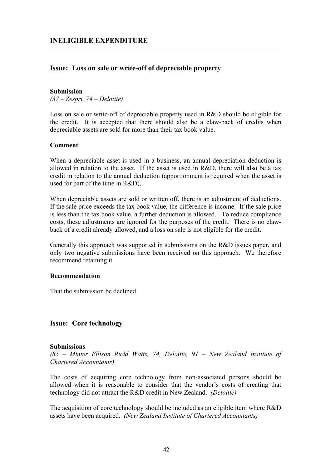# **Issue: Loss on sale or write-off of depreciable property**

#### **Submission**

*(37 – Zespri, 74 – Deloitte)* 

Loss on sale or write-off of depreciable property used in R&D should be eligible for the credit. It is accepted that there should also be a claw-back of credits when depreciable assets are sold for more than their tax book value.

### **Comment**

When a depreciable asset is used in a business, an annual depreciation deduction is allowed in relation to the asset. If the asset is used in R&D, there will also be a tax credit in relation to the annual deduction (apportionment is required when the asset is used for part of the time in R&D).

When depreciable assets are sold or written off, there is an adjustment of deductions. If the sale price exceeds the tax book value, the difference is income. If the sale price is less than the tax book value, a further deduction is allowed. To reduce compliance costs, these adjustments are ignored for the purposes of the credit. There is no clawback of a credit already allowed, and a loss on sale is not eligible for the credit.

Generally this approach was supported in submissions on the R&D issues paper, and only two negative submissions have been received on this approach. We therefore recommend retaining it.

### **Recommendation**

That the submission be declined.

## **Issue: Core technology**

#### **Submissions**

*(85 – Minter Ellison Rudd Watts, 74, Deloitte, 91 – New Zealand Institute of Chartered Accountants)* 

The costs of acquiring core technology from non-associated persons should be allowed when it is reasonable to consider that the vendor's costs of creating that technology did not attract the R&D credit in New Zealand. *(Deloitte)* 

The acquisition of core technology should be included as an eligible item where R&D assets have been acquired. *(New Zealand Institute of Chartered Accountants)*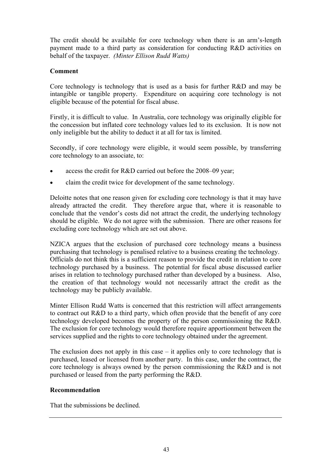The credit should be available for core technology when there is an arm's-length payment made to a third party as consideration for conducting R&D activities on behalf of the taxpayer. *(Minter Ellison Rudd Watts)* 

## **Comment**

Core technology is technology that is used as a basis for further R&D and may be intangible or tangible property. Expenditure on acquiring core technology is not eligible because of the potential for fiscal abuse.

Firstly, it is difficult to value. In Australia, core technology was originally eligible for the concession but inflated core technology values led to its exclusion. It is now not only ineligible but the ability to deduct it at all for tax is limited.

Secondly, if core technology were eligible, it would seem possible, by transferring core technology to an associate, to:

- access the credit for R&D carried out before the 2008–09 year;
- claim the credit twice for development of the same technology.

Deloitte notes that one reason given for excluding core technology is that it may have already attracted the credit. They therefore argue that, where it is reasonable to conclude that the vendor's costs did not attract the credit, the underlying technology should be eligible. We do not agree with the submission. There are other reasons for excluding core technology which are set out above.

NZICA argues that the exclusion of purchased core technology means a business purchasing that technology is penalised relative to a business creating the technology. Officials do not think this is a sufficient reason to provide the credit in relation to core technology purchased by a business. The potential for fiscal abuse discussed earlier arises in relation to technology purchased rather than developed by a business. Also, the creation of that technology would not necessarily attract the credit as the technology may be publicly available.

Minter Ellison Rudd Watts is concerned that this restriction will affect arrangements to contract out R&D to a third party, which often provide that the benefit of any core technology developed becomes the property of the person commissioning the R&D. The exclusion for core technology would therefore require apportionment between the services supplied and the rights to core technology obtained under the agreement.

The exclusion does not apply in this case  $-$  it applies only to core technology that is purchased, leased or licensed from another party. In this case, under the contract, the core technology is always owned by the person commissioning the R&D and is not purchased or leased from the party performing the R&D.

### **Recommendation**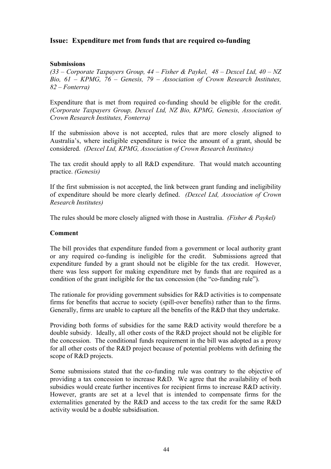# **Issue: Expenditure met from funds that are required co-funding**

### **Submissions**

*(33 – Corporate Taxpayers Group, 44 – Fisher & Paykel, 48 – Dexcel Ltd, 40 – NZ Bio, 61 – KPMG, 76 – Genesis, 79 – Association of Crown Research Institutes, 82 – Fonterra)* 

Expenditure that is met from required co-funding should be eligible for the credit. *(Corporate Taxpayers Group, Dexcel Ltd, NZ Bio, KPMG, Genesis, Association of Crown Research Institutes, Fonterra)* 

If the submission above is not accepted, rules that are more closely aligned to Australia's, where ineligible expenditure is twice the amount of a grant, should be considered. *(Dexcel Ltd, KPMG, Association of Crown Research Institutes)* 

The tax credit should apply to all R&D expenditure. That would match accounting practice. *(Genesis)*

If the first submission is not accepted, the link between grant funding and ineligibility of expenditure should be more clearly defined. *(Dexcel Ltd, Association of Crown Research Institutes)* 

The rules should be more closely aligned with those in Australia. *(Fisher & Paykel)* 

### **Comment**

The bill provides that expenditure funded from a government or local authority grant or any required co-funding is ineligible for the credit. Submissions agreed that expenditure funded by a grant should not be eligible for the tax credit. However, there was less support for making expenditure met by funds that are required as a condition of the grant ineligible for the tax concession (the "co-funding rule").

The rationale for providing government subsidies for R&D activities is to compensate firms for benefits that accrue to society (spill-over benefits) rather than to the firms. Generally, firms are unable to capture all the benefits of the R&D that they undertake.

Providing both forms of subsidies for the same R&D activity would therefore be a double subsidy. Ideally, all other costs of the R&D project should not be eligible for the concession. The conditional funds requirement in the bill was adopted as a proxy for all other costs of the R&D project because of potential problems with defining the scope of R&D projects.

Some submissions stated that the co-funding rule was contrary to the objective of providing a tax concession to increase R&D. We agree that the availability of both subsidies would create further incentives for recipient firms to increase R&D activity. However, grants are set at a level that is intended to compensate firms for the externalities generated by the R&D and access to the tax credit for the same R&D activity would be a double subsidisation.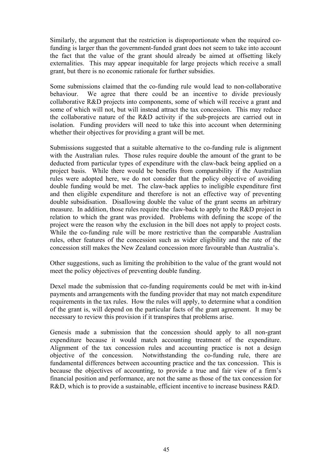Similarly, the argument that the restriction is disproportionate when the required cofunding is larger than the government-funded grant does not seem to take into account the fact that the value of the grant should already be aimed at offsetting likely externalities. This may appear inequitable for large projects which receive a small grant, but there is no economic rationale for further subsidies.

Some submissions claimed that the co-funding rule would lead to non-collaborative behaviour. We agree that there could be an incentive to divide previously collaborative R&D projects into components, some of which will receive a grant and some of which will not, but will instead attract the tax concession. This may reduce the collaborative nature of the R&D activity if the sub-projects are carried out in isolation. Funding providers will need to take this into account when determining whether their objectives for providing a grant will be met.

Submissions suggested that a suitable alternative to the co-funding rule is alignment with the Australian rules. Those rules require double the amount of the grant to be deducted from particular types of expenditure with the claw-back being applied on a project basis. While there would be benefits from comparability if the Australian rules were adopted here, we do not consider that the policy objective of avoiding double funding would be met. The claw-back applies to ineligible expenditure first and then eligible expenditure and therefore is not an effective way of preventing double subsidisation. Disallowing double the value of the grant seems an arbitrary measure. In addition, those rules require the claw-back to apply to the R&D project in relation to which the grant was provided. Problems with defining the scope of the project were the reason why the exclusion in the bill does not apply to project costs. While the co-funding rule will be more restrictive than the comparable Australian rules, other features of the concession such as wider eligibility and the rate of the concession still makes the New Zealand concession more favourable than Australia's.

Other suggestions, such as limiting the prohibition to the value of the grant would not meet the policy objectives of preventing double funding.

Dexel made the submission that co-funding requirements could be met with in-kind payments and arrangements with the funding provider that may not match expenditure requirements in the tax rules. How the rules will apply, to determine what a condition of the grant is, will depend on the particular facts of the grant agreement. It may be necessary to review this provision if it transpires that problems arise.

Genesis made a submission that the concession should apply to all non-grant expenditure because it would match accounting treatment of the expenditure. Alignment of the tax concession rules and accounting practice is not a design objective of the concession. Notwithstanding the co-funding rule, there are fundamental differences between accounting practice and the tax concession. This is because the objectives of accounting, to provide a true and fair view of a firm's financial position and performance, are not the same as those of the tax concession for R&D, which is to provide a sustainable, efficient incentive to increase business R&D.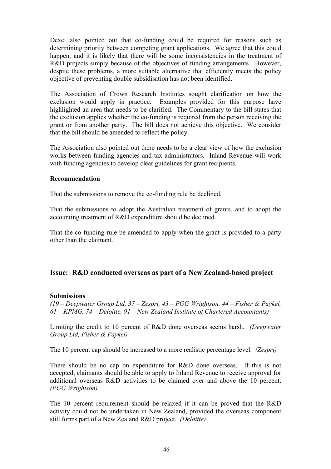Dexel also pointed out that co-funding could be required for reasons such as determining priority between competing grant applications. We agree that this could happen, and it is likely that there will be some inconsistencies in the treatment of R&D projects simply because of the objectives of funding arrangements. However, despite these problems, a more suitable alternative that efficiently meets the policy objective of preventing double subsidisation has not been identified.

The Association of Crown Research Institutes sought clarification on how the exclusion would apply in practice. Examples provided for this purpose have highlighted an area that needs to be clarified. The Commentary to the bill states that the exclusion applies whether the co-funding is required from the person receiving the grant or from another party. The bill does not achieve this objective. We consider that the bill should be amended to reflect the policy.

The Association also pointed out there needs to be a clear view of how the exclusion works between funding agencies and tax administrators. Inland Revenue will work with funding agencies to develop clear guidelines for grant recipients.

#### **Recommendation**

That the submissions to remove the co-funding rule be declined.

That the submissions to adopt the Australian treatment of grants, and to adopt the accounting treatment of R&D expenditure should be declined.

That the co-funding rule be amended to apply when the grant is provided to a party other than the claimant.

## **Issue: R&D conducted overseas as part of a New Zealand-based project**

#### **Submissions**

*(19 – Deepwater Group Ltd, 37 – Zespri, 43 – PGG Wrightson, 44 – Fisher & Paykel, 61 – KPMG, 74 – Deloitte, 91 – New Zealand Institute of Chartered Accountants)* 

Limiting the credit to 10 percent of R&D done overseas seems harsh. *(Deepwater Group Ltd, Fisher & Paykel)*

The 10 percent cap should be increased to a more realistic percentage level. *(Zespri)*

There should be no cap on expenditure for R&D done overseas. If this is not accepted, claimants should be able to apply to Inland Revenue to receive approval for additional overseas R&D activities to be claimed over and above the 10 percent. *(PGG Wrightson)* 

The 10 percent requirement should be relaxed if it can be proved that the R&D activity could not be undertaken in New Zealand, provided the overseas component still forms part of a New Zealand R&D project. *(Deloitte)*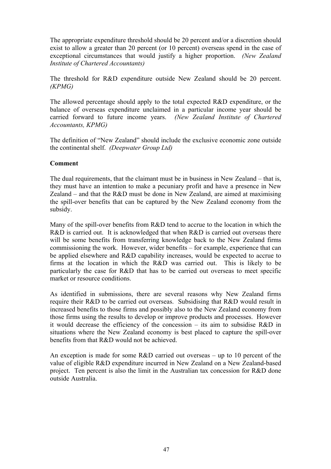The appropriate expenditure threshold should be 20 percent and/or a discretion should exist to allow a greater than 20 percent (or 10 percent) overseas spend in the case of exceptional circumstances that would justify a higher proportion. *(New Zealand Institute of Chartered Accountants)*

The threshold for R&D expenditure outside New Zealand should be 20 percent. *(KPMG)*

The allowed percentage should apply to the total expected R&D expenditure, or the balance of overseas expenditure unclaimed in a particular income year should be carried forward to future income years. *(New Zealand Institute of Chartered Accountants, KPMG)*

The definition of "New Zealand" should include the exclusive economic zone outside the continental shelf. *(Deepwater Group Ltd)*

## **Comment**

The dual requirements, that the claimant must be in business in New Zealand – that is, they must have an intention to make a pecuniary profit and have a presence in New Zealand – and that the R&D must be done in New Zealand, are aimed at maximising the spill-over benefits that can be captured by the New Zealand economy from the subsidy.

Many of the spill-over benefits from R&D tend to accrue to the location in which the R&D is carried out. It is acknowledged that when R&D is carried out overseas there will be some benefits from transferring knowledge back to the New Zealand firms commissioning the work. However, wider benefits – for example, experience that can be applied elsewhere and R&D capability increases, would be expected to accrue to firms at the location in which the R&D was carried out. This is likely to be particularly the case for R&D that has to be carried out overseas to meet specific market or resource conditions.

As identified in submissions, there are several reasons why New Zealand firms require their R&D to be carried out overseas. Subsidising that R&D would result in increased benefits to those firms and possibly also to the New Zealand economy from those firms using the results to develop or improve products and processes. However it would decrease the efficiency of the concession – its aim to subsidise R&D in situations where the New Zealand economy is best placed to capture the spill-over benefits from that R&D would not be achieved.

An exception is made for some R&D carried out overseas – up to 10 percent of the value of eligible R&D expenditure incurred in New Zealand on a New Zealand-based project. Ten percent is also the limit in the Australian tax concession for R&D done outside Australia.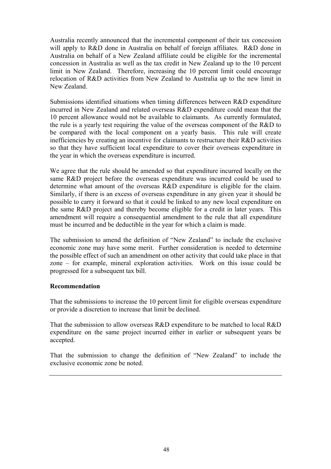Australia recently announced that the incremental component of their tax concession will apply to R&D done in Australia on behalf of foreign affiliates. R&D done in Australia on behalf of a New Zealand affiliate could be eligible for the incremental concession in Australia as well as the tax credit in New Zealand up to the 10 percent limit in New Zealand. Therefore, increasing the 10 percent limit could encourage relocation of R&D activities from New Zealand to Australia up to the new limit in New Zealand.

Submissions identified situations when timing differences between R&D expenditure incurred in New Zealand and related overseas R&D expenditure could mean that the 10 percent allowance would not be available to claimants. As currently formulated, the rule is a yearly test requiring the value of the overseas component of the R&D to be compared with the local component on a yearly basis. This rule will create inefficiencies by creating an incentive for claimants to restructure their R&D activities so that they have sufficient local expenditure to cover their overseas expenditure in the year in which the overseas expenditure is incurred.

We agree that the rule should be amended so that expenditure incurred locally on the same R&D project before the overseas expenditure was incurred could be used to determine what amount of the overseas R&D expenditure is eligible for the claim. Similarly, if there is an excess of overseas expenditure in any given year it should be possible to carry it forward so that it could be linked to any new local expenditure on the same R&D project and thereby become eligible for a credit in later years. This amendment will require a consequential amendment to the rule that all expenditure must be incurred and be deductible in the year for which a claim is made.

The submission to amend the definition of "New Zealand" to include the exclusive economic zone may have some merit. Further consideration is needed to determine the possible effect of such an amendment on other activity that could take place in that zone – for example, mineral exploration activities. Work on this issue could be progressed for a subsequent tax bill.

### **Recommendation**

That the submissions to increase the 10 percent limit for eligible overseas expenditure or provide a discretion to increase that limit be declined.

That the submission to allow overseas R&D expenditure to be matched to local R&D expenditure on the same project incurred either in earlier or subsequent years be accepted.

That the submission to change the definition of "New Zealand" to include the exclusive economic zone be noted.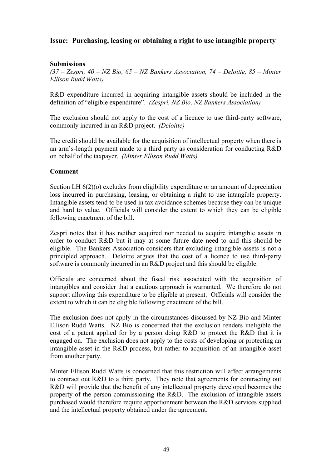# **Issue: Purchasing, leasing or obtaining a right to use intangible property**

## **Submissions**

*(37 – Zespri, 40 – NZ Bio, 65 – NZ Bankers Association, 74 – Deloitte, 85 – Minter Ellison Rudd Watts)* 

R&D expenditure incurred in acquiring intangible assets should be included in the definition of "eligible expenditure". *(Zespri, NZ Bio, NZ Bankers Association)* 

The exclusion should not apply to the cost of a licence to use third-party software, commonly incurred in an R&D project. *(Deloitte)* 

The credit should be available for the acquisition of intellectual property when there is an arm's-length payment made to a third party as consideration for conducting R&D on behalf of the taxpayer. *(Minter Ellison Rudd Watts)* 

### **Comment**

Section LH  $6(2)(0)$  excludes from eligibility expenditure or an amount of depreciation loss incurred in purchasing, leasing, or obtaining a right to use intangible property. Intangible assets tend to be used in tax avoidance schemes because they can be unique and hard to value. Officials will consider the extent to which they can be eligible following enactment of the bill.

Zespri notes that it has neither acquired nor needed to acquire intangible assets in order to conduct R&D but it may at some future date need to and this should be eligible. The Bankers Association considers that excluding intangible assets is not a principled approach. Deloitte argues that the cost of a licence to use third-party software is commonly incurred in an R&D project and this should be eligible.

Officials are concerned about the fiscal risk associated with the acquisition of intangibles and consider that a cautious approach is warranted. We therefore do not support allowing this expenditure to be eligible at present. Officials will consider the extent to which it can be eligible following enactment of the bill.

The exclusion does not apply in the circumstances discussed by NZ Bio and Minter Ellison Rudd Watts. NZ Bio is concerned that the exclusion renders ineligible the cost of a patent applied for by a person doing R&D to protect the R&D that it is engaged on. The exclusion does not apply to the costs of developing or protecting an intangible asset in the R&D process, but rather to acquisition of an intangible asset from another party.

Minter Ellison Rudd Watts is concerned that this restriction will affect arrangements to contract out R&D to a third party. They note that agreements for contracting out R&D will provide that the benefit of any intellectual property developed becomes the property of the person commissioning the R&D. The exclusion of intangible assets purchased would therefore require apportionment between the R&D services supplied and the intellectual property obtained under the agreement.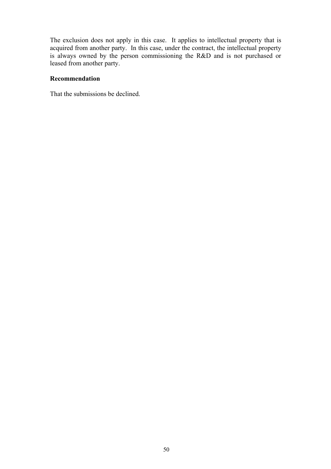The exclusion does not apply in this case. It applies to intellectual property that is acquired from another party. In this case, under the contract, the intellectual property is always owned by the person commissioning the R&D and is not purchased or leased from another party.

## **Recommendation**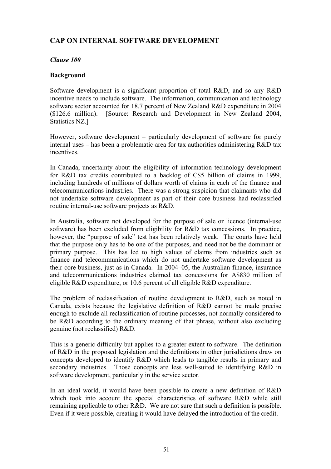# *Clause 100*

## **Background**

Software development is a significant proportion of total R&D, and so any R&D incentive needs to include software. The information, communication and technology software sector accounted for 18.7 percent of New Zealand R&D expenditure in 2004 (\$126.6 million). [Source: Research and Development in New Zealand 2004, Statistics NZ.]

However, software development – particularly development of software for purely internal uses – has been a problematic area for tax authorities administering R&D tax incentives.

In Canada, uncertainty about the eligibility of information technology development for R&D tax credits contributed to a backlog of C\$5 billion of claims in 1999, including hundreds of millions of dollars worth of claims in each of the finance and telecommunications industries. There was a strong suspicion that claimants who did not undertake software development as part of their core business had reclassified routine internal-use software projects as R&D.

In Australia, software not developed for the purpose of sale or licence (internal-use software) has been excluded from eligibility for R&D tax concessions. In practice, however, the "purpose of sale" test has been relatively weak. The courts have held that the purpose only has to be one of the purposes, and need not be the dominant or primary purpose. This has led to high values of claims from industries such as finance and telecommunications which do not undertake software development as their core business, just as in Canada. In 2004–05, the Australian finance, insurance and telecommunications industries claimed tax concessions for A\$830 million of eligible R&D expenditure, or 10.6 percent of all eligible R&D expenditure.

The problem of reclassification of routine development to R&D, such as noted in Canada, exists because the legislative definition of R&D cannot be made precise enough to exclude all reclassification of routine processes, not normally considered to be R&D according to the ordinary meaning of that phrase, without also excluding genuine (not reclassified) R&D.

This is a generic difficulty but applies to a greater extent to software. The definition of R&D in the proposed legislation and the definitions in other jurisdictions draw on concepts developed to identify R&D which leads to tangible results in primary and secondary industries. Those concepts are less well-suited to identifying R&D in software development, particularly in the service sector.

In an ideal world, it would have been possible to create a new definition of R&D which took into account the special characteristics of software R&D while still remaining applicable to other R&D. We are not sure that such a definition is possible. Even if it were possible, creating it would have delayed the introduction of the credit.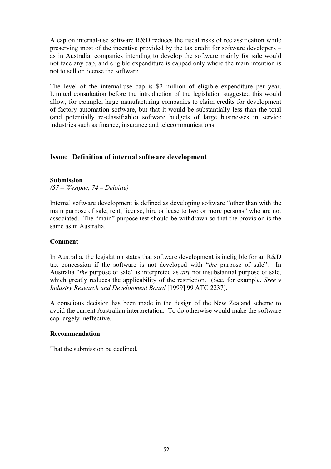A cap on internal-use software R&D reduces the fiscal risks of reclassification while preserving most of the incentive provided by the tax credit for software developers – as in Australia, companies intending to develop the software mainly for sale would not face any cap, and eligible expenditure is capped only where the main intention is not to sell or license the software.

The level of the internal-use cap is \$2 million of eligible expenditure per year. Limited consultation before the introduction of the legislation suggested this would allow, for example, large manufacturing companies to claim credits for development of factory automation software, but that it would be substantially less than the total (and potentially re-classifiable) software budgets of large businesses in service industries such as finance, insurance and telecommunications.

# **Issue: Definition of internal software development**

### **Submission**

*(57 – Westpac, 74 – Deloitte)* 

Internal software development is defined as developing software "other than with the main purpose of sale, rent, license, hire or lease to two or more persons" who are not associated. The "main" purpose test should be withdrawn so that the provision is the same as in Australia.

### **Comment**

In Australia, the legislation states that software development is ineligible for an R&D tax concession if the software is not developed with "*the* purpose of sale". In Australia "*the* purpose of sale" is interpreted as *any* not insubstantial purpose of sale, which greatly reduces the applicability of the restriction. (See, for example, *Sree v Industry Research and Development Board* [1999] 99 ATC 2237).

A conscious decision has been made in the design of the New Zealand scheme to avoid the current Australian interpretation. To do otherwise would make the software cap largely ineffective.

### **Recommendation**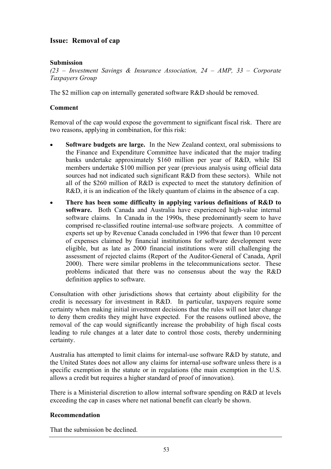# **Issue: Removal of cap**

## **Submission**

*(23 – Investment Savings & Insurance Association, 24 – AMP, 33 – Corporate Taxpayers Group* 

The \$2 million cap on internally generated software R&D should be removed.

## **Comment**

Removal of the cap would expose the government to significant fiscal risk. There are two reasons, applying in combination, for this risk:

- **Software budgets are large.** In the New Zealand context, oral submissions to the Finance and Expenditure Committee have indicated that the major trading banks undertake approximately \$160 million per year of R&D, while ISI members undertake \$100 million per year (previous analysis using official data sources had not indicated such significant R&D from these sectors). While not all of the \$260 million of R&D is expected to meet the statutory definition of R&D, it is an indication of the likely quantum of claims in the absence of a cap.
- **There has been some difficulty in applying various definitions of R&D to software.** Both Canada and Australia have experienced high-value internal software claims. In Canada in the 1990s, these predominantly seem to have comprised re-classified routine internal-use software projects. A committee of experts set up by Revenue Canada concluded in 1996 that fewer than 10 percent of expenses claimed by financial institutions for software development were eligible, but as late as 2000 financial institutions were still challenging the assessment of rejected claims (Report of the Auditor-General of Canada, April 2000). There were similar problems in the telecommunications sector. These problems indicated that there was no consensus about the way the R&D definition applies to software.

Consultation with other jurisdictions shows that certainty about eligibility for the credit is necessary for investment in R&D. In particular, taxpayers require some certainty when making initial investment decisions that the rules will not later change to deny them credits they might have expected. For the reasons outlined above, the removal of the cap would significantly increase the probability of high fiscal costs leading to rule changes at a later date to control those costs, thereby undermining certainty.

Australia has attempted to limit claims for internal-use software R&D by statute, and the United States does not allow any claims for internal-use software unless there is a specific exemption in the statute or in regulations (the main exemption in the U.S. allows a credit but requires a higher standard of proof of innovation).

There is a Ministerial discretion to allow internal software spending on R&D at levels exceeding the cap in cases where net national benefit can clearly be shown.

### **Recommendation**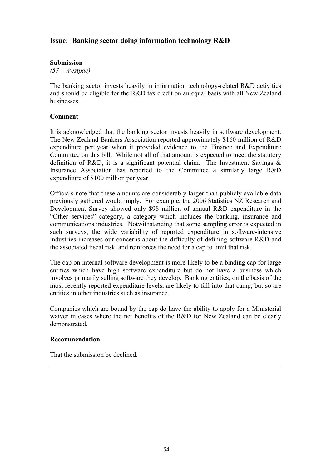# **Issue: Banking sector doing information technology R&D**

### **Submission**

*(57 – Westpac)* 

The banking sector invests heavily in information technology-related R&D activities and should be eligible for the R&D tax credit on an equal basis with all New Zealand businesses.

### **Comment**

It is acknowledged that the banking sector invests heavily in software development. The New Zealand Bankers Association reported approximately \$160 million of R&D expenditure per year when it provided evidence to the Finance and Expenditure Committee on this bill. While not all of that amount is expected to meet the statutory definition of R&D, it is a significant potential claim. The Investment Savings  $\&$ Insurance Association has reported to the Committee a similarly large R&D expenditure of \$100 million per year.

Officials note that these amounts are considerably larger than publicly available data previously gathered would imply. For example, the 2006 Statistics NZ Research and Development Survey showed only \$98 million of annual R&D expenditure in the "Other services" category, a category which includes the banking, insurance and communications industries. Notwithstanding that some sampling error is expected in such surveys, the wide variability of reported expenditure in software-intensive industries increases our concerns about the difficulty of defining software R&D and the associated fiscal risk, and reinforces the need for a cap to limit that risk.

The cap on internal software development is more likely to be a binding cap for large entities which have high software expenditure but do not have a business which involves primarily selling software they develop. Banking entities, on the basis of the most recently reported expenditure levels, are likely to fall into that camp, but so are entities in other industries such as insurance.

Companies which are bound by the cap do have the ability to apply for a Ministerial waiver in cases where the net benefits of the R&D for New Zealand can be clearly demonstrated.

### **Recommendation**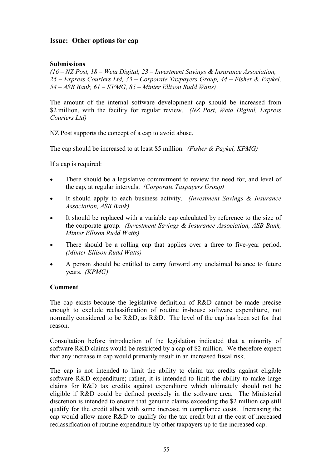# **Issue: Other options for cap**

## **Submissions**

*(16 – NZ Post, 18 – Weta Digital, 23 – Investment Savings & Insurance Association, 25 – Express Couriers Ltd, 33 – Corporate Taxpayers Group, 44 – Fisher & Paykel, 54 – ASB Bank, 61 – KPMG, 85 – Minter Ellison Rudd Watts)* 

The amount of the internal software development cap should be increased from \$2 million, with the facility for regular review. *(NZ Post, Weta Digital, Express Couriers Ltd)* 

NZ Post supports the concept of a cap to avoid abuse.

The cap should be increased to at least \$5 million. *(Fisher & Paykel, KPMG)*

If a cap is required:

- There should be a legislative commitment to review the need for, and level of the cap, at regular intervals. *(Corporate Taxpayers Group)*
- It should apply to each business activity. *(Investment Savings & Insurance Association, ASB Bank)*
- It should be replaced with a variable cap calculated by reference to the size of the corporate group. *(Investment Savings & Insurance Association, ASB Bank, Minter Ellison Rudd Watts)*
- There should be a rolling cap that applies over a three to five-year period. *(Minter Ellison Rudd Watts)*
- A person should be entitled to carry forward any unclaimed balance to future years. *(KPMG)*

### **Comment**

The cap exists because the legislative definition of R&D cannot be made precise enough to exclude reclassification of routine in-house software expenditure, not normally considered to be R&D, as R&D. The level of the cap has been set for that reason.

Consultation before introduction of the legislation indicated that a minority of software R&D claims would be restricted by a cap of \$2 million. We therefore expect that any increase in cap would primarily result in an increased fiscal risk.

The cap is not intended to limit the ability to claim tax credits against eligible software R&D expenditure; rather, it is intended to limit the ability to make large claims for R&D tax credits against expenditure which ultimately should not be eligible if R&D could be defined precisely in the software area. The Ministerial discretion is intended to ensure that genuine claims exceeding the \$2 million cap still qualify for the credit albeit with some increase in compliance costs. Increasing the cap would allow more R&D to qualify for the tax credit but at the cost of increased reclassification of routine expenditure by other taxpayers up to the increased cap.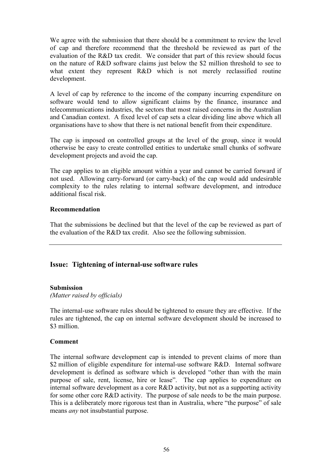We agree with the submission that there should be a commitment to review the level of cap and therefore recommend that the threshold be reviewed as part of the evaluation of the R&D tax credit. We consider that part of this review should focus on the nature of R&D software claims just below the \$2 million threshold to see to what extent they represent R&D which is not merely reclassified routine development.

A level of cap by reference to the income of the company incurring expenditure on software would tend to allow significant claims by the finance, insurance and telecommunications industries, the sectors that most raised concerns in the Australian and Canadian context. A fixed level of cap sets a clear dividing line above which all organisations have to show that there is net national benefit from their expenditure.

The cap is imposed on controlled groups at the level of the group, since it would otherwise be easy to create controlled entities to undertake small chunks of software development projects and avoid the cap.

The cap applies to an eligible amount within a year and cannot be carried forward if not used. Allowing carry-forward (or carry-back) of the cap would add undesirable complexity to the rules relating to internal software development, and introduce additional fiscal risk.

## **Recommendation**

That the submissions be declined but that the level of the cap be reviewed as part of the evaluation of the R&D tax credit. Also see the following submission.

## **Issue: Tightening of internal-use software rules**

### **Submission**

*(Matter raised by officials)* 

The internal-use software rules should be tightened to ensure they are effective. If the rules are tightened, the cap on internal software development should be increased to \$3 million.

## **Comment**

The internal software development cap is intended to prevent claims of more than \$2 million of eligible expenditure for internal-use software R&D. Internal software development is defined as software which is developed "other than with the main purpose of sale, rent, license, hire or lease". The cap applies to expenditure on internal software development as a core R&D activity, but not as a supporting activity for some other core R&D activity. The purpose of sale needs to be the main purpose. This is a deliberately more rigorous test than in Australia, where "the purpose" of sale means *any* not insubstantial purpose.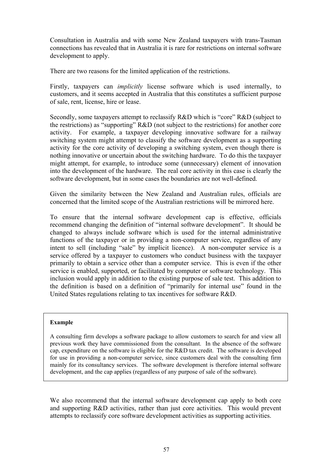Consultation in Australia and with some New Zealand taxpayers with trans-Tasman connections has revealed that in Australia it is rare for restrictions on internal software development to apply.

There are two reasons for the limited application of the restrictions.

Firstly, taxpayers can *implicitly* license software which is used internally, to customers, and it seems accepted in Australia that this constitutes a sufficient purpose of sale, rent, license, hire or lease.

Secondly, some taxpayers attempt to reclassify R&D which is "core" R&D (subject to the restrictions) as "supporting" R&D (not subject to the restrictions) for another core activity. For example, a taxpayer developing innovative software for a railway switching system might attempt to classify the software development as a supporting activity for the core activity of developing a switching system, even though there is nothing innovative or uncertain about the switching hardware. To do this the taxpayer might attempt, for example, to introduce some (unnecessary) element of innovation into the development of the hardware. The real core activity in this case is clearly the software development, but in some cases the boundaries are not well-defined.

Given the similarity between the New Zealand and Australian rules, officials are concerned that the limited scope of the Australian restrictions will be mirrored here.

To ensure that the internal software development cap is effective, officials recommend changing the definition of "internal software development". It should be changed to always include software which is used for the internal administrative functions of the taxpayer or in providing a non-computer service, regardless of any intent to sell (including "sale" by implicit licence). A non-computer service is a service offered by a taxpayer to customers who conduct business with the taxpayer primarily to obtain a service other than a computer service. This is even if the other service is enabled, supported, or facilitated by computer or software technology. This inclusion would apply in addition to the existing purpose of sale test. This addition to the definition is based on a definition of "primarily for internal use" found in the United States regulations relating to tax incentives for software R&D.

### **Example**

A consulting firm develops a software package to allow customers to search for and view all previous work they have commissioned from the consultant. In the absence of the software cap, expenditure on the software is eligible for the R&D tax credit. The software is developed for use in providing a non-computer service, since customers deal with the consulting firm mainly for its consultancy services. The software development is therefore internal software development, and the cap applies (regardless of any purpose of sale of the software).

We also recommend that the internal software development cap apply to both core and supporting R&D activities, rather than just core activities. This would prevent attempts to reclassify core software development activities as supporting activities.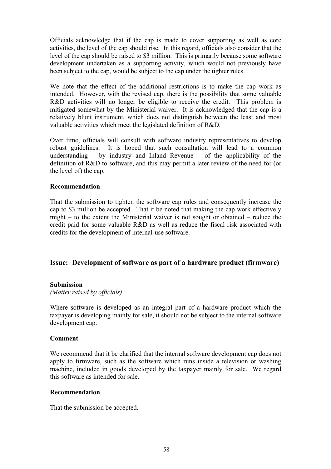Officials acknowledge that if the cap is made to cover supporting as well as core activities, the level of the cap should rise. In this regard, officials also consider that the level of the cap should be raised to \$3 million. This is primarily because some software development undertaken as a supporting activity, which would not previously have been subject to the cap, would be subject to the cap under the tighter rules.

We note that the effect of the additional restrictions is to make the cap work as intended. However, with the revised cap, there is the possibility that some valuable R&D activities will no longer be eligible to receive the credit. This problem is mitigated somewhat by the Ministerial waiver. It is acknowledged that the cap is a relatively blunt instrument, which does not distinguish between the least and most valuable activities which meet the legislated definition of R&D.

Over time, officials will consult with software industry representatives to develop robust guidelines. It is hoped that such consultation will lead to a common understanding  $-$  by industry and Inland Revenue  $-$  of the applicability of the definition of R&D to software, and this may permit a later review of the need for (or the level of) the cap.

## **Recommendation**

That the submission to tighten the software cap rules and consequently increase the cap to \$3 million be accepted. That it be noted that making the cap work effectively might – to the extent the Ministerial waiver is not sought or obtained – reduce the credit paid for some valuable R&D as well as reduce the fiscal risk associated with credits for the development of internal-use software.

# **Issue: Development of software as part of a hardware product (firmware)**

### **Submission**

*(Matter raised by officials)* 

Where software is developed as an integral part of a hardware product which the taxpayer is developing mainly for sale, it should not be subject to the internal software development cap.

### **Comment**

We recommend that it be clarified that the internal software development cap does not apply to firmware, such as the software which runs inside a television or washing machine, included in goods developed by the taxpayer mainly for sale. We regard this software as intended for sale.

### **Recommendation**

That the submission be accepted.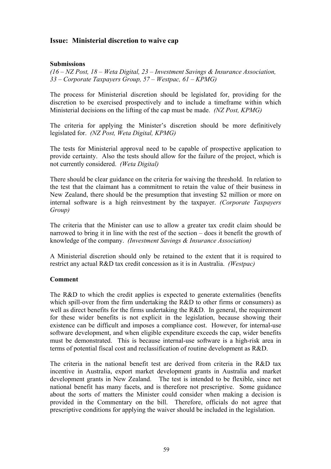# **Issue: Ministerial discretion to waive cap**

### **Submissions**

*(16 – NZ Post, 18 – Weta Digital, 23 – Investment Savings & Insurance Association, 33 – Corporate Taxpayers Group, 57 – Westpac, 61 – KPMG)* 

The process for Ministerial discretion should be legislated for, providing for the discretion to be exercised prospectively and to include a timeframe within which Ministerial decisions on the lifting of the cap must be made. *(NZ Post, KPMG)* 

The criteria for applying the Minister's discretion should be more definitively legislated for. *(NZ Post, Weta Digital, KPMG)* 

The tests for Ministerial approval need to be capable of prospective application to provide certainty. Also the tests should allow for the failure of the project, which is not currently considered. *(Weta Digital)*

There should be clear guidance on the criteria for waiving the threshold. In relation to the test that the claimant has a commitment to retain the value of their business in New Zealand, there should be the presumption that investing \$2 million or more on internal software is a high reinvestment by the taxpayer. *(Corporate Taxpayers Group)*

The criteria that the Minister can use to allow a greater tax credit claim should be narrowed to bring it in line with the rest of the section – does it benefit the growth of knowledge of the company. *(Investment Savings & Insurance Association)*

A Ministerial discretion should only be retained to the extent that it is required to restrict any actual R&D tax credit concession as it is in Australia. *(Westpac)*

### **Comment**

The R&D to which the credit applies is expected to generate externalities (benefits which spill-over from the firm undertaking the R&D to other firms or consumers) as well as direct benefits for the firms undertaking the R&D. In general, the requirement for these wider benefits is not explicit in the legislation, because showing their existence can be difficult and imposes a compliance cost. However, for internal-use software development, and when eligible expenditure exceeds the cap, wider benefits must be demonstrated. This is because internal-use software is a high-risk area in terms of potential fiscal cost and reclassification of routine development as R&D.

The criteria in the national benefit test are derived from criteria in the R&D tax incentive in Australia, export market development grants in Australia and market development grants in New Zealand. The test is intended to be flexible, since net national benefit has many facets, and is therefore not prescriptive. Some guidance about the sorts of matters the Minister could consider when making a decision is provided in the Commentary on the bill. Therefore, officials do not agree that prescriptive conditions for applying the waiver should be included in the legislation.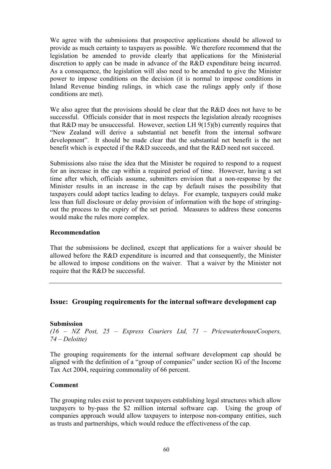We agree with the submissions that prospective applications should be allowed to provide as much certainty to taxpayers as possible. We therefore recommend that the legislation be amended to provide clearly that applications for the Ministerial discretion to apply can be made in advance of the R&D expenditure being incurred. As a consequence, the legislation will also need to be amended to give the Minister power to impose conditions on the decision (it is normal to impose conditions in Inland Revenue binding rulings, in which case the rulings apply only if those conditions are met).

We also agree that the provisions should be clear that the R&D does not have to be successful. Officials consider that in most respects the legislation already recognises that R&D may be unsuccessful. However, section LH  $9(15)(b)$  currently requires that "New Zealand will derive a substantial net benefit from the internal software development". It should be made clear that the substantial net benefit is the net benefit which is expected if the R&D succeeds, and that the R&D need not succeed.

Submissions also raise the idea that the Minister be required to respond to a request for an increase in the cap within a required period of time. However, having a set time after which, officials assume, submitters envision that a non-response by the Minister results in an increase in the cap by default raises the possibility that taxpayers could adopt tactics leading to delays. For example, taxpayers could make less than full disclosure or delay provision of information with the hope of stringingout the process to the expiry of the set period. Measures to address these concerns would make the rules more complex.

### **Recommendation**

That the submissions be declined, except that applications for a waiver should be allowed before the R&D expenditure is incurred and that consequently, the Minister be allowed to impose conditions on the waiver. That a waiver by the Minister not require that the R&D be successful.

## **Issue: Grouping requirements for the internal software development cap**

### **Submission**

*(16 – NZ Post, 25 – Express Couriers Ltd, 71 – PricewaterhouseCoopers, 74 – Deloitte)* 

The grouping requirements for the internal software development cap should be aligned with the definition of a "group of companies" under section IG of the Income Tax Act 2004, requiring commonality of 66 percent.

### **Comment**

The grouping rules exist to prevent taxpayers establishing legal structures which allow taxpayers to by-pass the \$2 million internal software cap. Using the group of companies approach would allow taxpayers to interpose non-company entities, such as trusts and partnerships, which would reduce the effectiveness of the cap.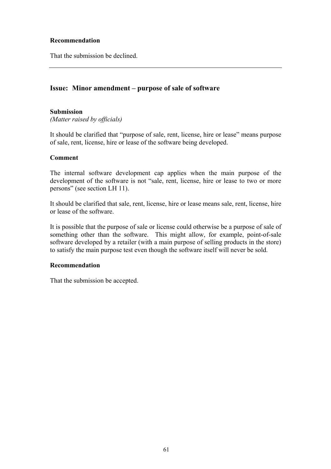## **Recommendation**

That the submission be declined.

# **Issue: Minor amendment – purpose of sale of software**

### **Submission**

*(Matter raised by officials)* 

It should be clarified that "purpose of sale, rent, license, hire or lease" means purpose of sale, rent, license, hire or lease of the software being developed.

### **Comment**

The internal software development cap applies when the main purpose of the development of the software is not "sale, rent, license, hire or lease to two or more persons" (see section LH 11).

It should be clarified that sale, rent, license, hire or lease means sale, rent, license, hire or lease of the software.

It is possible that the purpose of sale or license could otherwise be a purpose of sale of something other than the software. This might allow, for example, point-of-sale software developed by a retailer (with a main purpose of selling products in the store) to satisfy the main purpose test even though the software itself will never be sold.

### **Recommendation**

That the submission be accepted.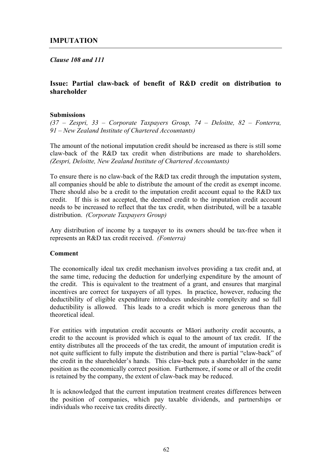# **IMPUTATION**

*Clause 108 and 111* 

## **Issue: Partial claw-back of benefit of R&D credit on distribution to shareholder**

#### **Submissions**

*(37 – Zespri, 33 – Corporate Taxpayers Group, 74 – Deloitte, 82 – Fonterra, 91 – New Zealand Institute of Chartered Accountants)* 

The amount of the notional imputation credit should be increased as there is still some claw-back of the R&D tax credit when distributions are made to shareholders. *(Zespri, Deloitte, New Zealand Institute of Chartered Accountants)*

To ensure there is no claw-back of the R&D tax credit through the imputation system, all companies should be able to distribute the amount of the credit as exempt income. There should also be a credit to the imputation credit account equal to the R&D tax credit. If this is not accepted, the deemed credit to the imputation credit account needs to be increased to reflect that the tax credit, when distributed, will be a taxable distribution. *(Corporate Taxpayers Group)* 

Any distribution of income by a taxpayer to its owners should be tax-free when it represents an R&D tax credit received. *(Fonterra)* 

#### **Comment**

The economically ideal tax credit mechanism involves providing a tax credit and, at the same time, reducing the deduction for underlying expenditure by the amount of the credit. This is equivalent to the treatment of a grant, and ensures that marginal incentives are correct for taxpayers of all types. In practice, however, reducing the deductibility of eligible expenditure introduces undesirable complexity and so full deductibility is allowed. This leads to a credit which is more generous than the theoretical ideal.

For entities with imputation credit accounts or Māori authority credit accounts, a credit to the account is provided which is equal to the amount of tax credit. If the entity distributes all the proceeds of the tax credit, the amount of imputation credit is not quite sufficient to fully impute the distribution and there is partial "claw-back" of the credit in the shareholder's hands. This claw-back puts a shareholder in the same position as the economically correct position. Furthermore, if some or all of the credit is retained by the company, the extent of claw-back may be reduced.

It is acknowledged that the current imputation treatment creates differences between the position of companies, which pay taxable dividends, and partnerships or individuals who receive tax credits directly.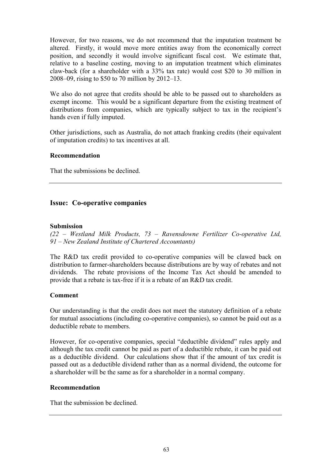However, for two reasons, we do not recommend that the imputation treatment be altered. Firstly, it would move more entities away from the economically correct position, and secondly it would involve significant fiscal cost. We estimate that, relative to a baseline costing, moving to an imputation treatment which eliminates claw-back (for a shareholder with a 33% tax rate) would cost \$20 to 30 million in 2008–09, rising to \$50 to 70 million by 2012–13.

We also do not agree that credits should be able to be passed out to shareholders as exempt income. This would be a significant departure from the existing treatment of distributions from companies, which are typically subject to tax in the recipient's hands even if fully imputed.

Other jurisdictions, such as Australia, do not attach franking credits (their equivalent of imputation credits) to tax incentives at all.

## **Recommendation**

That the submissions be declined.

# **Issue: Co-operative companies**

#### **Submission**

*(22 – Westland Milk Products, 73 – Ravensdowne Fertilizer Co-operative Ltd, 91 – New Zealand Institute of Chartered Accountants)* 

The R&D tax credit provided to co-operative companies will be clawed back on distribution to farmer-shareholders because distributions are by way of rebates and not dividends. The rebate provisions of the Income Tax Act should be amended to provide that a rebate is tax-free if it is a rebate of an R&D tax credit.

### **Comment**

Our understanding is that the credit does not meet the statutory definition of a rebate for mutual associations (including co-operative companies), so cannot be paid out as a deductible rebate to members.

However, for co-operative companies, special "deductible dividend" rules apply and although the tax credit cannot be paid as part of a deductible rebate, it can be paid out as a deductible dividend. Our calculations show that if the amount of tax credit is passed out as a deductible dividend rather than as a normal dividend, the outcome for a shareholder will be the same as for a shareholder in a normal company.

### **Recommendation**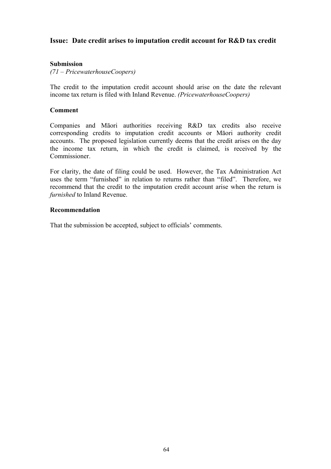# **Issue: Date credit arises to imputation credit account for R&D tax credit**

## **Submission**

*(71 – PricewaterhouseCoopers)* 

The credit to the imputation credit account should arise on the date the relevant income tax return is filed with Inland Revenue. *(PricewaterhouseCoopers)* 

#### **Comment**

Companies and Māori authorities receiving R&D tax credits also receive corresponding credits to imputation credit accounts or Māori authority credit accounts. The proposed legislation currently deems that the credit arises on the day the income tax return, in which the credit is claimed, is received by the Commissioner.

For clarity, the date of filing could be used. However, the Tax Administration Act uses the term "furnished" in relation to returns rather than "filed". Therefore, we recommend that the credit to the imputation credit account arise when the return is *furnished* to Inland Revenue.

#### **Recommendation**

That the submission be accepted, subject to officials' comments.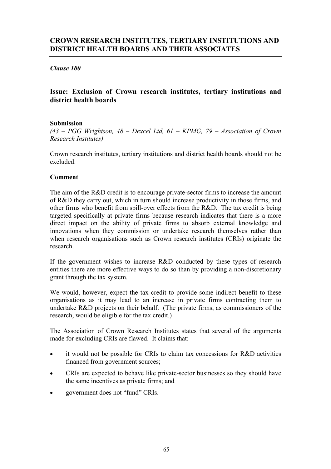# **CROWN RESEARCH INSTITUTES, TERTIARY INSTITUTIONS AND DISTRICT HEALTH BOARDS AND THEIR ASSOCIATES**

## *Clause 100*

# **Issue: Exclusion of Crown research institutes, tertiary institutions and district health boards**

### **Submission**

*(43 – PGG Wrightson, 48 – Dexcel Ltd, 61 – KPMG, 79 – Association of Crown Research Institutes)* 

Crown research institutes, tertiary institutions and district health boards should not be excluded.

### **Comment**

The aim of the R&D credit is to encourage private-sector firms to increase the amount of R&D they carry out, which in turn should increase productivity in those firms, and other firms who benefit from spill-over effects from the R&D. The tax credit is being targeted specifically at private firms because research indicates that there is a more direct impact on the ability of private firms to absorb external knowledge and innovations when they commission or undertake research themselves rather than when research organisations such as Crown research institutes (CRIs) originate the research.

If the government wishes to increase R&D conducted by these types of research entities there are more effective ways to do so than by providing a non-discretionary grant through the tax system.

We would, however, expect the tax credit to provide some indirect benefit to these organisations as it may lead to an increase in private firms contracting them to undertake R&D projects on their behalf. (The private firms, as commissioners of the research, would be eligible for the tax credit.)

The Association of Crown Research Institutes states that several of the arguments made for excluding CRIs are flawed. It claims that:

- it would not be possible for CRIs to claim tax concessions for R&D activities financed from government sources;
- CRIs are expected to behave like private-sector businesses so they should have the same incentives as private firms; and
- government does not "fund" CRIs.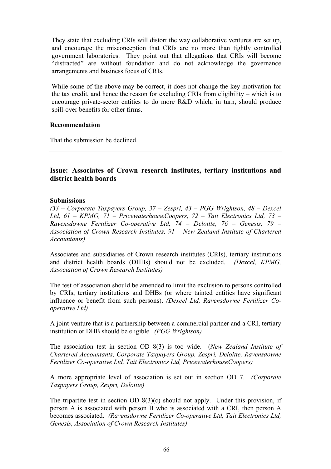They state that excluding CRIs will distort the way collaborative ventures are set up, and encourage the misconception that CRIs are no more than tightly controlled government laboratories. They point out that allegations that CRIs will become "distracted" are without foundation and do not acknowledge the governance arrangements and business focus of CRIs.

While some of the above may be correct, it does not change the key motivation for the tax credit, and hence the reason for excluding CRIs from eligibility – which is to encourage private-sector entities to do more R&D which, in turn, should produce spill-over benefits for other firms.

#### **Recommendation**

That the submission be declined.

# **Issue: Associates of Crown research institutes, tertiary institutions and district health boards**

#### **Submissions**

*(33 – Corporate Taxpayers Group, 37 – Zespri, 43 – PGG Wrightson, 48 – Dexcel Ltd, 61 – KPMG, 71 – PricewaterhouseCoopers, 72 – Tait Electronics Ltd, 73 – Ravensdowne Fertilizer Co-operative Ltd, 74 – Deloitte, 76 – Genesis, 79 – Association of Crown Research Institutes, 91 – New Zealand Institute of Chartered Accountants)* 

Associates and subsidiaries of Crown research institutes (CRIs), tertiary institutions and district health boards (DHBs) should not be excluded. *(Dexcel, KPMG, Association of Crown Research Institutes)* 

The test of association should be amended to limit the exclusion to persons controlled by CRIs, tertiary institutions and DHBs (or where tainted entities have significant influence or benefit from such persons). *(Dexcel Ltd, Ravensdowne Fertilizer Cooperative Ltd)*

A joint venture that is a partnership between a commercial partner and a CRI, tertiary institution or DHB should be eligible. *(PGG Wrightson)*

The association test in section OD 8(3) is too wide. (*New Zealand Institute of Chartered Accountants, Corporate Taxpayers Group, Zespri, Deloitte, Ravensdowne Fertilizer Co-operative Ltd, Tait Electronics Ltd, PricewaterhouseCoopers)* 

A more appropriate level of association is set out in section OD 7. *(Corporate Taxpayers Group, Zespri, Deloitte)*

The tripartite test in section OD 8(3)(c) should not apply. Under this provision, if person A is associated with person B who is associated with a CRI, then person A becomes associated. *(Ravensdowne Fertilizer Co-operative Ltd, Tait Electronics Ltd, Genesis, Association of Crown Research Institutes)*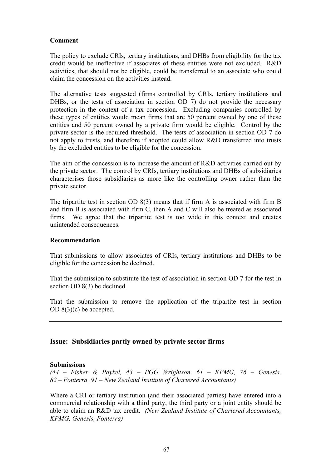# **Comment**

The policy to exclude CRIs, tertiary institutions, and DHBs from eligibility for the tax credit would be ineffective if associates of these entities were not excluded. R&D activities, that should not be eligible, could be transferred to an associate who could claim the concession on the activities instead.

The alternative tests suggested (firms controlled by CRIs, tertiary institutions and DHBs, or the tests of association in section OD 7) do not provide the necessary protection in the context of a tax concession. Excluding companies controlled by these types of entities would mean firms that are 50 percent owned by one of these entities and 50 percent owned by a private firm would be eligible. Control by the private sector is the required threshold. The tests of association in section OD 7 do not apply to trusts, and therefore if adopted could allow R&D transferred into trusts by the excluded entities to be eligible for the concession.

The aim of the concession is to increase the amount of R&D activities carried out by the private sector. The control by CRIs, tertiary institutions and DHBs of subsidiaries characterises those subsidiaries as more like the controlling owner rather than the private sector.

The tripartite test in section OD 8(3) means that if firm A is associated with firm B and firm B is associated with firm C, then A and C will also be treated as associated firms. We agree that the tripartite test is too wide in this context and creates unintended consequences.

# **Recommendation**

That submissions to allow associates of CRIs, tertiary institutions and DHBs to be eligible for the concession be declined.

That the submission to substitute the test of association in section OD 7 for the test in section OD 8(3) be declined.

That the submission to remove the application of the tripartite test in section OD 8(3)(c) be accepted.

# **Issue: Subsidiaries partly owned by private sector firms**

# **Submissions**

*(44 – Fisher & Paykel, 43 – PGG Wrightson, 61 – KPMG, 76 – Genesis, 82 – Fonterra, 91 – New Zealand Institute of Chartered Accountants)* 

Where a CRI or tertiary institution (and their associated parties) have entered into a commercial relationship with a third party, the third party or a joint entity should be able to claim an R&D tax credit. *(New Zealand Institute of Chartered Accountants, KPMG, Genesis, Fonterra)*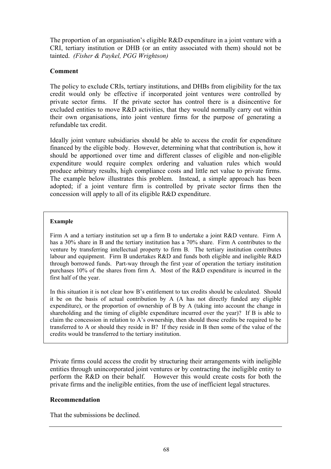The proportion of an organisation's eligible R&D expenditure in a joint venture with a CRI, tertiary institution or DHB (or an entity associated with them) should not be tainted. *(Fisher & Paykel, PGG Wrightson)* 

# **Comment**

The policy to exclude CRIs, tertiary institutions, and DHBs from eligibility for the tax credit would only be effective if incorporated joint ventures were controlled by private sector firms. If the private sector has control there is a disincentive for excluded entities to move R&D activities, that they would normally carry out within their own organisations, into joint venture firms for the purpose of generating a refundable tax credit.

Ideally joint venture subsidiaries should be able to access the credit for expenditure financed by the eligible body. However, determining what that contribution is, how it should be apportioned over time and different classes of eligible and non-eligible expenditure would require complex ordering and valuation rules which would produce arbitrary results, high compliance costs and little net value to private firms. The example below illustrates this problem. Instead, a simple approach has been adopted; if a joint venture firm is controlled by private sector firms then the concession will apply to all of its eligible R&D expenditure.

#### **Example**

Firm A and a tertiary institution set up a firm B to undertake a joint R&D venture. Firm A has a 30% share in B and the tertiary institution has a 70% share. Firm A contributes to the venture by transferring intellectual property to firm B. The tertiary institution contributes labour and equipment. Firm B undertakes R&D and funds both eligible and ineligible R&D through borrowed funds. Part-way through the first year of operation the tertiary institution purchases 10% of the shares from firm A. Most of the R&D expenditure is incurred in the first half of the year.

In this situation it is not clear how B's entitlement to tax credits should be calculated. Should it be on the basis of actual contribution by A (A has not directly funded any eligible expenditure), or the proportion of ownership of B by A (taking into account the change in shareholding and the timing of eligible expenditure incurred over the year)? If B is able to claim the concession in relation to A's ownership, then should those credits be required to be transferred to A or should they reside in B? If they reside in B then some of the value of the credits would be transferred to the tertiary institution.

Private firms could access the credit by structuring their arrangements with ineligible entities through unincorporated joint ventures or by contracting the ineligible entity to perform the R&D on their behalf. However this would create costs for both the private firms and the ineligible entities, from the use of inefficient legal structures.

# **Recommendation**

That the submissions be declined.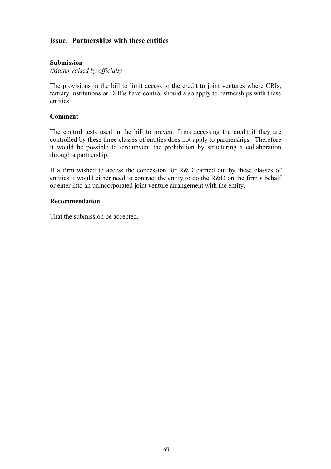# **Issue: Partnerships with these entities**

# **Submission**

*(Matter raised by officials)* 

The provisions in the bill to limit access to the credit to joint ventures where CRIs, tertiary institutions or DHBs have control should also apply to partnerships with these entities.

# **Comment**

The control tests used in the bill to prevent firms accessing the credit if they are controlled by these three classes of entities does not apply to partnerships. Therefore it would be possible to circumvent the prohibition by structuring a collaboration through a partnership.

If a firm wished to access the concession for R&D carried out by these classes of entities it would either need to contract the entity to do the R&D on the firm's behalf or enter into an unincorporated joint venture arrangement with the entity.

# **Recommendation**

That the submission be accepted.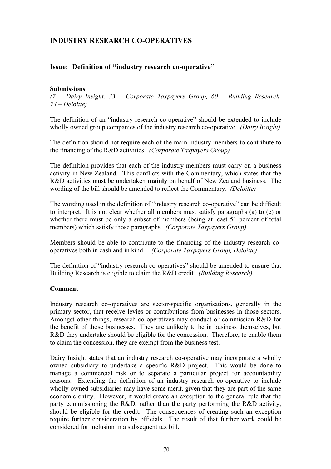# **Issue: Definition of "industry research co-operative"**

# **Submissions**

*(7 – Dairy Insight, 33 – Corporate Taxpayers Group, 60 – Building Research, 74 – Deloitte)* 

The definition of an "industry research co-operative" should be extended to include wholly owned group companies of the industry research co-operative. *(Dairy Insight)*

The definition should not require each of the main industry members to contribute to the financing of the R&D activities. *(Corporate Taxpayers Group)* 

The definition provides that each of the industry members must carry on a business activity in New Zealand. This conflicts with the Commentary, which states that the R&D activities must be undertaken **mainly** on behalf of New Zealand business. The wording of the bill should be amended to reflect the Commentary. *(Deloitte)* 

The wording used in the definition of "industry research co-operative" can be difficult to interpret. It is not clear whether all members must satisfy paragraphs (a) to (c) or whether there must be only a subset of members (being at least 51 percent of total members) which satisfy those paragraphs. *(Corporate Taxpayers Group)*

Members should be able to contribute to the financing of the industry research cooperatives both in cash and in kind. *(Corporate Taxpayers Group, Deloitte)* 

The definition of "industry research co-operatives" should be amended to ensure that Building Research is eligible to claim the R&D credit. *(Building Research)*

# **Comment**

Industry research co-operatives are sector-specific organisations, generally in the primary sector, that receive levies or contributions from businesses in those sectors. Amongst other things, research co-operatives may conduct or commission R&D for the benefit of those businesses. They are unlikely to be in business themselves, but R&D they undertake should be eligible for the concession. Therefore, to enable them to claim the concession, they are exempt from the business test.

Dairy Insight states that an industry research co-operative may incorporate a wholly owned subsidiary to undertake a specific R&D project. This would be done to manage a commercial risk or to separate a particular project for accountability reasons. Extending the definition of an industry research co-operative to include wholly owned subsidiaries may have some merit, given that they are part of the same economic entity. However, it would create an exception to the general rule that the party commissioning the R&D, rather than the party performing the R&D activity, should be eligible for the credit. The consequences of creating such an exception require further consideration by officials. The result of that further work could be considered for inclusion in a subsequent tax bill.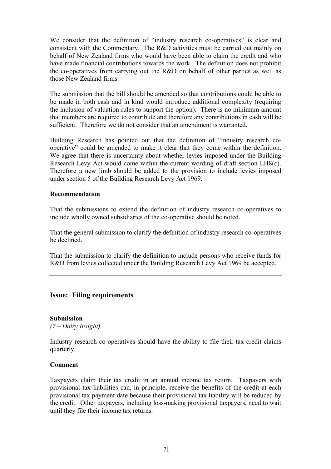We consider that the definition of "industry research co-operatives" is clear and consistent with the Commentary. The R&D activities must be carried out mainly on behalf of New Zealand firms who would have been able to claim the credit and who have made financial contributions towards the work. The definition does not prohibit the co-operatives from carrying out the R&D on behalf of other parties as well as those New Zealand firms.

The submission that the bill should be amended so that contributions could be able to be made in both cash and in kind would introduce additional complexity (requiring the inclusion of valuation rules to support the option). There is no minimum amount that members are required to contribute and therefore any contributions in cash will be sufficient. Therefore we do not consider that an amendment is warranted.

Building Research has pointed out that the definition of "industry research cooperative" could be amended to make it clear that they come within the definition. We agree that there is uncertainty about whether levies imposed under the Building Research Levy Act would come within the current wording of draft section LH8(c). Therefore a new limb should be added to the provision to include levies imposed under section 5 of the Building Research Levy Act 1969.

# **Recommendation**

That the submissions to extend the definition of industry research co-operatives to include wholly owned subsidiaries of the co-operative should be noted.

That the general submission to clarify the definition of industry research co-operatives be declined.

That the submission to clarify the definition to include persons who receive funds for R&D from levies collected under the Building Research Levy Act 1969 be accepted.

# **Issue: Filing requirements**

# **Submission**

*(7 – Dairy Insight)* 

Industry research co-operatives should have the ability to file their tax credit claims quarterly.

# **Comment**

Taxpayers claim their tax credit in an annual income tax return. Taxpayers with provisional tax liabilities can, in principle, receive the benefits of the credit at each provisional tax payment date because their provisional tax liability will be reduced by the credit. Other taxpayers, including loss-making provisional taxpayers, need to wait until they file their income tax returns.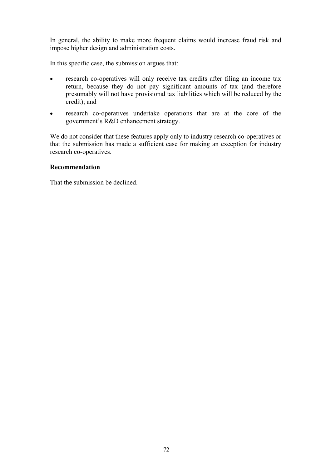In general, the ability to make more frequent claims would increase fraud risk and impose higher design and administration costs.

In this specific case, the submission argues that:

- research co-operatives will only receive tax credits after filing an income tax return, because they do not pay significant amounts of tax (and therefore presumably will not have provisional tax liabilities which will be reduced by the credit); and
- research co-operatives undertake operations that are at the core of the government's R&D enhancement strategy.

We do not consider that these features apply only to industry research co-operatives or that the submission has made a sufficient case for making an exception for industry research co-operatives.

# **Recommendation**

That the submission be declined.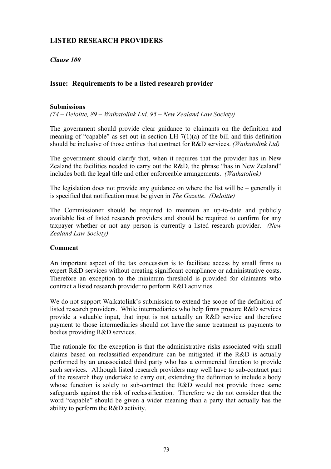# *Clause 100*

# **Issue: Requirements to be a listed research provider**

# **Submissions**

*(74 – Deloitte, 89 – Waikatolink Ltd, 95 – New Zealand Law Society)* 

The government should provide clear guidance to claimants on the definition and meaning of "capable" as set out in section LH 7(1)(a) of the bill and this definition should be inclusive of those entities that contract for R&D services. *(Waikatolink Ltd)* 

The government should clarify that, when it requires that the provider has in New Zealand the facilities needed to carry out the R&D, the phrase "has in New Zealand" includes both the legal title and other enforceable arrangements. *(Waikatolink)* 

The legislation does not provide any guidance on where the list will be – generally it is specified that notification must be given in *The Gazette*. *(Deloitte)* 

The Commissioner should be required to maintain an up-to-date and publicly available list of listed research providers and should be required to confirm for any taxpayer whether or not any person is currently a listed research provider. *(New Zealand Law Society)* 

# **Comment**

An important aspect of the tax concession is to facilitate access by small firms to expert R&D services without creating significant compliance or administrative costs. Therefore an exception to the minimum threshold is provided for claimants who contract a listed research provider to perform R&D activities.

We do not support Waikatolink's submission to extend the scope of the definition of listed research providers. While intermediaries who help firms procure R&D services provide a valuable input, that input is not actually an R&D service and therefore payment to those intermediaries should not have the same treatment as payments to bodies providing R&D services.

The rationale for the exception is that the administrative risks associated with small claims based on reclassified expenditure can be mitigated if the R&D is actually performed by an unassociated third party who has a commercial function to provide such services. Although listed research providers may well have to sub-contract part of the research they undertake to carry out, extending the definition to include a body whose function is solely to sub-contract the R&D would not provide those same safeguards against the risk of reclassification. Therefore we do not consider that the word "capable" should be given a wider meaning than a party that actually has the ability to perform the R&D activity.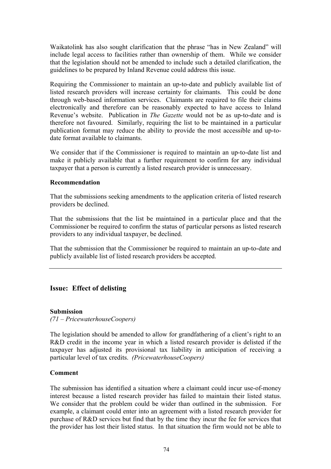Waikatolink has also sought clarification that the phrase "has in New Zealand" will include legal access to facilities rather than ownership of them. While we consider that the legislation should not be amended to include such a detailed clarification, the guidelines to be prepared by Inland Revenue could address this issue.

Requiring the Commissioner to maintain an up-to-date and publicly available list of listed research providers will increase certainty for claimants. This could be done through web-based information services. Claimants are required to file their claims electronically and therefore can be reasonably expected to have access to Inland Revenue's website. Publication in *The Gazette* would not be as up-to-date and is therefore not favoured. Similarly, requiring the list to be maintained in a particular publication format may reduce the ability to provide the most accessible and up-todate format available to claimants.

We consider that if the Commissioner is required to maintain an up-to-date list and make it publicly available that a further requirement to confirm for any individual taxpayer that a person is currently a listed research provider is unnecessary.

# **Recommendation**

That the submissions seeking amendments to the application criteria of listed research providers be declined.

That the submissions that the list be maintained in a particular place and that the Commissioner be required to confirm the status of particular persons as listed research providers to any individual taxpayer, be declined.

That the submission that the Commissioner be required to maintain an up-to-date and publicly available list of listed research providers be accepted.

# **Issue: Effect of delisting**

# **Submission**

*(71 – PricewaterhouseCoopers)* 

The legislation should be amended to allow for grandfathering of a client's right to an R&D credit in the income year in which a listed research provider is delisted if the taxpayer has adjusted its provisional tax liability in anticipation of receiving a particular level of tax credits. *(PricewaterhouseCoopers)* 

# **Comment**

The submission has identified a situation where a claimant could incur use-of-money interest because a listed research provider has failed to maintain their listed status. We consider that the problem could be wider than outlined in the submission. For example, a claimant could enter into an agreement with a listed research provider for purchase of R&D services but find that by the time they incur the fee for services that the provider has lost their listed status. In that situation the firm would not be able to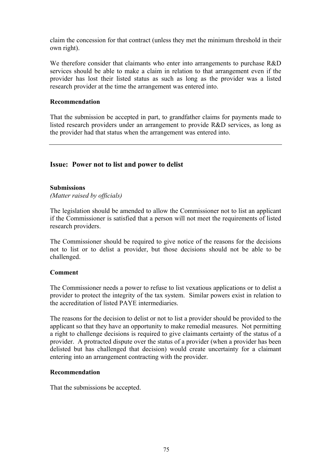claim the concession for that contract (unless they met the minimum threshold in their own right).

We therefore consider that claimants who enter into arrangements to purchase R&D services should be able to make a claim in relation to that arrangement even if the provider has lost their listed status as such as long as the provider was a listed research provider at the time the arrangement was entered into.

#### **Recommendation**

That the submission be accepted in part, to grandfather claims for payments made to listed research providers under an arrangement to provide R&D services, as long as the provider had that status when the arrangement was entered into.

# **Issue: Power not to list and power to delist**

#### **Submissions**

*(Matter raised by officials)* 

The legislation should be amended to allow the Commissioner not to list an applicant if the Commissioner is satisfied that a person will not meet the requirements of listed research providers.

The Commissioner should be required to give notice of the reasons for the decisions not to list or to delist a provider, but those decisions should not be able to be challenged.

# **Comment**

The Commissioner needs a power to refuse to list vexatious applications or to delist a provider to protect the integrity of the tax system. Similar powers exist in relation to the accreditation of listed PAYE intermediaries.

The reasons for the decision to delist or not to list a provider should be provided to the applicant so that they have an opportunity to make remedial measures. Not permitting a right to challenge decisions is required to give claimants certainty of the status of a provider. A protracted dispute over the status of a provider (when a provider has been delisted but has challenged that decision) would create uncertainty for a claimant entering into an arrangement contracting with the provider.

# **Recommendation**

That the submissions be accepted.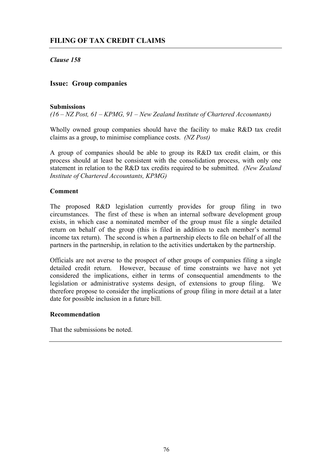*Clause 158* 

# **Issue: Group companies**

# **Submissions**

*(16 – NZ Post, 61 – KPMG, 91 – New Zealand Institute of Chartered Accountants)* 

Wholly owned group companies should have the facility to make R&D tax credit claims as a group, to minimise compliance costs. *(NZ Post)*

A group of companies should be able to group its R&D tax credit claim, or this process should at least be consistent with the consolidation process, with only one statement in relation to the R&D tax credits required to be submitted. *(New Zealand Institute of Chartered Accountants, KPMG)*

# **Comment**

The proposed R&D legislation currently provides for group filing in two circumstances. The first of these is when an internal software development group exists, in which case a nominated member of the group must file a single detailed return on behalf of the group (this is filed in addition to each member's normal income tax return). The second is when a partnership elects to file on behalf of all the partners in the partnership, in relation to the activities undertaken by the partnership.

Officials are not averse to the prospect of other groups of companies filing a single detailed credit return. However, because of time constraints we have not yet considered the implications, either in terms of consequential amendments to the legislation or administrative systems design, of extensions to group filing. We therefore propose to consider the implications of group filing in more detail at a later date for possible inclusion in a future bill.

# **Recommendation**

That the submissions be noted.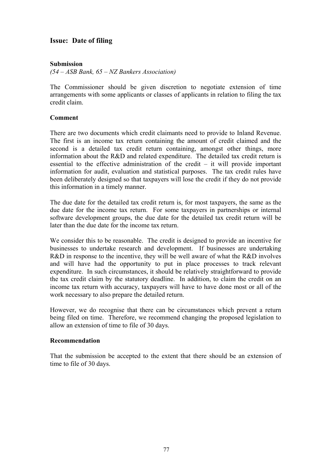# **Issue: Date of filing**

# **Submission**

*(54 – ASB Bank, 65 – NZ Bankers Association)* 

The Commissioner should be given discretion to negotiate extension of time arrangements with some applicants or classes of applicants in relation to filing the tax credit claim.

# **Comment**

There are two documents which credit claimants need to provide to Inland Revenue. The first is an income tax return containing the amount of credit claimed and the second is a detailed tax credit return containing, amongst other things, more information about the R&D and related expenditure. The detailed tax credit return is essential to the effective administration of the credit  $-$  it will provide important information for audit, evaluation and statistical purposes. The tax credit rules have been deliberately designed so that taxpayers will lose the credit if they do not provide this information in a timely manner.

The due date for the detailed tax credit return is, for most taxpayers, the same as the due date for the income tax return. For some taxpayers in partnerships or internal software development groups, the due date for the detailed tax credit return will be later than the due date for the income tax return.

We consider this to be reasonable. The credit is designed to provide an incentive for businesses to undertake research and development. If businesses are undertaking R&D in response to the incentive, they will be well aware of what the R&D involves and will have had the opportunity to put in place processes to track relevant expenditure. In such circumstances, it should be relatively straightforward to provide the tax credit claim by the statutory deadline. In addition, to claim the credit on an income tax return with accuracy, taxpayers will have to have done most or all of the work necessary to also prepare the detailed return.

However, we do recognise that there can be circumstances which prevent a return being filed on time. Therefore, we recommend changing the proposed legislation to allow an extension of time to file of 30 days.

# **Recommendation**

That the submission be accepted to the extent that there should be an extension of time to file of 30 days.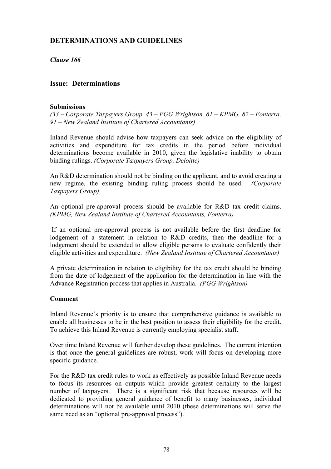*Clause 166* 

# **Issue: Determinations**

# **Submissions**

*(33 – Corporate Taxpayers Group, 43 – PGG Wrightson, 61 – KPMG, 82 – Fonterra, 91 – New Zealand Institute of Chartered Accountants)* 

Inland Revenue should advise how taxpayers can seek advice on the eligibility of activities and expenditure for tax credits in the period before individual determinations become available in 2010, given the legislative inability to obtain binding rulings. *(Corporate Taxpayers Group, Deloitte)*

An R&D determination should not be binding on the applicant, and to avoid creating a new regime, the existing binding ruling process should be used. *(Corporate Taxpayers Group)*

An optional pre-approval process should be available for R&D tax credit claims. *(KPMG, New Zealand Institute of Chartered Accountants, Fonterra)*

 If an optional pre-approval process is not available before the first deadline for lodgement of a statement in relation to R&D credits, then the deadline for a lodgement should be extended to allow eligible persons to evaluate confidently their eligible activities and expenditure. *(New Zealand Institute of Chartered Accountants)*

A private determination in relation to eligibility for the tax credit should be binding from the date of lodgement of the application for the determination in line with the Advance Registration process that applies in Australia. *(PGG Wrightson)*

# **Comment**

Inland Revenue's priority is to ensure that comprehensive guidance is available to enable all businesses to be in the best position to assess their eligibility for the credit. To achieve this Inland Revenue is currently employing specialist staff.

Over time Inland Revenue will further develop these guidelines. The current intention is that once the general guidelines are robust, work will focus on developing more specific guidance.

For the R&D tax credit rules to work as effectively as possible Inland Revenue needs to focus its resources on outputs which provide greatest certainty to the largest number of taxpayers. There is a significant risk that because resources will be dedicated to providing general guidance of benefit to many businesses, individual determinations will not be available until 2010 (these determinations will serve the same need as an "optional pre-approval process").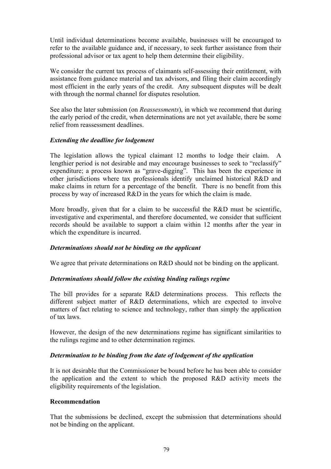Until individual determinations become available, businesses will be encouraged to refer to the available guidance and, if necessary, to seek further assistance from their professional advisor or tax agent to help them determine their eligibility.

We consider the current tax process of claimants self-assessing their entitlement, with assistance from guidance material and tax advisors, and filing their claim accordingly most efficient in the early years of the credit. Any subsequent disputes will be dealt with through the normal channel for disputes resolution.

See also the later submission (on *Reassessments*), in which we recommend that during the early period of the credit, when determinations are not yet available, there be some relief from reassessment deadlines.

# *Extending the deadline for lodgement*

The legislation allows the typical claimant 12 months to lodge their claim. A lengthier period is not desirable and may encourage businesses to seek to "reclassify" expenditure; a process known as "grave-digging". This has been the experience in other jurisdictions where tax professionals identify unclaimed historical R&D and make claims in return for a percentage of the benefit. There is no benefit from this process by way of increased R&D in the years for which the claim is made.

More broadly, given that for a claim to be successful the R&D must be scientific, investigative and experimental, and therefore documented, we consider that sufficient records should be available to support a claim within 12 months after the year in which the expenditure is incurred.

# *Determinations should not be binding on the applicant*

We agree that private determinations on R&D should not be binding on the applicant.

# *Determinations should follow the existing binding rulings regime*

The bill provides for a separate R&D determinations process. This reflects the different subject matter of R&D determinations, which are expected to involve matters of fact relating to science and technology, rather than simply the application of tax laws.

However, the design of the new determinations regime has significant similarities to the rulings regime and to other determination regimes.

# *Determination to be binding from the date of lodgement of the application*

It is not desirable that the Commissioner be bound before he has been able to consider the application and the extent to which the proposed R&D activity meets the eligibility requirements of the legislation.

# **Recommendation**

That the submissions be declined, except the submission that determinations should not be binding on the applicant.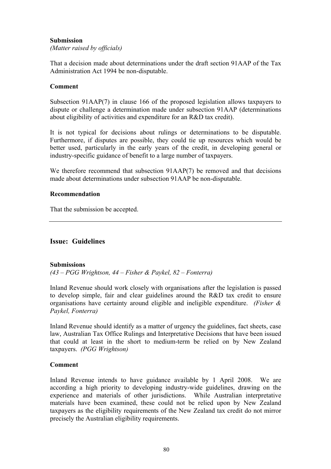# **Submission**

*(Matter raised by officials)* 

That a decision made about determinations under the draft section 91AAP of the Tax Administration Act 1994 be non-disputable.

# **Comment**

Subsection 91AAP(7) in clause 166 of the proposed legislation allows taxpayers to dispute or challenge a determination made under subsection 91AAP (determinations about eligibility of activities and expenditure for an R&D tax credit).

It is not typical for decisions about rulings or determinations to be disputable. Furthermore, if disputes are possible, they could tie up resources which would be better used, particularly in the early years of the credit, in developing general or industry-specific guidance of benefit to a large number of taxpayers.

We therefore recommend that subsection 91AAP(7) be removed and that decisions made about determinations under subsection 91AAP be non-disputable.

# **Recommendation**

That the submission be accepted.

# **Issue: Guidelines**

#### **Submissions**

*(43 – PGG Wrightson, 44 – Fisher & Paykel, 82 – Fonterra)* 

Inland Revenue should work closely with organisations after the legislation is passed to develop simple, fair and clear guidelines around the R&D tax credit to ensure organisations have certainty around eligible and ineligible expenditure. *(Fisher & Paykel, Fonterra)*

Inland Revenue should identify as a matter of urgency the guidelines, fact sheets, case law, Australian Tax Office Rulings and Interpretative Decisions that have been issued that could at least in the short to medium-term be relied on by New Zealand taxpayers. *(PGG Wrightson)*

# **Comment**

Inland Revenue intends to have guidance available by 1 April 2008. We are according a high priority to developing industry-wide guidelines, drawing on the experience and materials of other jurisdictions. While Australian interpretative materials have been examined, these could not be relied upon by New Zealand taxpayers as the eligibility requirements of the New Zealand tax credit do not mirror precisely the Australian eligibility requirements.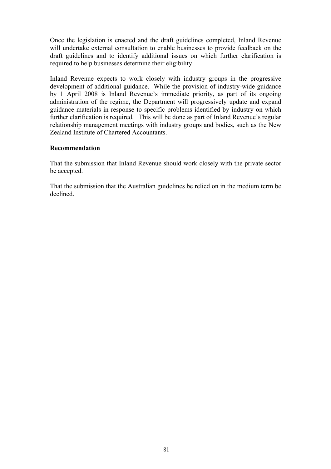Once the legislation is enacted and the draft guidelines completed, Inland Revenue will undertake external consultation to enable businesses to provide feedback on the draft guidelines and to identify additional issues on which further clarification is required to help businesses determine their eligibility.

Inland Revenue expects to work closely with industry groups in the progressive development of additional guidance. While the provision of industry-wide guidance by 1 April 2008 is Inland Revenue's immediate priority, as part of its ongoing administration of the regime, the Department will progressively update and expand guidance materials in response to specific problems identified by industry on which further clarification is required. This will be done as part of Inland Revenue's regular relationship management meetings with industry groups and bodies, such as the New Zealand Institute of Chartered Accountants.

# **Recommendation**

That the submission that Inland Revenue should work closely with the private sector be accepted.

That the submission that the Australian guidelines be relied on in the medium term be declined.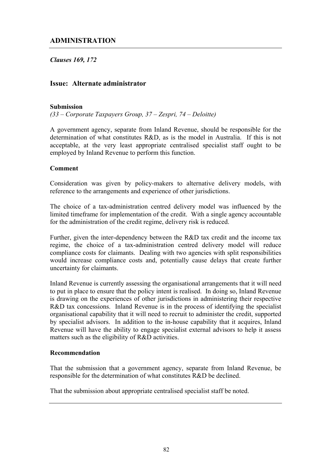# *Clauses 169, 172*

# **Issue: Alternate administrator**

#### **Submission**

*(33 – Corporate Taxpayers Group, 37 – Zespri, 74 – Deloitte)* 

A government agency, separate from Inland Revenue, should be responsible for the determination of what constitutes R&D, as is the model in Australia. If this is not acceptable, at the very least appropriate centralised specialist staff ought to be employed by Inland Revenue to perform this function.

#### **Comment**

Consideration was given by policy-makers to alternative delivery models, with reference to the arrangements and experience of other jurisdictions.

The choice of a tax-administration centred delivery model was influenced by the limited timeframe for implementation of the credit. With a single agency accountable for the administration of the credit regime, delivery risk is reduced.

Further, given the inter-dependency between the R&D tax credit and the income tax regime, the choice of a tax-administration centred delivery model will reduce compliance costs for claimants. Dealing with two agencies with split responsibilities would increase compliance costs and, potentially cause delays that create further uncertainty for claimants.

Inland Revenue is currently assessing the organisational arrangements that it will need to put in place to ensure that the policy intent is realised. In doing so, Inland Revenue is drawing on the experiences of other jurisdictions in administering their respective R&D tax concessions. Inland Revenue is in the process of identifying the specialist organisational capability that it will need to recruit to administer the credit, supported by specialist advisors. In addition to the in-house capability that it acquires, Inland Revenue will have the ability to engage specialist external advisors to help it assess matters such as the eligibility of R&D activities.

#### **Recommendation**

That the submission that a government agency, separate from Inland Revenue, be responsible for the determination of what constitutes R&D be declined.

That the submission about appropriate centralised specialist staff be noted.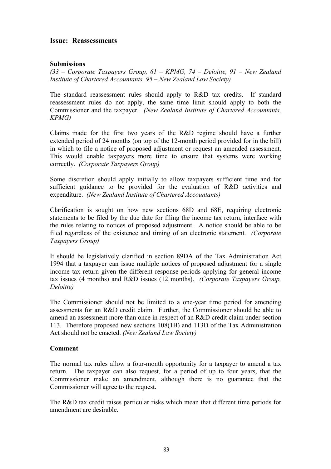# **Issue: Reassessments**

# **Submissions**

*(33 – Corporate Taxpayers Group, 61 – KPMG, 74 – Deloitte, 91 – New Zealand Institute of Chartered Accountants, 95 – New Zealand Law Society)* 

The standard reassessment rules should apply to R&D tax credits. If standard reassessment rules do not apply, the same time limit should apply to both the Commissioner and the taxpayer. *(New Zealand Institute of Chartered Accountants, KPMG)* 

Claims made for the first two years of the R&D regime should have a further extended period of 24 months (on top of the 12-month period provided for in the bill) in which to file a notice of proposed adjustment or request an amended assessment. This would enable taxpayers more time to ensure that systems were working correctly. *(Corporate Taxpayers Group)*

Some discretion should apply initially to allow taxpayers sufficient time and for sufficient guidance to be provided for the evaluation of R&D activities and expenditure. *(New Zealand Institute of Chartered Accountants)* 

Clarification is sought on how new sections 68D and 68E, requiring electronic statements to be filed by the due date for filing the income tax return, interface with the rules relating to notices of proposed adjustment. A notice should be able to be filed regardless of the existence and timing of an electronic statement. *(Corporate Taxpayers Group)*

It should be legislatively clarified in section 89DA of the Tax Administration Act 1994 that a taxpayer can issue multiple notices of proposed adjustment for a single income tax return given the different response periods applying for general income tax issues (4 months) and R&D issues (12 months). *(Corporate Taxpayers Group, Deloitte)* 

The Commissioner should not be limited to a one-year time period for amending assessments for an R&D credit claim. Further, the Commissioner should be able to amend an assessment more than once in respect of an R&D credit claim under section 113. Therefore proposed new sections 108(1B) and 113D of the Tax Administration Act should not be enacted. *(New Zealand Law Society)* 

# **Comment**

The normal tax rules allow a four-month opportunity for a taxpayer to amend a tax return. The taxpayer can also request, for a period of up to four years, that the Commissioner make an amendment, although there is no guarantee that the Commissioner will agree to the request.

The R&D tax credit raises particular risks which mean that different time periods for amendment are desirable.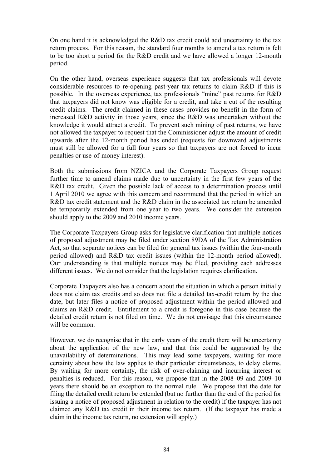On one hand it is acknowledged the R&D tax credit could add uncertainty to the tax return process. For this reason, the standard four months to amend a tax return is felt to be too short a period for the R&D credit and we have allowed a longer 12-month period.

On the other hand, overseas experience suggests that tax professionals will devote considerable resources to re-opening past-year tax returns to claim R&D if this is possible. In the overseas experience, tax professionals "mine" past returns for R&D that taxpayers did not know was eligible for a credit, and take a cut of the resulting credit claims. The credit claimed in these cases provides no benefit in the form of increased R&D activity in those years, since the R&D was undertaken without the knowledge it would attract a credit. To prevent such mining of past returns, we have not allowed the taxpayer to request that the Commissioner adjust the amount of credit upwards after the 12-month period has ended (requests for downward adjustments must still be allowed for a full four years so that taxpayers are not forced to incur penalties or use-of-money interest).

Both the submissions from NZICA and the Corporate Taxpayers Group request further time to amend claims made due to uncertainty in the first few years of the R&D tax credit. Given the possible lack of access to a determination process until 1 April 2010 we agree with this concern and recommend that the period in which an R&D tax credit statement and the R&D claim in the associated tax return be amended be temporarily extended from one year to two years. We consider the extension should apply to the 2009 and 2010 income years.

The Corporate Taxpayers Group asks for legislative clarification that multiple notices of proposed adjustment may be filed under section 89DA of the Tax Administration Act, so that separate notices can be filed for general tax issues (within the four-month period allowed) and R&D tax credit issues (within the 12-month period allowed). Our understanding is that multiple notices may be filed, providing each addresses different issues. We do not consider that the legislation requires clarification.

Corporate Taxpayers also has a concern about the situation in which a person initially does not claim tax credits and so does not file a detailed tax-credit return by the due date, but later files a notice of proposed adjustment within the period allowed and claims an R&D credit. Entitlement to a credit is foregone in this case because the detailed credit return is not filed on time. We do not envisage that this circumstance will be common.

However, we do recognise that in the early years of the credit there will be uncertainty about the application of the new law, and that this could be aggravated by the unavailability of determinations. This may lead some taxpayers, waiting for more certainty about how the law applies to their particular circumstances, to delay claims. By waiting for more certainty, the risk of over-claiming and incurring interest or penalties is reduced. For this reason, we propose that in the 2008–09 and 2009–10 years there should be an exception to the normal rule. We propose that the date for filing the detailed credit return be extended (but no further than the end of the period for issuing a notice of proposed adjustment in relation to the credit) if the taxpayer has not claimed any R&D tax credit in their income tax return. (If the taxpayer has made a claim in the income tax return, no extension will apply.)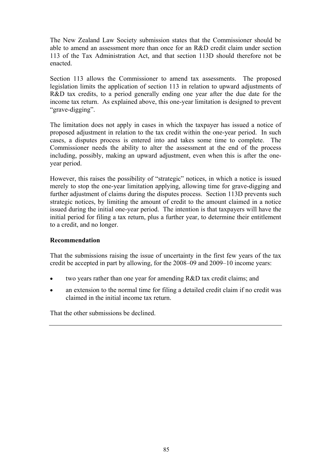The New Zealand Law Society submission states that the Commissioner should be able to amend an assessment more than once for an R&D credit claim under section 113 of the Tax Administration Act, and that section 113D should therefore not be enacted.

Section 113 allows the Commissioner to amend tax assessments. The proposed legislation limits the application of section 113 in relation to upward adjustments of R&D tax credits, to a period generally ending one year after the due date for the income tax return. As explained above, this one-year limitation is designed to prevent "grave-digging".

The limitation does not apply in cases in which the taxpayer has issued a notice of proposed adjustment in relation to the tax credit within the one-year period. In such cases, a disputes process is entered into and takes some time to complete. The Commissioner needs the ability to alter the assessment at the end of the process including, possibly, making an upward adjustment, even when this is after the oneyear period.

However, this raises the possibility of "strategic" notices, in which a notice is issued merely to stop the one-year limitation applying, allowing time for grave-digging and further adjustment of claims during the disputes process. Section 113D prevents such strategic notices, by limiting the amount of credit to the amount claimed in a notice issued during the initial one-year period. The intention is that taxpayers will have the initial period for filing a tax return, plus a further year, to determine their entitlement to a credit, and no longer.

# **Recommendation**

That the submissions raising the issue of uncertainty in the first few years of the tax credit be accepted in part by allowing, for the 2008–09 and 2009–10 income years:

- two years rather than one year for amending R&D tax credit claims; and
- an extension to the normal time for filing a detailed credit claim if no credit was claimed in the initial income tax return.

That the other submissions be declined.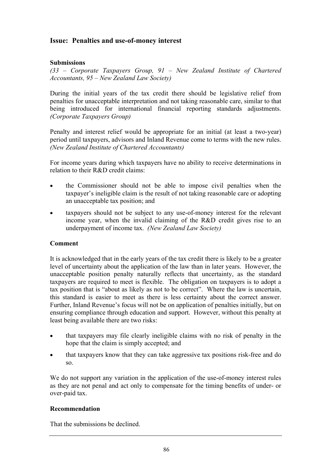# **Issue: Penalties and use-of-money interest**

# **Submissions**

*(33 – Corporate Taxpayers Group, 91 – New Zealand Institute of Chartered Accountants, 95 – New Zealand Law Society)* 

During the initial years of the tax credit there should be legislative relief from penalties for unacceptable interpretation and not taking reasonable care, similar to that being introduced for international financial reporting standards adjustments. *(Corporate Taxpayers Group)* 

Penalty and interest relief would be appropriate for an initial (at least a two-year) period until taxpayers, advisors and Inland Revenue come to terms with the new rules. *(New Zealand Institute of Chartered Accountants)* 

For income years during which taxpayers have no ability to receive determinations in relation to their R&D credit claims:

- the Commissioner should not be able to impose civil penalties when the taxpayer's ineligible claim is the result of not taking reasonable care or adopting an unacceptable tax position; and
- taxpayers should not be subject to any use-of-money interest for the relevant income year, when the invalid claiming of the R&D credit gives rise to an underpayment of income tax. *(New Zealand Law Society)*

# **Comment**

It is acknowledged that in the early years of the tax credit there is likely to be a greater level of uncertainty about the application of the law than in later years. However, the unacceptable position penalty naturally reflects that uncertainty, as the standard taxpayers are required to meet is flexible. The obligation on taxpayers is to adopt a tax position that is "about as likely as not to be correct". Where the law is uncertain, this standard is easier to meet as there is less certainty about the correct answer. Further, Inland Revenue's focus will not be on application of penalties initially, but on ensuring compliance through education and support. However, without this penalty at least being available there are two risks:

- that taxpayers may file clearly ineligible claims with no risk of penalty in the hope that the claim is simply accepted; and
- that taxpayers know that they can take aggressive tax positions risk-free and do so.

We do not support any variation in the application of the use-of-money interest rules as they are not penal and act only to compensate for the timing benefits of under- or over-paid tax.

# **Recommendation**

That the submissions be declined.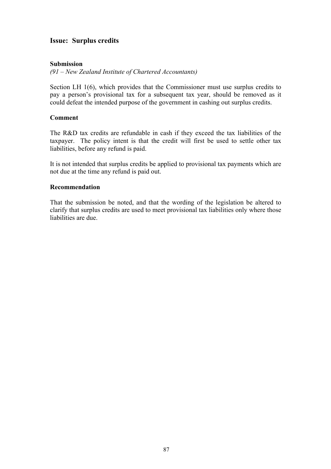# **Issue: Surplus credits**

# **Submission**

*(91 – New Zealand Institute of Chartered Accountants)* 

Section LH 1(6), which provides that the Commissioner must use surplus credits to pay a person's provisional tax for a subsequent tax year, should be removed as it could defeat the intended purpose of the government in cashing out surplus credits.

# **Comment**

The R&D tax credits are refundable in cash if they exceed the tax liabilities of the taxpayer. The policy intent is that the credit will first be used to settle other tax liabilities, before any refund is paid.

It is not intended that surplus credits be applied to provisional tax payments which are not due at the time any refund is paid out.

# **Recommendation**

That the submission be noted, and that the wording of the legislation be altered to clarify that surplus credits are used to meet provisional tax liabilities only where those liabilities are due.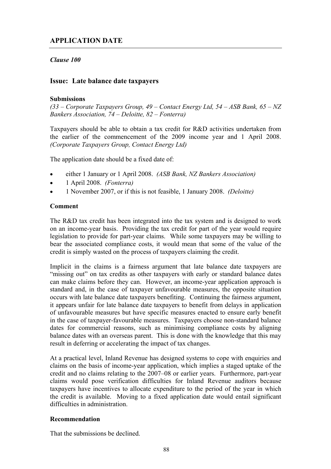# **APPLICATION DATE**

# *Clause 100*

# **Issue: Late balance date taxpayers**

# **Submissions**

*(33 – Corporate Taxpayers Group, 49 – Contact Energy Ltd, 54 – ASB Bank, 65 – NZ Bankers Association, 74 – Deloitte, 82 – Fonterra)* 

Taxpayers should be able to obtain a tax credit for R&D activities undertaken from the earlier of the commencement of the 2009 income year and 1 April 2008. *(Corporate Taxpayers Group, Contact Energy Ltd)*

The application date should be a fixed date of:

- either 1 January or 1 April 2008. *(ASB Bank, NZ Bankers Association)*
- 1 April 2008. *(Fonterra)*
- 1 November 2007, or if this is not feasible, 1 January 2008. *(Deloitte)*

# **Comment**

The R&D tax credit has been integrated into the tax system and is designed to work on an income-year basis. Providing the tax credit for part of the year would require legislation to provide for part-year claims. While some taxpayers may be willing to bear the associated compliance costs, it would mean that some of the value of the credit is simply wasted on the process of taxpayers claiming the credit.

Implicit in the claims is a fairness argument that late balance date taxpayers are "missing out" on tax credits as other taxpayers with early or standard balance dates can make claims before they can. However, an income-year application approach is standard and, in the case of taxpayer unfavourable measures, the opposite situation occurs with late balance date taxpayers benefiting. Continuing the fairness argument, it appears unfair for late balance date taxpayers to benefit from delays in application of unfavourable measures but have specific measures enacted to ensure early benefit in the case of taxpayer-favourable measures. Taxpayers choose non-standard balance dates for commercial reasons, such as minimising compliance costs by aligning balance dates with an overseas parent. This is done with the knowledge that this may result in deferring or accelerating the impact of tax changes.

At a practical level, Inland Revenue has designed systems to cope with enquiries and claims on the basis of income-year application, which implies a staged uptake of the credit and no claims relating to the 2007–08 or earlier years. Furthermore, part-year claims would pose verification difficulties for Inland Revenue auditors because taxpayers have incentives to allocate expenditure to the period of the year in which the credit is available. Moving to a fixed application date would entail significant difficulties in administration.

# **Recommendation**

That the submissions be declined.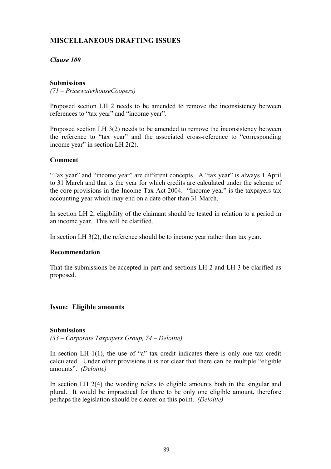# **MISCELLANEOUS DRAFTING ISSUES**

# *Clause 100*

# **Submissions**

*(71 – PricewaterhouseCoopers)* 

Proposed section LH 2 needs to be amended to remove the inconsistency between references to "tax year" and "income year".

Proposed section LH 3(2) needs to be amended to remove the inconsistency between the reference to "tax year" and the associated cross-reference to "corresponding income year" in section LH 2(2).

# **Comment**

"Tax year" and "income year" are different concepts. A "tax year" is always 1 April to 31 March and that is the year for which credits are calculated under the scheme of the core provisions in the Income Tax Act 2004. "Income year" is the taxpayers tax accounting year which may end on a date other than 31 March.

In section LH 2, eligibility of the claimant should be tested in relation to a period in an income year. This will be clarified.

In section LH 3(2), the reference should be to income year rather than tax year.

# **Recommendation**

That the submissions be accepted in part and sections LH 2 and LH 3 be clarified as proposed.

# **Issue: Eligible amounts**

# **Submissions**

*(33 – Corporate Taxpayers Group, 74 – Deloitte)* 

In section LH  $1(1)$ , the use of "a" tax credit indicates there is only one tax credit calculated. Under other provisions it is not clear that there can be multiple "eligible amounts". *(Deloitte)* 

In section LH 2(4) the wording refers to eligible amounts both in the singular and plural. It would be impractical for there to be only one eligible amount, therefore perhaps the legislation should be clearer on this point. *(Deloitte)*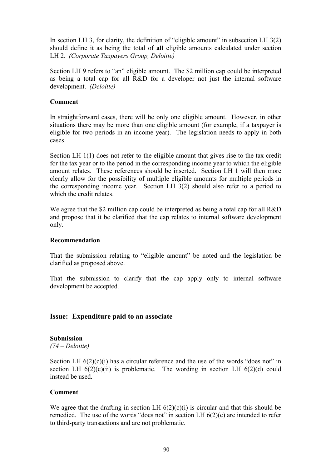In section LH 3, for clarity, the definition of "eligible amount" in subsection LH 3(2) should define it as being the total of **all** eligible amounts calculated under section LH 2. *(Corporate Taxpayers Group, Deloitte)*

Section LH 9 refers to "an" eligible amount. The \$2 million cap could be interpreted as being a total cap for all R&D for a developer not just the internal software development. *(Deloitte)*

#### **Comment**

In straightforward cases, there will be only one eligible amount. However, in other situations there may be more than one eligible amount (for example, if a taxpayer is eligible for two periods in an income year). The legislation needs to apply in both cases.

Section LH 1(1) does not refer to the eligible amount that gives rise to the tax credit for the tax year or to the period in the corresponding income year to which the eligible amount relates. These references should be inserted. Section LH 1 will then more clearly allow for the possibility of multiple eligible amounts for multiple periods in the corresponding income year. Section LH 3(2) should also refer to a period to which the credit relates.

We agree that the \$2 million cap could be interpreted as being a total cap for all R&D and propose that it be clarified that the cap relates to internal software development only.

# **Recommendation**

That the submission relating to "eligible amount" be noted and the legislation be clarified as proposed above.

That the submission to clarify that the cap apply only to internal software development be accepted.

# **Issue: Expenditure paid to an associate**

# **Submission**

*(74 – Deloitte)* 

Section LH  $6(2)(c)(i)$  has a circular reference and the use of the words "does not" in section LH  $6(2)(c)(ii)$  is problematic. The wording in section LH  $6(2)(d)$  could instead be used.

#### **Comment**

We agree that the drafting in section LH  $6(2)(c)(i)$  is circular and that this should be remedied. The use of the words "does not" in section LH 6(2)(c) are intended to refer to third-party transactions and are not problematic.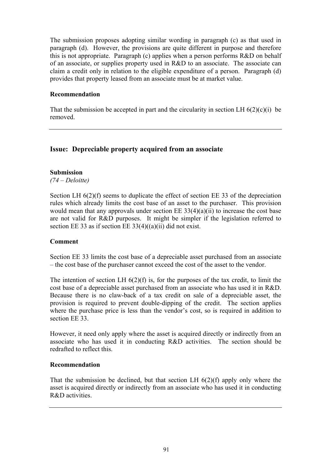The submission proposes adopting similar wording in paragraph (c) as that used in paragraph (d). However, the provisions are quite different in purpose and therefore this is not appropriate. Paragraph (c) applies when a person performs R&D on behalf of an associate, or supplies property used in R&D to an associate. The associate can claim a credit only in relation to the eligible expenditure of a person. Paragraph (d) provides that property leased from an associate must be at market value.

# **Recommendation**

That the submission be accepted in part and the circularity in section LH  $6(2)(c)(i)$  be removed.

# **Issue: Depreciable property acquired from an associate**

# **Submission**

*(74 – Deloitte)* 

Section LH  $6(2)(f)$  seems to duplicate the effect of section EE 33 of the depreciation rules which already limits the cost base of an asset to the purchaser. This provision would mean that any approvals under section  $EE\ 33(4)(a)(ii)$  to increase the cost base are not valid for R&D purposes. It might be simpler if the legislation referred to section EE 33 as if section EE  $33(4)((a)(ii)$  did not exist.

# **Comment**

Section EE 33 limits the cost base of a depreciable asset purchased from an associate – the cost base of the purchaser cannot exceed the cost of the asset to the vendor.

The intention of section LH  $6(2)(f)$  is, for the purposes of the tax credit, to limit the cost base of a depreciable asset purchased from an associate who has used it in R&D. Because there is no claw-back of a tax credit on sale of a depreciable asset, the provision is required to prevent double-dipping of the credit. The section applies where the purchase price is less than the vendor's cost, so is required in addition to section EE 33.

However, it need only apply where the asset is acquired directly or indirectly from an associate who has used it in conducting R&D activities. The section should be redrafted to reflect this.

# **Recommendation**

That the submission be declined, but that section LH 6(2)(f) apply only where the asset is acquired directly or indirectly from an associate who has used it in conducting R&D activities.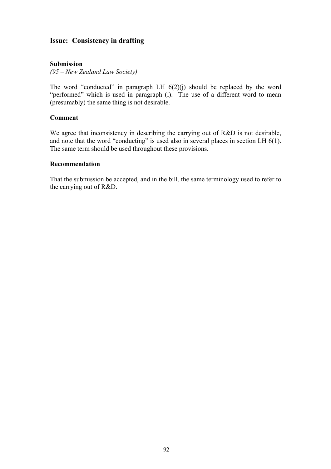# **Issue: Consistency in drafting**

# **Submission**

*(95 – New Zealand Law Society)* 

The word "conducted" in paragraph LH  $6(2)(j)$  should be replaced by the word "performed" which is used in paragraph (i). The use of a different word to mean (presumably) the same thing is not desirable.

#### **Comment**

We agree that inconsistency in describing the carrying out of R&D is not desirable, and note that the word "conducting" is used also in several places in section LH 6(1). The same term should be used throughout these provisions.

#### **Recommendation**

That the submission be accepted, and in the bill, the same terminology used to refer to the carrying out of R&D.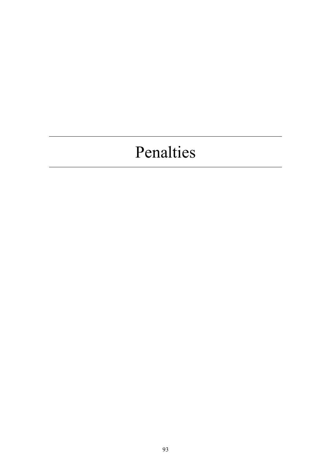# Penalties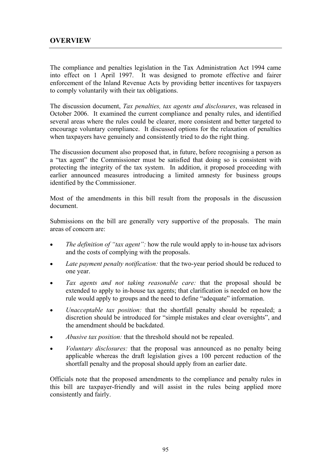The compliance and penalties legislation in the Tax Administration Act 1994 came into effect on 1 April 1997. It was designed to promote effective and fairer enforcement of the Inland Revenue Acts by providing better incentives for taxpayers to comply voluntarily with their tax obligations.

The discussion document, *Tax penalties, tax agents and disclosures*, was released in October 2006. It examined the current compliance and penalty rules, and identified several areas where the rules could be clearer, more consistent and better targeted to encourage voluntary compliance. It discussed options for the relaxation of penalties when taxpayers have genuinely and consistently tried to do the right thing.

The discussion document also proposed that, in future, before recognising a person as a "tax agent" the Commissioner must be satisfied that doing so is consistent with protecting the integrity of the tax system. In addition, it proposed proceeding with earlier announced measures introducing a limited amnesty for business groups identified by the Commissioner.

Most of the amendments in this bill result from the proposals in the discussion document.

Submissions on the bill are generally very supportive of the proposals. The main areas of concern are:

- *The definition of "tax agent":* how the rule would apply to in-house tax advisors and the costs of complying with the proposals.
- Late payment penalty notification: that the two-year period should be reduced to one year.
- *Tax agents and not taking reasonable care:* that the proposal should be extended to apply to in-house tax agents; that clarification is needed on how the rule would apply to groups and the need to define "adequate" information.
- *Unacceptable tax position:* that the shortfall penalty should be repealed; a discretion should be introduced for "simple mistakes and clear oversights", and the amendment should be backdated.
- *Abusive tax position:* that the threshold should not be repealed.
- *Voluntary disclosures:* that the proposal was announced as no penalty being applicable whereas the draft legislation gives a 100 percent reduction of the shortfall penalty and the proposal should apply from an earlier date.

Officials note that the proposed amendments to the compliance and penalty rules in this bill are taxpayer-friendly and will assist in the rules being applied more consistently and fairly.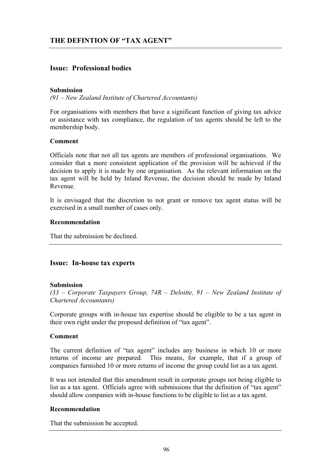# **Issue: Professional bodies**

#### **Submission**

*(91 – New Zealand Institute of Chartered Accountants)* 

For organisations with members that have a significant function of giving tax advice or assistance with tax compliance, the regulation of tax agents should be left to the membership body.

# **Comment**

Officials note that not all tax agents are members of professional organisations. We consider that a more consistent application of the provision will be achieved if the decision to apply it is made by one organisation. As the relevant information on the tax agent will be held by Inland Revenue, the decision should be made by Inland Revenue.

It is envisaged that the discretion to not grant or remove tax agent status will be exercised in a small number of cases only.

#### **Recommendation**

That the submission be declined.

# **Issue: In-house tax experts**

#### **Submission**

*(33 – Corporate Taxpayers Group, 74R – Deloitte, 91 – New Zealand Institute of Chartered Accountants)* 

Corporate groups with in-house tax expertise should be eligible to be a tax agent in their own right under the proposed definition of "tax agent".

# **Comment**

The current definition of "tax agent" includes any business in which 10 or more returns of income are prepared. This means, for example, that if a group of companies furnished 10 or more returns of income the group could list as a tax agent.

It was not intended that this amendment result in corporate groups not being eligible to list as a tax agent. Officials agree with submissions that the definition of "tax agent" should allow companies with in-house functions to be eligible to list as a tax agent.

# **Recommendation**

That the submission be accepted.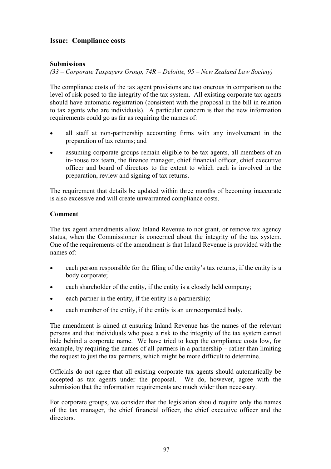# **Issue: Compliance costs**

# **Submissions**

*(33 – Corporate Taxpayers Group, 74R – Deloitte, 95 – New Zealand Law Society)* 

The compliance costs of the tax agent provisions are too onerous in comparison to the level of risk posed to the integrity of the tax system. All existing corporate tax agents should have automatic registration (consistent with the proposal in the bill in relation to tax agents who are individuals). A particular concern is that the new information requirements could go as far as requiring the names of:

- all staff at non-partnership accounting firms with any involvement in the preparation of tax returns; and
- assuming corporate groups remain eligible to be tax agents, all members of an in-house tax team, the finance manager, chief financial officer, chief executive officer and board of directors to the extent to which each is involved in the preparation, review and signing of tax returns.

The requirement that details be updated within three months of becoming inaccurate is also excessive and will create unwarranted compliance costs.

# **Comment**

The tax agent amendments allow Inland Revenue to not grant, or remove tax agency status, when the Commissioner is concerned about the integrity of the tax system. One of the requirements of the amendment is that Inland Revenue is provided with the names of:

- each person responsible for the filing of the entity's tax returns, if the entity is a body corporate;
- each shareholder of the entity, if the entity is a closely held company;
- each partner in the entity, if the entity is a partnership;
- each member of the entity, if the entity is an unincorporated body.

The amendment is aimed at ensuring Inland Revenue has the names of the relevant persons and that individuals who pose a risk to the integrity of the tax system cannot hide behind a corporate name. We have tried to keep the compliance costs low, for example, by requiring the names of all partners in a partnership – rather than limiting the request to just the tax partners, which might be more difficult to determine.

Officials do not agree that all existing corporate tax agents should automatically be accepted as tax agents under the proposal. We do, however, agree with the submission that the information requirements are much wider than necessary.

For corporate groups, we consider that the legislation should require only the names of the tax manager, the chief financial officer, the chief executive officer and the directors.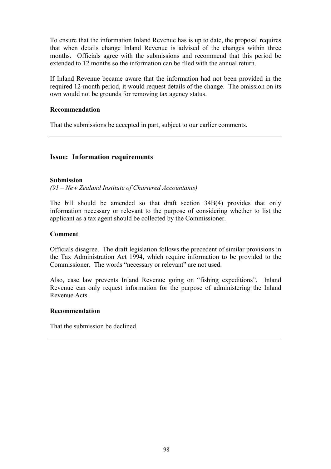To ensure that the information Inland Revenue has is up to date, the proposal requires that when details change Inland Revenue is advised of the changes within three months. Officials agree with the submissions and recommend that this period be extended to 12 months so the information can be filed with the annual return.

If Inland Revenue became aware that the information had not been provided in the required 12-month period, it would request details of the change. The omission on its own would not be grounds for removing tax agency status.

# **Recommendation**

That the submissions be accepted in part, subject to our earlier comments.

# **Issue: Information requirements**

#### **Submission**

*(91 – New Zealand Institute of Chartered Accountants)* 

The bill should be amended so that draft section 34B(4) provides that only information necessary or relevant to the purpose of considering whether to list the applicant as a tax agent should be collected by the Commissioner.

#### **Comment**

Officials disagree. The draft legislation follows the precedent of similar provisions in the Tax Administration Act 1994, which require information to be provided to the Commissioner. The words "necessary or relevant" are not used.

Also, case law prevents Inland Revenue going on "fishing expeditions". Inland Revenue can only request information for the purpose of administering the Inland Revenue Acts.

#### **Recommendation**

That the submission be declined.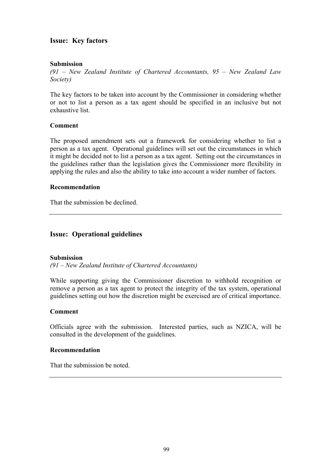# **Issue: Key factors**

# **Submission**

*(91 – New Zealand Institute of Chartered Accountants, 95 – New Zealand Law Society)* 

The key factors to be taken into account by the Commissioner in considering whether or not to list a person as a tax agent should be specified in an inclusive but not exhaustive list.

# **Comment**

The proposed amendment sets out a framework for considering whether to list a person as a tax agent. Operational guidelines will set out the circumstances in which it might be decided not to list a person as a tax agent. Setting out the circumstances in the guidelines rather than the legislation gives the Commissioner more flexibility in applying the rules and also the ability to take into account a wider number of factors.

# **Recommendation**

That the submission be declined.

# **Issue: Operational guidelines**

# **Submission**

*(91 – New Zealand Institute of Chartered Accountants)* 

While supporting giving the Commissioner discretion to withhold recognition or remove a person as a tax agent to protect the integrity of the tax system, operational guidelines setting out how the discretion might be exercised are of critical importance.

# **Comment**

Officials agree with the submission. Interested parties, such as NZICA, will be consulted in the development of the guidelines.

# **Recommendation**

That the submission be noted.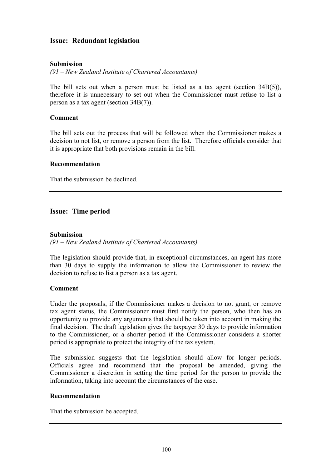# **Issue: Redundant legislation**

# **Submission**

*(91 – New Zealand Institute of Chartered Accountants)* 

The bill sets out when a person must be listed as a tax agent (section  $34B(5)$ ), therefore it is unnecessary to set out when the Commissioner must refuse to list a person as a tax agent (section 34B(7)).

# **Comment**

The bill sets out the process that will be followed when the Commissioner makes a decision to not list, or remove a person from the list. Therefore officials consider that it is appropriate that both provisions remain in the bill.

# **Recommendation**

That the submission be declined.

# **Issue: Time period**

#### **Submission**

*(91 – New Zealand Institute of Chartered Accountants)* 

The legislation should provide that, in exceptional circumstances, an agent has more than 30 days to supply the information to allow the Commissioner to review the decision to refuse to list a person as a tax agent.

# **Comment**

Under the proposals, if the Commissioner makes a decision to not grant, or remove tax agent status, the Commissioner must first notify the person, who then has an opportunity to provide any arguments that should be taken into account in making the final decision. The draft legislation gives the taxpayer 30 days to provide information to the Commissioner, or a shorter period if the Commissioner considers a shorter period is appropriate to protect the integrity of the tax system.

The submission suggests that the legislation should allow for longer periods. Officials agree and recommend that the proposal be amended, giving the Commissioner a discretion in setting the time period for the person to provide the information, taking into account the circumstances of the case.

# **Recommendation**

That the submission be accepted.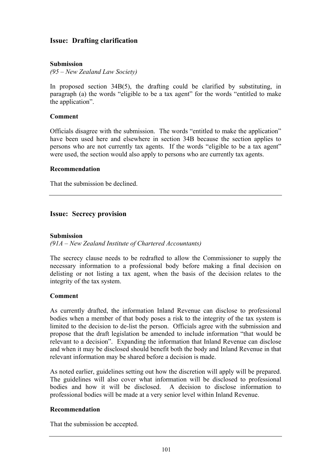# **Issue: Drafting clarification**

# **Submission**

*(95 – New Zealand Law Society)* 

In proposed section 34B(5), the drafting could be clarified by substituting, in paragraph (a) the words "eligible to be a tax agent" for the words "entitled to make the application".

#### **Comment**

Officials disagree with the submission. The words "entitled to make the application" have been used here and elsewhere in section 34B because the section applies to persons who are not currently tax agents. If the words "eligible to be a tax agent" were used, the section would also apply to persons who are currently tax agents.

#### **Recommendation**

That the submission be declined.

# **Issue: Secrecy provision**

#### **Submission**

*(91A – New Zealand Institute of Chartered Accountants)* 

The secrecy clause needs to be redrafted to allow the Commissioner to supply the necessary information to a professional body before making a final decision on delisting or not listing a tax agent, when the basis of the decision relates to the integrity of the tax system.

# **Comment**

As currently drafted, the information Inland Revenue can disclose to professional bodies when a member of that body poses a risk to the integrity of the tax system is limited to the decision to de-list the person. Officials agree with the submission and propose that the draft legislation be amended to include information "that would be relevant to a decision". Expanding the information that Inland Revenue can disclose and when it may be disclosed should benefit both the body and Inland Revenue in that relevant information may be shared before a decision is made.

As noted earlier, guidelines setting out how the discretion will apply will be prepared. The guidelines will also cover what information will be disclosed to professional bodies and how it will be disclosed. A decision to disclose information to professional bodies will be made at a very senior level within Inland Revenue.

# **Recommendation**

That the submission be accepted.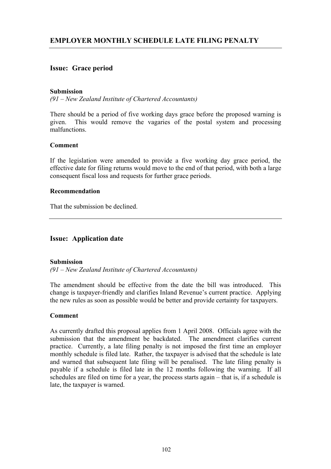# **Issue: Grace period**

# **Submission**

*(91 – New Zealand Institute of Chartered Accountants)* 

There should be a period of five working days grace before the proposed warning is given. This would remove the vagaries of the postal system and processing malfunctions.

#### **Comment**

If the legislation were amended to provide a five working day grace period, the effective date for filing returns would move to the end of that period, with both a large consequent fiscal loss and requests for further grace periods.

#### **Recommendation**

That the submission be declined.

# **Issue: Application date**

# **Submission**

*(91 – New Zealand Institute of Chartered Accountants)* 

The amendment should be effective from the date the bill was introduced. This change is taxpayer-friendly and clarifies Inland Revenue's current practice. Applying the new rules as soon as possible would be better and provide certainty for taxpayers.

# **Comment**

As currently drafted this proposal applies from 1 April 2008. Officials agree with the submission that the amendment be backdated. The amendment clarifies current practice. Currently, a late filing penalty is not imposed the first time an employer monthly schedule is filed late. Rather, the taxpayer is advised that the schedule is late and warned that subsequent late filing will be penalised. The late filing penalty is payable if a schedule is filed late in the 12 months following the warning. If all schedules are filed on time for a year, the process starts again – that is, if a schedule is late, the taxpayer is warned.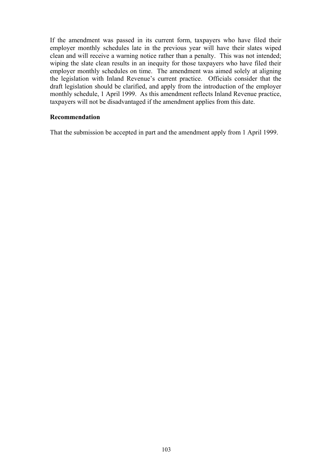If the amendment was passed in its current form, taxpayers who have filed their employer monthly schedules late in the previous year will have their slates wiped clean and will receive a warning notice rather than a penalty. This was not intended; wiping the slate clean results in an inequity for those taxpayers who have filed their employer monthly schedules on time. The amendment was aimed solely at aligning the legislation with Inland Revenue's current practice. Officials consider that the draft legislation should be clarified, and apply from the introduction of the employer monthly schedule, 1 April 1999. As this amendment reflects Inland Revenue practice, taxpayers will not be disadvantaged if the amendment applies from this date.

### **Recommendation**

That the submission be accepted in part and the amendment apply from 1 April 1999.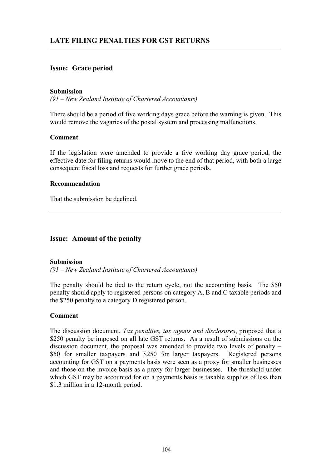## **Issue: Grace period**

### **Submission**

*(91 – New Zealand Institute of Chartered Accountants)* 

There should be a period of five working days grace before the warning is given. This would remove the vagaries of the postal system and processing malfunctions.

#### **Comment**

If the legislation were amended to provide a five working day grace period, the effective date for filing returns would move to the end of that period, with both a large consequent fiscal loss and requests for further grace periods.

#### **Recommendation**

That the submission be declined.

### **Issue: Amount of the penalty**

### **Submission**

*(91 – New Zealand Institute of Chartered Accountants)* 

The penalty should be tied to the return cycle, not the accounting basis. The \$50 penalty should apply to registered persons on category A, B and C taxable periods and the \$250 penalty to a category D registered person.

### **Comment**

The discussion document, *Tax penalties, tax agents and disclosures*, proposed that a \$250 penalty be imposed on all late GST returns. As a result of submissions on the discussion document, the proposal was amended to provide two levels of penalty – \$50 for smaller taxpayers and \$250 for larger taxpayers. Registered persons accounting for GST on a payments basis were seen as a proxy for smaller businesses and those on the invoice basis as a proxy for larger businesses. The threshold under which GST may be accounted for on a payments basis is taxable supplies of less than \$1.3 million in a 12-month period.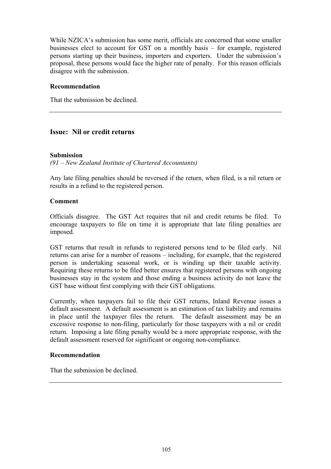While NZICA's submission has some merit, officials are concerned that some smaller businesses elect to account for GST on a monthly basis – for example, registered persons starting up their business, importers and exporters. Under the submission's proposal, these persons would face the higher rate of penalty. For this reason officials disagree with the submission.

### **Recommendation**

That the submission be declined.

## **Issue: Nil or credit returns**

### **Submission**

### *(91 – New Zealand Institute of Chartered Accountants)*

Any late filing penalties should be reversed if the return, when filed, is a nil return or results in a refund to the registered person.

### **Comment**

Officials disagree. The GST Act requires that nil and credit returns be filed. To encourage taxpayers to file on time it is appropriate that late filing penalties are imposed.

GST returns that result in refunds to registered persons tend to be filed early. Nil returns can arise for a number of reasons – including, for example, that the registered person is undertaking seasonal work, or is winding up their taxable activity. Requiring these returns to be filed better ensures that registered persons with ongoing businesses stay in the system and those ending a business activity do not leave the GST base without first complying with their GST obligations.

Currently, when taxpayers fail to file their GST returns, Inland Revenue issues a default assessment. A default assessment is an estimation of tax liability and remains in place until the taxpayer files the return. The default assessment may be an excessive response to non-filing, particularly for those taxpayers with a nil or credit return. Imposing a late filing penalty would be a more appropriate response, with the default assessment reserved for significant or ongoing non-compliance.

### **Recommendation**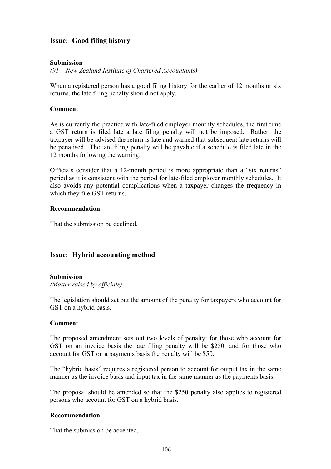## **Issue: Good filing history**

### **Submission**

*(91 – New Zealand Institute of Chartered Accountants)* 

When a registered person has a good filing history for the earlier of 12 months or six returns, the late filing penalty should not apply.

### **Comment**

As is currently the practice with late-filed employer monthly schedules, the first time a GST return is filed late a late filing penalty will not be imposed. Rather, the taxpayer will be advised the return is late and warned that subsequent late returns will be penalised. The late filing penalty will be payable if a schedule is filed late in the 12 months following the warning.

Officials consider that a 12-month period is more appropriate than a "six returns" period as it is consistent with the period for late-filed employer monthly schedules. It also avoids any potential complications when a taxpayer changes the frequency in which they file GST returns.

### **Recommendation**

That the submission be declined.

## **Issue: Hybrid accounting method**

### **Submission**

*(Matter raised by officials)* 

The legislation should set out the amount of the penalty for taxpayers who account for GST on a hybrid basis.

### **Comment**

The proposed amendment sets out two levels of penalty: for those who account for GST on an invoice basis the late filing penalty will be \$250, and for those who account for GST on a payments basis the penalty will be \$50.

The "hybrid basis" requires a registered person to account for output tax in the same manner as the invoice basis and input tax in the same manner as the payments basis.

The proposal should be amended so that the \$250 penalty also applies to registered persons who account for GST on a hybrid basis.

### **Recommendation**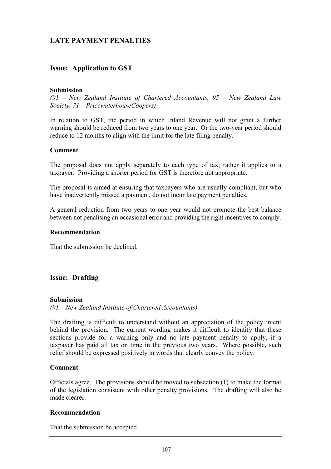## **Issue: Application to GST**

### **Submission**

*(91 – New Zealand Institute of Chartered Accountants, 95 – New Zealand Law Society, 71 – PricewaterhouseCoopers)* 

In relation to GST, the period in which Inland Revenue will not grant a further warning should be reduced from two years to one year. Or the two-year period should reduce to 12 months to align with the limit for the late filing penalty.

### **Comment**

The proposal does not apply separately to each type of tax; rather it applies to a taxpayer. Providing a shorter period for GST is therefore not appropriate.

The proposal is aimed at ensuring that taxpayers who are usually compliant, but who have inadvertently missed a payment, do not incur late payment penalties.

A general reduction from two years to one year would not promote the best balance between not penalising an occasional error and providing the right incentives to comply.

### **Recommendation**

That the submission be declined.

### **Issue: Drafting**

### **Submission**

*(91 – New Zealand Institute of Chartered Accountants)* 

The drafting is difficult to understand without an appreciation of the policy intent behind the provision. The current wording makes it difficult to identify that these sections provide for a warning only and no late payment penalty to apply, if a taxpayer has paid all tax on time in the previous two years. Where possible, such relief should be expressed positively in words that clearly convey the policy.

### **Comment**

Officials agree. The provisions should be moved to subsection (1) to make the format of the legislation consistent with other penalty provisions. The drafting will also be made clearer.

### **Recommendation**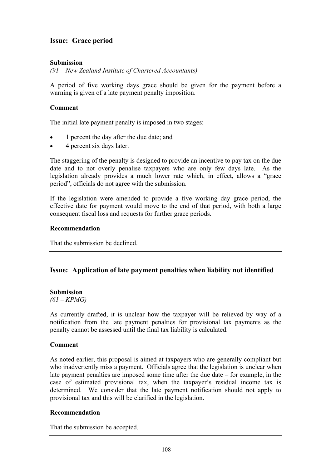## **Issue: Grace period**

### **Submission**

*(91 – New Zealand Institute of Chartered Accountants)* 

A period of five working days grace should be given for the payment before a warning is given of a late payment penalty imposition.

### **Comment**

The initial late payment penalty is imposed in two stages:

- 1 percent the day after the due date; and
- 4 percent six days later.

The staggering of the penalty is designed to provide an incentive to pay tax on the due date and to not overly penalise taxpayers who are only few days late. As the legislation already provides a much lower rate which, in effect, allows a "grace period", officials do not agree with the submission.

If the legislation were amended to provide a five working day grace period, the effective date for payment would move to the end of that period, with both a large consequent fiscal loss and requests for further grace periods.

### **Recommendation**

That the submission be declined.

## **Issue: Application of late payment penalties when liability not identified**

### **Submission**

*(61 – KPMG)* 

As currently drafted, it is unclear how the taxpayer will be relieved by way of a notification from the late payment penalties for provisional tax payments as the penalty cannot be assessed until the final tax liability is calculated.

### **Comment**

As noted earlier, this proposal is aimed at taxpayers who are generally compliant but who inadvertently miss a payment. Officials agree that the legislation is unclear when late payment penalties are imposed some time after the due date – for example, in the case of estimated provisional tax, when the taxpayer's residual income tax is determined. We consider that the late payment notification should not apply to provisional tax and this will be clarified in the legislation.

### **Recommendation**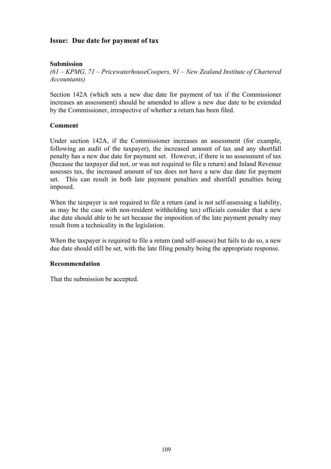## **Issue: Due date for payment of tax**

### **Submission**

*(61 – KPMG, 71 – PricewaterhouseCoopers, 91 – New Zealand Institute of Chartered Accountants)* 

Section 142A (which sets a new due date for payment of tax if the Commissioner increases an assessment) should be amended to allow a new due date to be extended by the Commissioner, irrespective of whether a return has been filed.

### **Comment**

Under section 142A, if the Commissioner increases an assessment (for example, following an audit of the taxpayer), the increased amount of tax and any shortfall penalty has a new due date for payment set. However, if there is no assessment of tax (because the taxpayer did not, or was not required to file a return) and Inland Revenue assesses tax, the increased amount of tax does not have a new due date for payment set. This can result in both late payment penalties and shortfall penalties being imposed.

When the taxpayer is not required to file a return (and is not self-assessing a liability, as may be the case with non-resident withholding tax) officials consider that a new due date should able to be set because the imposition of the late payment penalty may result from a technicality in the legislation.

When the taxpayer is required to file a return (and self-assess) but fails to do so, a new due date should still be set, with the late filing penalty being the appropriate response.

### **Recommendation**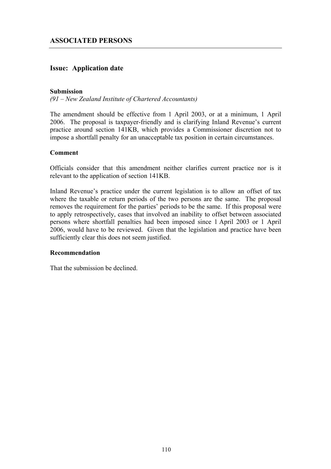## **Issue: Application date**

### **Submission**

*(91 – New Zealand Institute of Chartered Accountants)* 

The amendment should be effective from 1 April 2003, or at a minimum, 1 April 2006. The proposal is taxpayer-friendly and is clarifying Inland Revenue's current practice around section 141KB, which provides a Commissioner discretion not to impose a shortfall penalty for an unacceptable tax position in certain circumstances.

### **Comment**

Officials consider that this amendment neither clarifies current practice nor is it relevant to the application of section 141KB.

Inland Revenue's practice under the current legislation is to allow an offset of tax where the taxable or return periods of the two persons are the same. The proposal removes the requirement for the parties' periods to be the same. If this proposal were to apply retrospectively, cases that involved an inability to offset between associated persons where shortfall penalties had been imposed since 1 April 2003 or 1 April 2006, would have to be reviewed. Given that the legislation and practice have been sufficiently clear this does not seem justified.

### **Recommendation**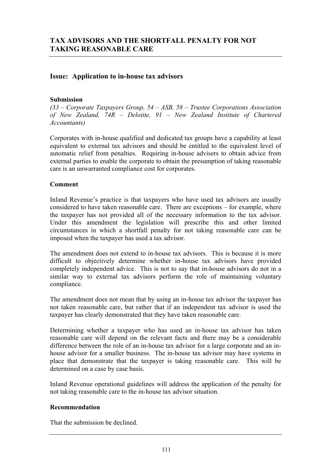## **Issue: Application to in-house tax advisors**

### **Submission**

*(33 – Corporate Taxpayers Group, 54 – ASB, 58 – Trustee Corporations Association of New Zealand, 74R – Deloitte, 91 – New Zealand Institute of Chartered Accountants)* 

Corporates with in-house qualified and dedicated tax groups have a capability at least equivalent to external tax advisors and should be entitled to the equivalent level of automatic relief from penalties. Requiring in-house advisers to obtain advice from external parties to enable the corporate to obtain the presumption of taking reasonable care is an unwarranted compliance cost for corporates.

### **Comment**

Inland Revenue's practice is that taxpayers who have used tax advisors are usually considered to have taken reasonable care. There are exceptions – for example, where the taxpayer has not provided all of the necessary information to the tax advisor. Under this amendment the legislation will prescribe this and other limited circumstances in which a shortfall penalty for not taking reasonable care can be imposed when the taxpayer has used a tax advisor.

The amendment does not extend to in-house tax advisors. This is because it is more difficult to objectively determine whether in-house tax advisors have provided completely independent advice. This is not to say that in-house advisors do not in a similar way to external tax advisors perform the role of maintaining voluntary compliance.

The amendment does not mean that by using an in-house tax advisor the taxpayer has not taken reasonable care, but rather that if an independent tax advisor is used the taxpayer has clearly demonstrated that they have taken reasonable care.

Determining whether a taxpayer who has used an in-house tax advisor has taken reasonable care will depend on the relevant facts and there may be a considerable difference between the role of an in-house tax advisor for a large corporate and an inhouse advisor for a smaller business. The in-house tax advisor may have systems in place that demonstrate that the taxpayer is taking reasonable care. This will be determined on a case by case basis.

Inland Revenue operational guidelines will address the application of the penalty for not taking reasonable care to the in-house tax advisor situation.

### **Recommendation**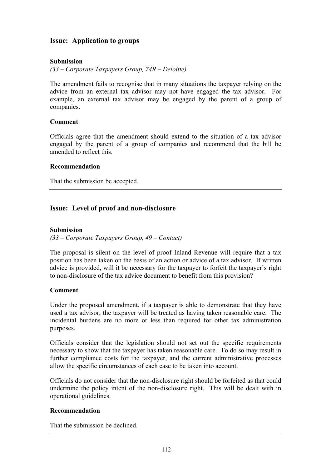## **Issue: Application to groups**

### **Submission**

*(33 – Corporate Taxpayers Group, 74R – Deloitte)* 

The amendment fails to recognise that in many situations the taxpayer relying on the advice from an external tax advisor may not have engaged the tax advisor. For example, an external tax advisor may be engaged by the parent of a group of companies.

### **Comment**

Officials agree that the amendment should extend to the situation of a tax advisor engaged by the parent of a group of companies and recommend that the bill be amended to reflect this.

### **Recommendation**

That the submission be accepted.

## **Issue: Level of proof and non-disclosure**

### **Submission**

*(33 – Corporate Taxpayers Group, 49 – Contact)* 

The proposal is silent on the level of proof Inland Revenue will require that a tax position has been taken on the basis of an action or advice of a tax advisor. If written advice is provided, will it be necessary for the taxpayer to forfeit the taxpayer's right to non-disclosure of the tax advice document to benefit from this provision?

### **Comment**

Under the proposed amendment, if a taxpayer is able to demonstrate that they have used a tax advisor, the taxpayer will be treated as having taken reasonable care. The incidental burdens are no more or less than required for other tax administration purposes.

Officials consider that the legislation should not set out the specific requirements necessary to show that the taxpayer has taken reasonable care. To do so may result in further compliance costs for the taxpayer, and the current administrative processes allow the specific circumstances of each case to be taken into account.

Officials do not consider that the non-disclosure right should be forfeited as that could undermine the policy intent of the non-disclosure right. This will be dealt with in operational guidelines.

### **Recommendation**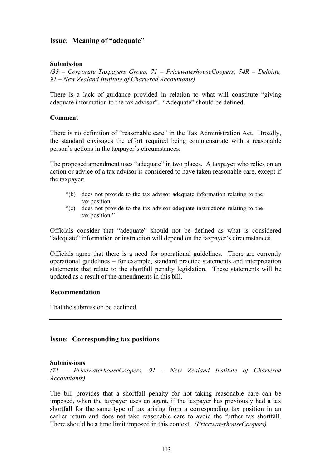## **Issue: Meaning of "adequate"**

### **Submission**

*(33 – Corporate Taxpayers Group, 71 – PricewaterhouseCoopers, 74R – Deloitte, 91 – New Zealand Institute of Chartered Accountants)* 

There is a lack of guidance provided in relation to what will constitute "giving adequate information to the tax advisor". "Adequate" should be defined.

#### **Comment**

There is no definition of "reasonable care" in the Tax Administration Act. Broadly, the standard envisages the effort required being commensurate with a reasonable person's actions in the taxpayer's circumstances.

The proposed amendment uses "adequate" in two places. A taxpayer who relies on an action or advice of a tax advisor is considered to have taken reasonable care, except if the taxpayer:

- "(b) does not provide to the tax advisor adequate information relating to the tax position:
- "(c) does not provide to the tax advisor adequate instructions relating to the tax position:"

Officials consider that "adequate" should not be defined as what is considered "adequate" information or instruction will depend on the taxpayer's circumstances.

Officials agree that there is a need for operational guidelines. There are currently operational guidelines – for example, standard practice statements and interpretation statements that relate to the shortfall penalty legislation. These statements will be updated as a result of the amendments in this bill.

#### **Recommendation**

That the submission be declined.

### **Issue: Corresponding tax positions**

#### **Submissions**

*(71 – PricewaterhouseCoopers, 91 – New Zealand Institute of Chartered Accountants)* 

The bill provides that a shortfall penalty for not taking reasonable care can be imposed, when the taxpayer uses an agent, if the taxpayer has previously had a tax shortfall for the same type of tax arising from a corresponding tax position in an earlier return and does not take reasonable care to avoid the further tax shortfall. There should be a time limit imposed in this context. *(PricewaterhouseCoopers)*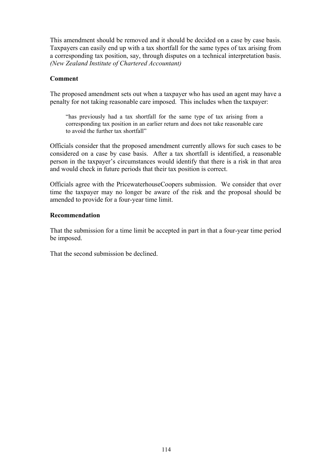This amendment should be removed and it should be decided on a case by case basis. Taxpayers can easily end up with a tax shortfall for the same types of tax arising from a corresponding tax position, say, through disputes on a technical interpretation basis. *(New Zealand Institute of Chartered Accountant)*

### **Comment**

The proposed amendment sets out when a taxpayer who has used an agent may have a penalty for not taking reasonable care imposed. This includes when the taxpayer:

"has previously had a tax shortfall for the same type of tax arising from a corresponding tax position in an earlier return and does not take reasonable care to avoid the further tax shortfall"

Officials consider that the proposed amendment currently allows for such cases to be considered on a case by case basis. After a tax shortfall is identified, a reasonable person in the taxpayer's circumstances would identify that there is a risk in that area and would check in future periods that their tax position is correct.

Officials agree with the PricewaterhouseCoopers submission. We consider that over time the taxpayer may no longer be aware of the risk and the proposal should be amended to provide for a four-year time limit.

### **Recommendation**

That the submission for a time limit be accepted in part in that a four-year time period be imposed.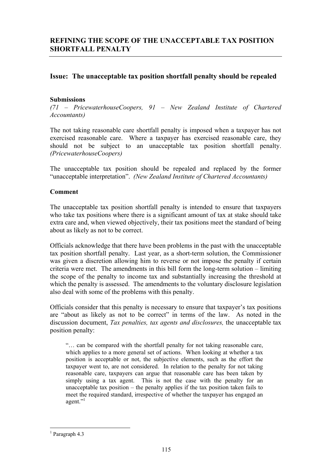## **Issue: The unacceptable tax position shortfall penalty should be repealed**

### **Submissions**

*(71 – PricewaterhouseCoopers, 91 – New Zealand Institute of Chartered Accountants)* 

The not taking reasonable care shortfall penalty is imposed when a taxpayer has not exercised reasonable care. Where a taxpayer has exercised reasonable care, they should not be subject to an unacceptable tax position shortfall penalty. *(PricewaterhouseCoopers)*

The unacceptable tax position should be repealed and replaced by the former "unacceptable interpretation". *(New Zealand Institute of Chartered Accountants)*

### **Comment**

The unacceptable tax position shortfall penalty is intended to ensure that taxpayers who take tax positions where there is a significant amount of tax at stake should take extra care and, when viewed objectively, their tax positions meet the standard of being about as likely as not to be correct.

Officials acknowledge that there have been problems in the past with the unacceptable tax position shortfall penalty. Last year, as a short-term solution, the Commissioner was given a discretion allowing him to reverse or not impose the penalty if certain criteria were met. The amendments in this bill form the long-term solution – limiting the scope of the penalty to income tax and substantially increasing the threshold at which the penalty is assessed. The amendments to the voluntary disclosure legislation also deal with some of the problems with this penalty.

Officials consider that this penalty is necessary to ensure that taxpayer's tax positions are "about as likely as not to be correct" in terms of the law. As noted in the discussion document, *Tax penalties, tax agents and disclosures,* the unacceptable tax position penalty:

"… can be compared with the shortfall penalty for not taking reasonable care, which applies to a more general set of actions. When looking at whether a tax position is acceptable or not, the subjective elements, such as the effort the taxpayer went to, are not considered. In relation to the penalty for not taking reasonable care, taxpayers can argue that reasonable care has been taken by simply using a tax agent. This is not the case with the penalty for an unacceptable tax position – the penalty applies if the tax position taken fails to meet the required standard, irrespective of whether the taxpayer has engaged an agent."<sup>1</sup>

 $\overline{a}$ 

<sup>&</sup>lt;sup>1</sup> Paragraph 4.3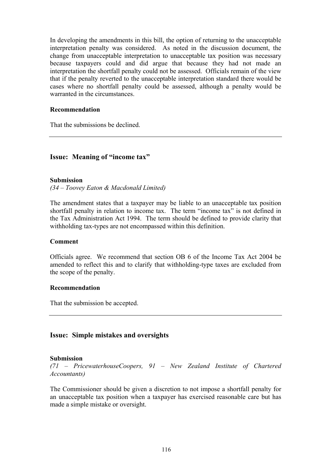In developing the amendments in this bill, the option of returning to the unacceptable interpretation penalty was considered. As noted in the discussion document, the change from unacceptable interpretation to unacceptable tax position was necessary because taxpayers could and did argue that because they had not made an interpretation the shortfall penalty could not be assessed. Officials remain of the view that if the penalty reverted to the unacceptable interpretation standard there would be cases where no shortfall penalty could be assessed, although a penalty would be warranted in the circumstances.

### **Recommendation**

That the submissions be declined.

## **Issue: Meaning of "income tax"**

### **Submission**

*(34 – Toovey Eaton & Macdonald Limited)* 

The amendment states that a taxpayer may be liable to an unacceptable tax position shortfall penalty in relation to income tax. The term "income tax" is not defined in the Tax Administration Act 1994. The term should be defined to provide clarity that withholding tax-types are not encompassed within this definition.

### **Comment**

Officials agree. We recommend that section OB 6 of the Income Tax Act 2004 be amended to reflect this and to clarify that withholding-type taxes are excluded from the scope of the penalty.

### **Recommendation**

That the submission be accepted.

### **Issue: Simple mistakes and oversights**

### **Submission**

*(71 – PricewaterhouseCoopers, 91 – New Zealand Institute of Chartered Accountants)* 

The Commissioner should be given a discretion to not impose a shortfall penalty for an unacceptable tax position when a taxpayer has exercised reasonable care but has made a simple mistake or oversight.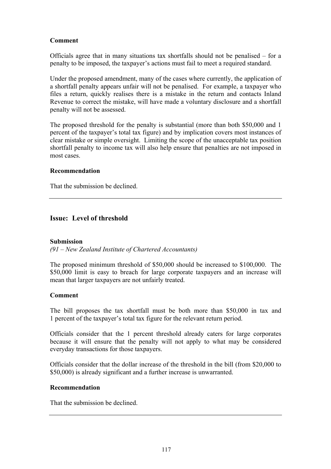### **Comment**

Officials agree that in many situations tax shortfalls should not be penalised – for a penalty to be imposed, the taxpayer's actions must fail to meet a required standard.

Under the proposed amendment, many of the cases where currently, the application of a shortfall penalty appears unfair will not be penalised. For example, a taxpayer who files a return, quickly realises there is a mistake in the return and contacts Inland Revenue to correct the mistake, will have made a voluntary disclosure and a shortfall penalty will not be assessed.

The proposed threshold for the penalty is substantial (more than both \$50,000 and 1 percent of the taxpayer's total tax figure) and by implication covers most instances of clear mistake or simple oversight. Limiting the scope of the unacceptable tax position shortfall penalty to income tax will also help ensure that penalties are not imposed in most cases.

### **Recommendation**

That the submission be declined.

## **Issue: Level of threshold**

### **Submission**

*(91 – New Zealand Institute of Chartered Accountants)* 

The proposed minimum threshold of \$50,000 should be increased to \$100,000. The \$50,000 limit is easy to breach for large corporate taxpayers and an increase will mean that larger taxpayers are not unfairly treated.

### **Comment**

The bill proposes the tax shortfall must be both more than \$50,000 in tax and 1 percent of the taxpayer's total tax figure for the relevant return period.

Officials consider that the 1 percent threshold already caters for large corporates because it will ensure that the penalty will not apply to what may be considered everyday transactions for those taxpayers.

Officials consider that the dollar increase of the threshold in the bill (from \$20,000 to \$50,000) is already significant and a further increase is unwarranted.

### **Recommendation**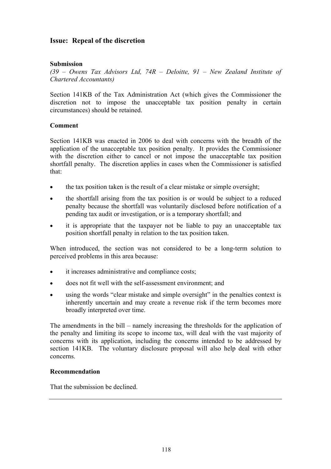## **Issue: Repeal of the discretion**

### **Submission**

*(39 – Owens Tax Advisors Ltd, 74R – Deloitte, 91 – New Zealand Institute of Chartered Accountants)* 

Section 141KB of the Tax Administration Act (which gives the Commissioner the discretion not to impose the unacceptable tax position penalty in certain circumstances) should be retained.

### **Comment**

Section 141KB was enacted in 2006 to deal with concerns with the breadth of the application of the unacceptable tax position penalty. It provides the Commissioner with the discretion either to cancel or not impose the unacceptable tax position shortfall penalty. The discretion applies in cases when the Commissioner is satisfied that:

- the tax position taken is the result of a clear mistake or simple oversight;
- the shortfall arising from the tax position is or would be subject to a reduced penalty because the shortfall was voluntarily disclosed before notification of a pending tax audit or investigation, or is a temporary shortfall; and
- it is appropriate that the taxpayer not be liable to pay an unacceptable tax position shortfall penalty in relation to the tax position taken.

When introduced, the section was not considered to be a long-term solution to perceived problems in this area because:

- it increases administrative and compliance costs;
- does not fit well with the self-assessment environment; and
- using the words "clear mistake and simple oversight" in the penalties context is inherently uncertain and may create a revenue risk if the term becomes more broadly interpreted over time.

The amendments in the bill – namely increasing the thresholds for the application of the penalty and limiting its scope to income tax, will deal with the vast majority of concerns with its application, including the concerns intended to be addressed by section 141KB. The voluntary disclosure proposal will also help deal with other concerns.

### **Recommendation**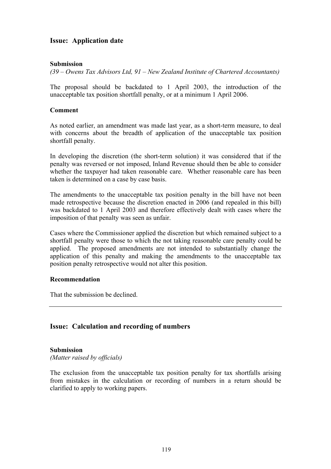## **Issue: Application date**

### **Submission**

*(39 – Owens Tax Advisors Ltd, 91 – New Zealand Institute of Chartered Accountants)* 

The proposal should be backdated to 1 April 2003, the introduction of the unacceptable tax position shortfall penalty, or at a minimum 1 April 2006.

#### **Comment**

As noted earlier, an amendment was made last year, as a short-term measure, to deal with concerns about the breadth of application of the unacceptable tax position shortfall penalty.

In developing the discretion (the short-term solution) it was considered that if the penalty was reversed or not imposed, Inland Revenue should then be able to consider whether the taxpayer had taken reasonable care. Whether reasonable care has been taken is determined on a case by case basis.

The amendments to the unacceptable tax position penalty in the bill have not been made retrospective because the discretion enacted in 2006 (and repealed in this bill) was backdated to 1 April 2003 and therefore effectively dealt with cases where the imposition of that penalty was seen as unfair.

Cases where the Commissioner applied the discretion but which remained subject to a shortfall penalty were those to which the not taking reasonable care penalty could be applied. The proposed amendments are not intended to substantially change the application of this penalty and making the amendments to the unacceptable tax position penalty retrospective would not alter this position.

### **Recommendation**

That the submission be declined.

### **Issue: Calculation and recording of numbers**

# **Submission**

*(Matter raised by officials)* 

The exclusion from the unacceptable tax position penalty for tax shortfalls arising from mistakes in the calculation or recording of numbers in a return should be clarified to apply to working papers.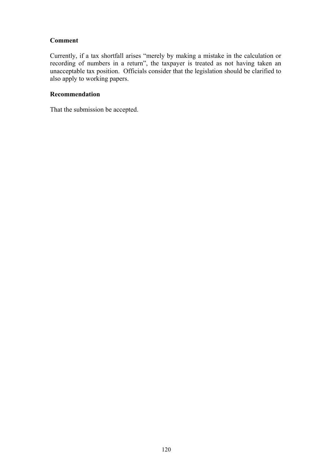### **Comment**

Currently, if a tax shortfall arises "merely by making a mistake in the calculation or recording of numbers in a return", the taxpayer is treated as not having taken an unacceptable tax position. Officials consider that the legislation should be clarified to also apply to working papers.

### **Recommendation**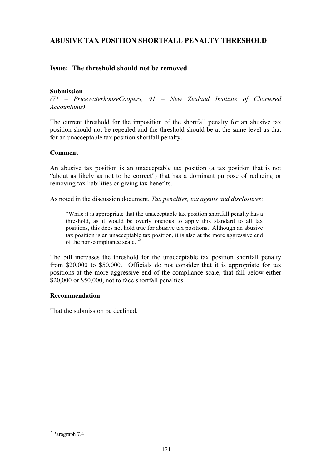## **Issue: The threshold should not be removed**

### **Submission**

*(71 – PricewaterhouseCoopers, 91 – New Zealand Institute of Chartered Accountants)* 

The current threshold for the imposition of the shortfall penalty for an abusive tax position should not be repealed and the threshold should be at the same level as that for an unacceptable tax position shortfall penalty.

### **Comment**

An abusive tax position is an unacceptable tax position (a tax position that is not "about as likely as not to be correct") that has a dominant purpose of reducing or removing tax liabilities or giving tax benefits.

As noted in the discussion document, *Tax penalties, tax agents and disclosures*:

"While it is appropriate that the unacceptable tax position shortfall penalty has a threshold, as it would be overly onerous to apply this standard to all tax positions, this does not hold true for abusive tax positions. Although an abusive tax position is an unacceptable tax position, it is also at the more aggressive end of the non-compliance scale."<sup>2</sup>

The bill increases the threshold for the unacceptable tax position shortfall penalty from \$20,000 to \$50,000. Officials do not consider that it is appropriate for tax positions at the more aggressive end of the compliance scale, that fall below either \$20,000 or \$50,000, not to face shortfall penalties.

### **Recommendation**

That the submission be declined.

 $\overline{a}$ 

<sup>2</sup> Paragraph 7.4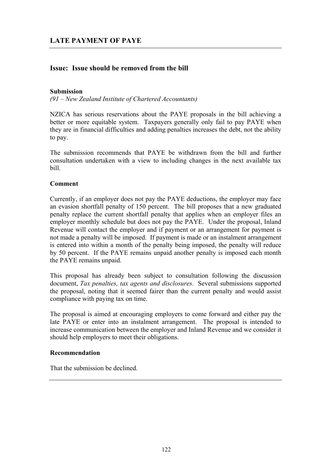## **Issue: Issue should be removed from the bill**

### **Submission**

*(91 – New Zealand Institute of Chartered Accountants)* 

NZICA has serious reservations about the PAYE proposals in the bill achieving a better or more equitable system. Taxpayers generally only fail to pay PAYE when they are in financial difficulties and adding penalties increases the debt, not the ability to pay.

The submission recommends that PAYE be withdrawn from the bill and further consultation undertaken with a view to including changes in the next available tax bill.

### **Comment**

Currently, if an employer does not pay the PAYE deductions, the employer may face an evasion shortfall penalty of 150 percent. The bill proposes that a new graduated penalty replace the current shortfall penalty that applies when an employer files an employer monthly schedule but does not pay the PAYE. Under the proposal, Inland Revenue will contact the employer and if payment or an arrangement for payment is not made a penalty will be imposed. If payment is made or an instalment arrangement is entered into within a month of the penalty being imposed, the penalty will reduce by 50 percent. If the PAYE remains unpaid another penalty is imposed each month the PAYE remains unpaid.

This proposal has already been subject to consultation following the discussion document, *Tax penalties, tax agents and disclosures*. Several submissions supported the proposal, noting that it seemed fairer than the current penalty and would assist compliance with paying tax on time.

The proposal is aimed at encouraging employers to come forward and either pay the late PAYE or enter into an instalment arrangement. The proposal is intended to increase communication between the employer and Inland Revenue and we consider it should help employers to meet their obligations.

### **Recommendation**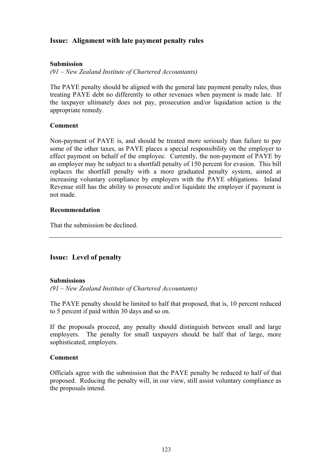## **Issue: Alignment with late payment penalty rules**

### **Submission**

*(91 – New Zealand Institute of Chartered Accountants)* 

The PAYE penalty should be aligned with the general late payment penalty rules, thus treating PAYE debt no differently to other revenues when payment is made late. If the taxpayer ultimately does not pay, prosecution and/or liquidation action is the appropriate remedy.

### **Comment**

Non-payment of PAYE is, and should be treated more seriously than failure to pay some of the other taxes, as PAYE places a special responsibility on the employer to effect payment on behalf of the employee. Currently, the non-payment of PAYE by an employer may be subject to a shortfall penalty of 150 percent for evasion. This bill replaces the shortfall penalty with a more graduated penalty system, aimed at increasing voluntary compliance by employers with the PAYE obligations. Inland Revenue still has the ability to prosecute and/or liquidate the employer if payment is not made.

### **Recommendation**

That the submission be declined.

## **Issue: Level of penalty**

### **Submissions**

*(91 – New Zealand Institute of Chartered Accountants)* 

The PAYE penalty should be limited to half that proposed, that is, 10 percent reduced to 5 percent if paid within 30 days and so on.

If the proposals proceed, any penalty should distinguish between small and large employers. The penalty for small taxpayers should be half that of large, more sophisticated, employers.

### **Comment**

Officials agree with the submission that the PAYE penalty be reduced to half of that proposed. Reducing the penalty will, in our view, still assist voluntary compliance as the proposals intend.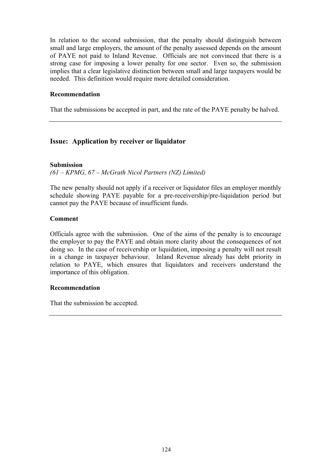In relation to the second submission, that the penalty should distinguish between small and large employers, the amount of the penalty assessed depends on the amount of PAYE not paid to Inland Revenue. Officials are not convinced that there is a strong case for imposing a lower penalty for one sector. Even so, the submission implies that a clear legislative distinction between small and large taxpayers would be needed. This definition would require more detailed consideration.

### **Recommendation**

That the submissions be accepted in part, and the rate of the PAYE penalty be halved.

## **Issue: Application by receiver or liquidator**

**Submission** 

*(61 – KPMG, 67 – McGrath Nicol Partners (NZ) Limited)* 

The new penalty should not apply if a receiver or liquidator files an employer monthly schedule showing PAYE payable for a pre-receivership/pre-liquidation period but cannot pay the PAYE because of insufficient funds.

### **Comment**

Officials agree with the submission. One of the aims of the penalty is to encourage the employer to pay the PAYE and obtain more clarity about the consequences of not doing so. In the case of receivership or liquidation, imposing a penalty will not result in a change in taxpayer behaviour. Inland Revenue already has debt priority in relation to PAYE, which ensures that liquidators and receivers understand the importance of this obligation.

### **Recommendation**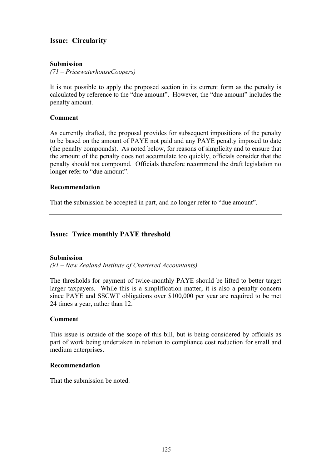## **Issue: Circularity**

### **Submission**

*(71 – PricewaterhouseCoopers)* 

It is not possible to apply the proposed section in its current form as the penalty is calculated by reference to the "due amount". However, the "due amount" includes the penalty amount.

### **Comment**

As currently drafted, the proposal provides for subsequent impositions of the penalty to be based on the amount of PAYE not paid and any PAYE penalty imposed to date (the penalty compounds). As noted below, for reasons of simplicity and to ensure that the amount of the penalty does not accumulate too quickly, officials consider that the penalty should not compound. Officials therefore recommend the draft legislation no longer refer to "due amount".

### **Recommendation**

That the submission be accepted in part, and no longer refer to "due amount".

## **Issue: Twice monthly PAYE threshold**

### **Submission**

*(91 – New Zealand Institute of Chartered Accountants)* 

The thresholds for payment of twice-monthly PAYE should be lifted to better target larger taxpayers. While this is a simplification matter, it is also a penalty concern since PAYE and SSCWT obligations over \$100,000 per year are required to be met 24 times a year, rather than 12.

### **Comment**

This issue is outside of the scope of this bill, but is being considered by officials as part of work being undertaken in relation to compliance cost reduction for small and medium enterprises.

### **Recommendation**

That the submission be noted.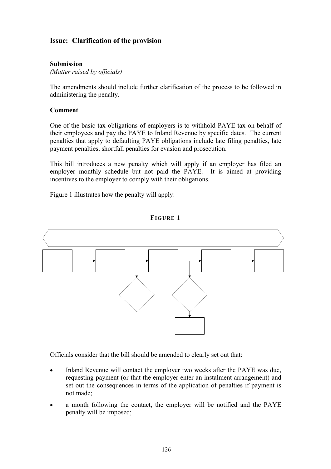## **Issue: Clarification of the provision**

### **Submission**

*(Matter raised by officials)* 

The amendments should include further clarification of the process to be followed in administering the penalty.

### **Comment**

One of the basic tax obligations of employers is to withhold PAYE tax on behalf of their employees and pay the PAYE to Inland Revenue by specific dates. The current penalties that apply to defaulting PAYE obligations include late filing penalties, late payment penalties, shortfall penalties for evasion and prosecution.

This bill introduces a new penalty which will apply if an employer has filed an employer monthly schedule but not paid the PAYE. It is aimed at providing incentives to the employer to comply with their obligations.

Figure 1 illustrates how the penalty will apply:



**FIGURE 1** 

Officials consider that the bill should be amended to clearly set out that:

- Inland Revenue will contact the employer two weeks after the PAYE was due, requesting payment (or that the employer enter an instalment arrangement) and set out the consequences in terms of the application of penalties if payment is not made;
- a month following the contact, the employer will be notified and the PAYE penalty will be imposed;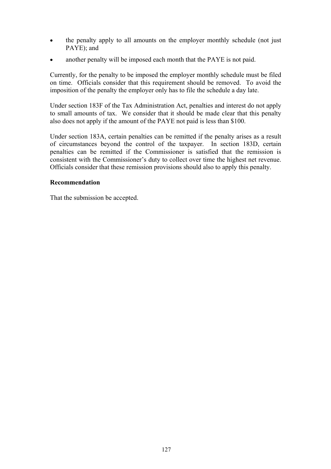- the penalty apply to all amounts on the employer monthly schedule (not just PAYE); and
- another penalty will be imposed each month that the PAYE is not paid.

Currently, for the penalty to be imposed the employer monthly schedule must be filed on time. Officials consider that this requirement should be removed. To avoid the imposition of the penalty the employer only has to file the schedule a day late.

Under section 183F of the Tax Administration Act, penalties and interest do not apply to small amounts of tax. We consider that it should be made clear that this penalty also does not apply if the amount of the PAYE not paid is less than \$100.

Under section 183A, certain penalties can be remitted if the penalty arises as a result of circumstances beyond the control of the taxpayer. In section 183D, certain penalties can be remitted if the Commissioner is satisfied that the remission is consistent with the Commissioner's duty to collect over time the highest net revenue. Officials consider that these remission provisions should also to apply this penalty.

### **Recommendation**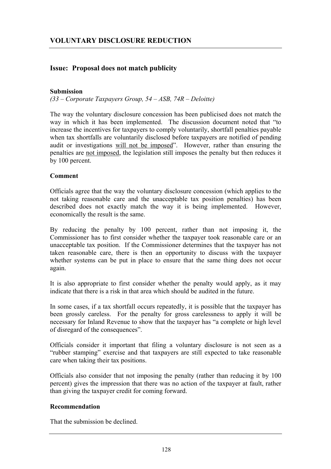## **Issue: Proposal does not match publicity**

### **Submission**

*(33 – Corporate Taxpayers Group, 54 – ASB, 74R – Deloitte)* 

The way the voluntary disclosure concession has been publicised does not match the way in which it has been implemented. The discussion document noted that "to increase the incentives for taxpayers to comply voluntarily, shortfall penalties payable when tax shortfalls are voluntarily disclosed before taxpayers are notified of pending audit or investigations will not be imposed". However, rather than ensuring the penalties are not imposed, the legislation still imposes the penalty but then reduces it by 100 percent.

### **Comment**

Officials agree that the way the voluntary disclosure concession (which applies to the not taking reasonable care and the unacceptable tax position penalties) has been described does not exactly match the way it is being implemented. However, economically the result is the same.

By reducing the penalty by 100 percent, rather than not imposing it, the Commissioner has to first consider whether the taxpayer took reasonable care or an unacceptable tax position. If the Commissioner determines that the taxpayer has not taken reasonable care, there is then an opportunity to discuss with the taxpayer whether systems can be put in place to ensure that the same thing does not occur again.

It is also appropriate to first consider whether the penalty would apply, as it may indicate that there is a risk in that area which should be audited in the future.

In some cases, if a tax shortfall occurs repeatedly, it is possible that the taxpayer has been grossly careless. For the penalty for gross carelessness to apply it will be necessary for Inland Revenue to show that the taxpayer has "a complete or high level of disregard of the consequences".

Officials consider it important that filing a voluntary disclosure is not seen as a "rubber stamping" exercise and that taxpayers are still expected to take reasonable care when taking their tax positions.

Officials also consider that not imposing the penalty (rather than reducing it by 100 percent) gives the impression that there was no action of the taxpayer at fault, rather than giving the taxpayer credit for coming forward.

### **Recommendation**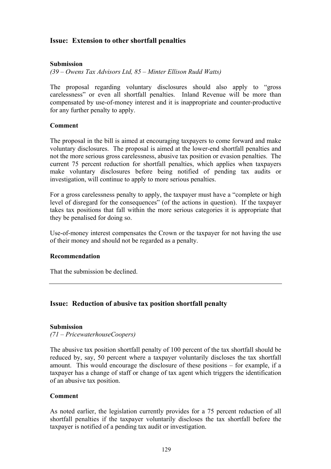## **Issue: Extension to other shortfall penalties**

### **Submission**

*(39 – Owens Tax Advisors Ltd, 85 – Minter Ellison Rudd Watts)* 

The proposal regarding voluntary disclosures should also apply to "gross carelessness" or even all shortfall penalties. Inland Revenue will be more than compensated by use-of-money interest and it is inappropriate and counter-productive for any further penalty to apply.

### **Comment**

The proposal in the bill is aimed at encouraging taxpayers to come forward and make voluntary disclosures. The proposal is aimed at the lower-end shortfall penalties and not the more serious gross carelessness, abusive tax position or evasion penalties. The current 75 percent reduction for shortfall penalties, which applies when taxpayers make voluntary disclosures before being notified of pending tax audits or investigation, will continue to apply to more serious penalties.

For a gross carelessness penalty to apply, the taxpayer must have a "complete or high level of disregard for the consequences" (of the actions in question). If the taxpayer takes tax positions that fall within the more serious categories it is appropriate that they be penalised for doing so.

Use-of-money interest compensates the Crown or the taxpayer for not having the use of their money and should not be regarded as a penalty.

### **Recommendation**

That the submission be declined.

### **Issue: Reduction of abusive tax position shortfall penalty**

### **Submission**

*(71 – PricewaterhouseCoopers)* 

The abusive tax position shortfall penalty of 100 percent of the tax shortfall should be reduced by, say, 50 percent where a taxpayer voluntarily discloses the tax shortfall amount. This would encourage the disclosure of these positions – for example, if a taxpayer has a change of staff or change of tax agent which triggers the identification of an abusive tax position.

### **Comment**

As noted earlier, the legislation currently provides for a 75 percent reduction of all shortfall penalties if the taxpayer voluntarily discloses the tax shortfall before the taxpayer is notified of a pending tax audit or investigation.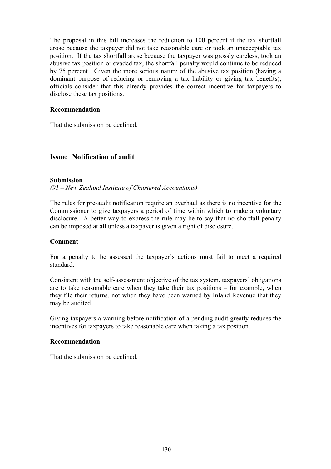The proposal in this bill increases the reduction to 100 percent if the tax shortfall arose because the taxpayer did not take reasonable care or took an unacceptable tax position. If the tax shortfall arose because the taxpayer was grossly careless, took an abusive tax position or evaded tax, the shortfall penalty would continue to be reduced by 75 percent. Given the more serious nature of the abusive tax position (having a dominant purpose of reducing or removing a tax liability or giving tax benefits), officials consider that this already provides the correct incentive for taxpayers to disclose these tax positions.

### **Recommendation**

That the submission be declined.

## **Issue: Notification of audit**

### **Submission**

*(91 – New Zealand Institute of Chartered Accountants)* 

The rules for pre-audit notification require an overhaul as there is no incentive for the Commissioner to give taxpayers a period of time within which to make a voluntary disclosure. A better way to express the rule may be to say that no shortfall penalty can be imposed at all unless a taxpayer is given a right of disclosure.

### **Comment**

For a penalty to be assessed the taxpayer's actions must fail to meet a required standard.

Consistent with the self-assessment objective of the tax system, taxpayers' obligations are to take reasonable care when they take their tax positions – for example, when they file their returns, not when they have been warned by Inland Revenue that they may be audited.

Giving taxpayers a warning before notification of a pending audit greatly reduces the incentives for taxpayers to take reasonable care when taking a tax position.

### **Recommendation**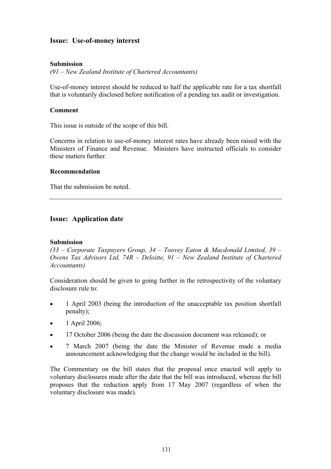## **Issue: Use-of-money interest**

### **Submission**

*(91 – New Zealand Institute of Chartered Accountants)* 

Use-of-money interest should be reduced to half the applicable rate for a tax shortfall that is voluntarily disclosed before notification of a pending tax audit or investigation.

### **Comment**

This issue is outside of the scope of this bill.

Concerns in relation to use-of-money interest rates have already been raised with the Ministers of Finance and Revenue. Ministers have instructed officials to consider these matters further.

### **Recommendation**

That the submission be noted.

### **Issue: Application date**

### **Submission**

*(33 – Corporate Taxpayers Group, 34 – Toovey Eaton & Macdonald Limited, 39 – Owens Tax Advisors Ltd, 74R – Deloitte, 91 – New Zealand Institute of Chartered Accountants)* 

Consideration should be given to going further in the retrospectivity of the voluntary disclosure rule to:

- 1 April 2003 (being the introduction of the unacceptable tax position shortfall penalty);
- $\bullet$  1 April 2006;
- 17 October 2006 (being the date the discussion document was released); or
- 7 March 2007 (being the date the Minister of Revenue made a media announcement acknowledging that the change would be included in the bill).

The Commentary on the bill states that the proposal once enacted will apply to voluntary disclosures made after the date that the bill was introduced, whereas the bill proposes that the reduction apply from 17 May 2007 (regardless of when the voluntary disclosure was made).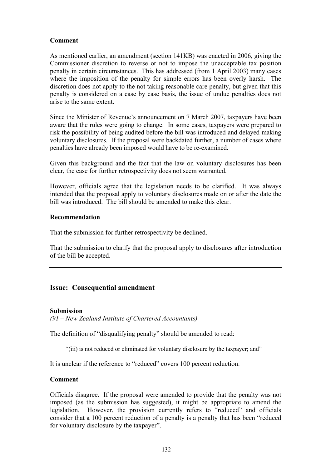### **Comment**

As mentioned earlier, an amendment (section 141KB) was enacted in 2006, giving the Commissioner discretion to reverse or not to impose the unacceptable tax position penalty in certain circumstances. This has addressed (from 1 April 2003) many cases where the imposition of the penalty for simple errors has been overly harsh. The discretion does not apply to the not taking reasonable care penalty, but given that this penalty is considered on a case by case basis, the issue of undue penalties does not arise to the same extent.

Since the Minister of Revenue's announcement on 7 March 2007, taxpayers have been aware that the rules were going to change. In some cases, taxpayers were prepared to risk the possibility of being audited before the bill was introduced and delayed making voluntary disclosures. If the proposal were backdated further, a number of cases where penalties have already been imposed would have to be re-examined.

Given this background and the fact that the law on voluntary disclosures has been clear, the case for further retrospectivity does not seem warranted.

However, officials agree that the legislation needs to be clarified. It was always intended that the proposal apply to voluntary disclosures made on or after the date the bill was introduced. The bill should be amended to make this clear.

### **Recommendation**

That the submission for further retrospectivity be declined.

That the submission to clarify that the proposal apply to disclosures after introduction of the bill be accepted.

### **Issue: Consequential amendment**

#### **Submission**

*(91 – New Zealand Institute of Chartered Accountants)* 

The definition of "disqualifying penalty" should be amended to read:

"(iii) is not reduced or eliminated for voluntary disclosure by the taxpayer; and"

It is unclear if the reference to "reduced" covers 100 percent reduction.

### **Comment**

Officials disagree. If the proposal were amended to provide that the penalty was not imposed (as the submission has suggested), it might be appropriate to amend the legislation. However, the provision currently refers to "reduced" and officials consider that a 100 percent reduction of a penalty is a penalty that has been "reduced for voluntary disclosure by the taxpayer".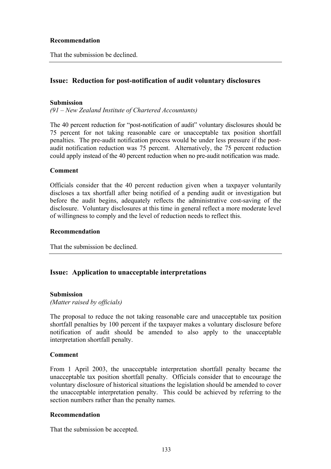### **Recommendation**

That the submission be declined.

### **Issue: Reduction for post-notification of audit voluntary disclosures**

### **Submission**

*(91 – New Zealand Institute of Chartered Accountants)* 

The 40 percent reduction for "post-notification of audit" voluntary disclosures should be 75 percent for not taking reasonable care or unacceptable tax position shortfall penalties. The pre-audit notification process would be under less pressure if the postaudit notification reduction was 75 percent. Alternatively, the 75 percent reduction could apply instead of the 40 percent reduction when no pre-audit notification was made.

#### **Comment**

Officials consider that the 40 percent reduction given when a taxpayer voluntarily discloses a tax shortfall after being notified of a pending audit or investigation but before the audit begins, adequately reflects the administrative cost-saving of the disclosure. Voluntary disclosures at this time in general reflect a more moderate level of willingness to comply and the level of reduction needs to reflect this.

#### **Recommendation**

That the submission be declined.

### **Issue: Application to unacceptable interpretations**

### **Submission**

*(Matter raised by officials)* 

The proposal to reduce the not taking reasonable care and unacceptable tax position shortfall penalties by 100 percent if the taxpayer makes a voluntary disclosure before notification of audit should be amended to also apply to the unacceptable interpretation shortfall penalty.

#### **Comment**

From 1 April 2003, the unacceptable interpretation shortfall penalty became the unacceptable tax position shortfall penalty. Officials consider that to encourage the voluntary disclosure of historical situations the legislation should be amended to cover the unacceptable interpretation penalty. This could be achieved by referring to the section numbers rather than the penalty names.

### **Recommendation**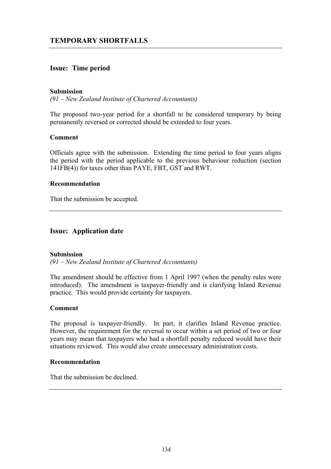## **Issue: Time period**

### **Submission**

*(91 – New Zealand Institute of Chartered Accountants)* 

The proposed two-year period for a shortfall to be considered temporary by being permanently reversed or corrected should be extended to four years.

#### **Comment**

Officials agree with the submission. Extending the time period to four years aligns the period with the period applicable to the previous behaviour reduction (section 141FB(4)) for taxes other than PAYE, FBT, GST and RWT.

#### **Recommendation**

That the submission be accepted.

### **Issue: Application date**

#### **Submission**

*(91 – New Zealand Institute of Chartered Accountants)* 

The amendment should be effective from 1 April 1997 (when the penalty rules were introduced). The amendment is taxpayer-friendly and is clarifying Inland Revenue practice. This would provide certainty for taxpayers.

### **Comment**

The proposal is taxpayer-friendly. In part, it clarifies Inland Revenue practice. However, the requirement for the reversal to occur within a set period of two or four years may mean that taxpayers who had a shortfall penalty reduced would have their situations reviewed. This would also create unnecessary administration costs.

#### **Recommendation**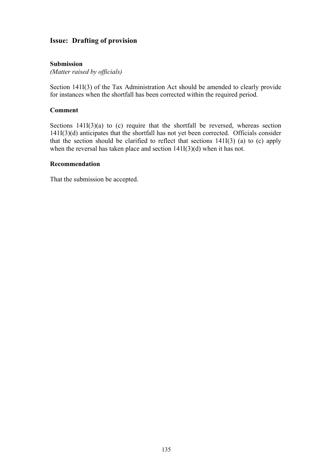## **Issue: Drafting of provision**

### **Submission**

*(Matter raised by officials)* 

Section 141I(3) of the Tax Administration Act should be amended to clearly provide for instances when the shortfall has been corrected within the required period.

### **Comment**

Sections  $141I(3)(a)$  to (c) require that the shortfall be reversed, whereas section 141I(3)(d) anticipates that the shortfall has not yet been corrected. Officials consider that the section should be clarified to reflect that sections 141I(3) (a) to (c) apply when the reversal has taken place and section  $141I(3)(d)$  when it has not.

#### **Recommendation**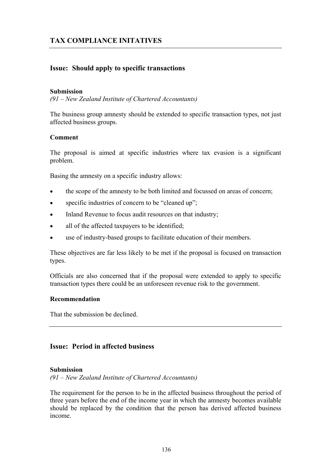## **Issue: Should apply to specific transactions**

### **Submission**

*(91 – New Zealand Institute of Chartered Accountants)* 

The business group amnesty should be extended to specific transaction types, not just affected business groups.

### **Comment**

The proposal is aimed at specific industries where tax evasion is a significant problem.

Basing the amnesty on a specific industry allows:

- the scope of the amnesty to be both limited and focussed on areas of concern;
- specific industries of concern to be "cleaned up";
- Inland Revenue to focus audit resources on that industry;
- all of the affected taxpayers to be identified;
- use of industry-based groups to facilitate education of their members.

These objectives are far less likely to be met if the proposal is focused on transaction types.

Officials are also concerned that if the proposal were extended to apply to specific transaction types there could be an unforeseen revenue risk to the government.

### **Recommendation**

That the submission be declined.

## **Issue: Period in affected business**

### **Submission**

*(91 – New Zealand Institute of Chartered Accountants)* 

The requirement for the person to be in the affected business throughout the period of three years before the end of the income year in which the amnesty becomes available should be replaced by the condition that the person has derived affected business income.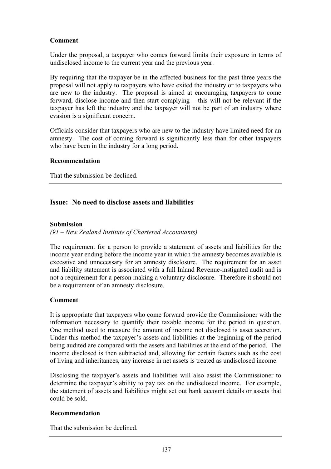## **Comment**

Under the proposal, a taxpayer who comes forward limits their exposure in terms of undisclosed income to the current year and the previous year.

By requiring that the taxpayer be in the affected business for the past three years the proposal will not apply to taxpayers who have exited the industry or to taxpayers who are new to the industry. The proposal is aimed at encouraging taxpayers to come forward, disclose income and then start complying – this will not be relevant if the taxpayer has left the industry and the taxpayer will not be part of an industry where evasion is a significant concern.

Officials consider that taxpayers who are new to the industry have limited need for an amnesty. The cost of coming forward is significantly less than for other taxpayers who have been in the industry for a long period.

### **Recommendation**

That the submission be declined.

## **Issue: No need to disclose assets and liabilities**

### **Submission**

### *(91 – New Zealand Institute of Chartered Accountants)*

The requirement for a person to provide a statement of assets and liabilities for the income year ending before the income year in which the amnesty becomes available is excessive and unnecessary for an amnesty disclosure. The requirement for an asset and liability statement is associated with a full Inland Revenue-instigated audit and is not a requirement for a person making a voluntary disclosure. Therefore it should not be a requirement of an amnesty disclosure.

### **Comment**

It is appropriate that taxpayers who come forward provide the Commissioner with the information necessary to quantify their taxable income for the period in question. One method used to measure the amount of income not disclosed is asset accretion. Under this method the taxpayer's assets and liabilities at the beginning of the period being audited are compared with the assets and liabilities at the end of the period. The income disclosed is then subtracted and, allowing for certain factors such as the cost of living and inheritances, any increase in net assets is treated as undisclosed income.

Disclosing the taxpayer's assets and liabilities will also assist the Commissioner to determine the taxpayer's ability to pay tax on the undisclosed income. For example, the statement of assets and liabilities might set out bank account details or assets that could be sold.

### **Recommendation**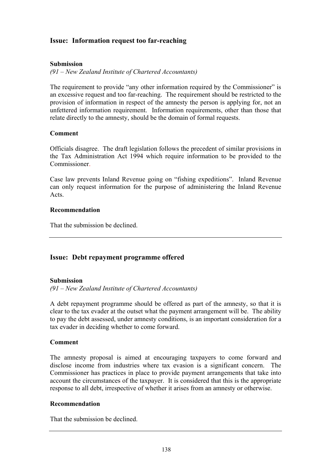## **Issue: Information request too far-reaching**

### **Submission**

*(91 – New Zealand Institute of Chartered Accountants)* 

The requirement to provide "any other information required by the Commissioner" is an excessive request and too far-reaching. The requirement should be restricted to the provision of information in respect of the amnesty the person is applying for, not an unfettered information requirement. Information requirements, other than those that relate directly to the amnesty, should be the domain of formal requests.

### **Comment**

Officials disagree. The draft legislation follows the precedent of similar provisions in the Tax Administration Act 1994 which require information to be provided to the Commissioner.

Case law prevents Inland Revenue going on "fishing expeditions". Inland Revenue can only request information for the purpose of administering the Inland Revenue Acts.

### **Recommendation**

That the submission be declined.

### **Issue: Debt repayment programme offered**

### **Submission**

*(91 – New Zealand Institute of Chartered Accountants)* 

A debt repayment programme should be offered as part of the amnesty, so that it is clear to the tax evader at the outset what the payment arrangement will be. The ability to pay the debt assessed, under amnesty conditions, is an important consideration for a tax evader in deciding whether to come forward.

### **Comment**

The amnesty proposal is aimed at encouraging taxpayers to come forward and disclose income from industries where tax evasion is a significant concern. The Commissioner has practices in place to provide payment arrangements that take into account the circumstances of the taxpayer. It is considered that this is the appropriate response to all debt, irrespective of whether it arises from an amnesty or otherwise.

### **Recommendation**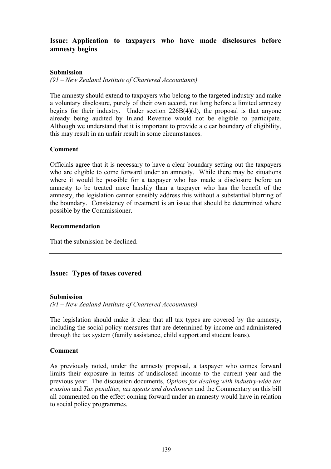# **Issue: Application to taxpayers who have made disclosures before amnesty begins**

## **Submission**

*(91 – New Zealand Institute of Chartered Accountants)* 

The amnesty should extend to taxpayers who belong to the targeted industry and make a voluntary disclosure, purely of their own accord, not long before a limited amnesty begins for their industry. Under section  $226B(4)(d)$ , the proposal is that anyone already being audited by Inland Revenue would not be eligible to participate. Although we understand that it is important to provide a clear boundary of eligibility, this may result in an unfair result in some circumstances.

## **Comment**

Officials agree that it is necessary to have a clear boundary setting out the taxpayers who are eligible to come forward under an amnesty. While there may be situations where it would be possible for a taxpayer who has made a disclosure before an amnesty to be treated more harshly than a taxpayer who has the benefit of the amnesty, the legislation cannot sensibly address this without a substantial blurring of the boundary. Consistency of treatment is an issue that should be determined where possible by the Commissioner.

## **Recommendation**

That the submission be declined.

# **Issue: Types of taxes covered**

#### **Submission**

*(91 – New Zealand Institute of Chartered Accountants)* 

The legislation should make it clear that all tax types are covered by the amnesty, including the social policy measures that are determined by income and administered through the tax system (family assistance, child support and student loans).

#### **Comment**

As previously noted, under the amnesty proposal, a taxpayer who comes forward limits their exposure in terms of undisclosed income to the current year and the previous year. The discussion documents, *Options for dealing with industry-wide tax evasion* and *Tax penalties, tax agents and disclosures* and the Commentary on this bill all commented on the effect coming forward under an amnesty would have in relation to social policy programmes.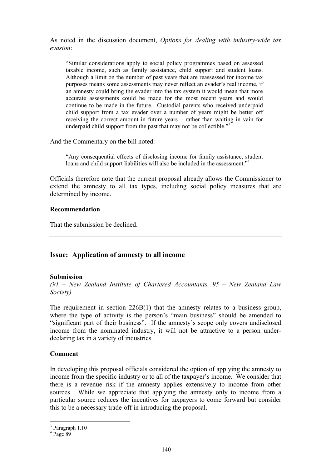As noted in the discussion document, *Options for dealing with industry-wide tax evasion*:

"Similar considerations apply to social policy programmes based on assessed taxable income, such as family assistance, child support and student loans. Although a limit on the number of past years that are reassessed for income tax purposes means some assessments may never reflect an evader's real income, if an amnesty could bring the evader into the tax system it would mean that more accurate assessments could be made for the most recent years and would continue to be made in the future. Custodial parents who received underpaid child support from a tax evader over a number of years might be better off receiving the correct amount in future years – rather than waiting in vain for underpaid child support from the past that may not be collectible."<sup>3</sup>

And the Commentary on the bill noted:

"Any consequential effects of disclosing income for family assistance, student loans and child support liabilities will also be included in the assessment."<sup>4</sup>

Officials therefore note that the current proposal already allows the Commissioner to extend the amnesty to all tax types, including social policy measures that are determined by income.

#### **Recommendation**

That the submission be declined.

## **Issue: Application of amnesty to all income**

#### **Submission**

*(91 – New Zealand Institute of Chartered Accountants, 95 – New Zealand Law Society)* 

The requirement in section  $226B(1)$  that the amnesty relates to a business group, where the type of activity is the person's "main business" should be amended to "significant part of their business". If the amnesty's scope only covers undisclosed income from the nominated industry, it will not be attractive to a person underdeclaring tax in a variety of industries.

#### **Comment**

In developing this proposal officials considered the option of applying the amnesty to income from the specific industry or to all of the taxpayer's income. We consider that there is a revenue risk if the amnesty applies extensively to income from other sources. While we appreciate that applying the amnesty only to income from a particular source reduces the incentives for taxpayers to come forward but consider this to be a necessary trade-off in introducing the proposal.

 $\overline{a}$ 

<sup>&</sup>lt;sup>3</sup> Paragraph 1.10

 $4$  Page 89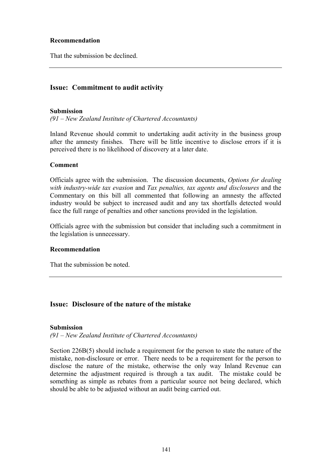## **Recommendation**

That the submission be declined.

# **Issue: Commitment to audit activity**

#### **Submission**

*(91 – New Zealand Institute of Chartered Accountants)* 

Inland Revenue should commit to undertaking audit activity in the business group after the amnesty finishes. There will be little incentive to disclose errors if it is perceived there is no likelihood of discovery at a later date.

#### **Comment**

Officials agree with the submission. The discussion documents, *Options for dealing with industry-wide tax evasion* and *Tax penalties, tax agents and disclosures* and the Commentary on this bill all commented that following an amnesty the affected industry would be subject to increased audit and any tax shortfalls detected would face the full range of penalties and other sanctions provided in the legislation.

Officials agree with the submission but consider that including such a commitment in the legislation is unnecessary.

#### **Recommendation**

That the submission be noted.

# **Issue: Disclosure of the nature of the mistake**

#### **Submission**

*(91 – New Zealand Institute of Chartered Accountants)* 

Section 226B(5) should include a requirement for the person to state the nature of the mistake, non-disclosure or error. There needs to be a requirement for the person to disclose the nature of the mistake, otherwise the only way Inland Revenue can determine the adjustment required is through a tax audit. The mistake could be something as simple as rebates from a particular source not being declared, which should be able to be adjusted without an audit being carried out.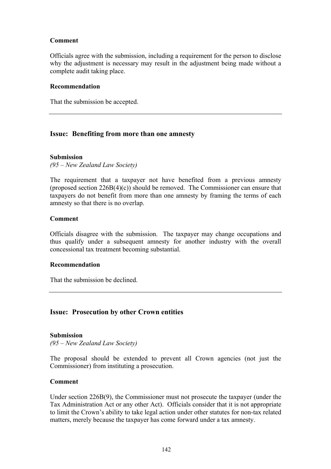## **Comment**

Officials agree with the submission, including a requirement for the person to disclose why the adjustment is necessary may result in the adjustment being made without a complete audit taking place.

#### **Recommendation**

That the submission be accepted.

## **Issue: Benefiting from more than one amnesty**

#### **Submission**

*(95 – New Zealand Law Society)* 

The requirement that a taxpayer not have benefited from a previous amnesty (proposed section  $226B(4)(c)$ ) should be removed. The Commissioner can ensure that taxpayers do not benefit from more than one amnesty by framing the terms of each amnesty so that there is no overlap.

#### **Comment**

Officials disagree with the submission. The taxpayer may change occupations and thus qualify under a subsequent amnesty for another industry with the overall concessional tax treatment becoming substantial.

#### **Recommendation**

That the submission be declined.

#### **Issue: Prosecution by other Crown entities**

#### **Submission**

*(95 – New Zealand Law Society)* 

The proposal should be extended to prevent all Crown agencies (not just the Commissioner) from instituting a prosecution.

#### **Comment**

Under section 226B(9), the Commissioner must not prosecute the taxpayer (under the Tax Administration Act or any other Act). Officials consider that it is not appropriate to limit the Crown's ability to take legal action under other statutes for non-tax related matters, merely because the taxpayer has come forward under a tax amnesty.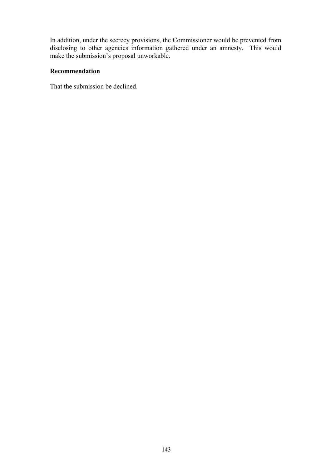In addition, under the secrecy provisions, the Commissioner would be prevented from disclosing to other agencies information gathered under an amnesty. This would make the submission's proposal unworkable.

# **Recommendation**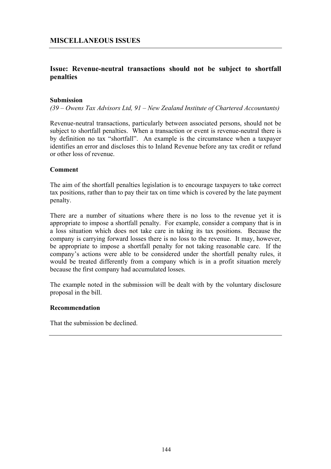# **MISCELLANEOUS ISSUES**

# **Issue: Revenue-neutral transactions should not be subject to shortfall penalties**

#### **Submission**

*(39 – Owens Tax Advisors Ltd, 91 – New Zealand Institute of Chartered Accountants)* 

Revenue-neutral transactions, particularly between associated persons, should not be subject to shortfall penalties. When a transaction or event is revenue-neutral there is by definition no tax "shortfall". An example is the circumstance when a taxpayer identifies an error and discloses this to Inland Revenue before any tax credit or refund or other loss of revenue.

#### **Comment**

The aim of the shortfall penalties legislation is to encourage taxpayers to take correct tax positions, rather than to pay their tax on time which is covered by the late payment penalty.

There are a number of situations where there is no loss to the revenue yet it is appropriate to impose a shortfall penalty. For example, consider a company that is in a loss situation which does not take care in taking its tax positions. Because the company is carrying forward losses there is no loss to the revenue. It may, however, be appropriate to impose a shortfall penalty for not taking reasonable care. If the company's actions were able to be considered under the shortfall penalty rules, it would be treated differently from a company which is in a profit situation merely because the first company had accumulated losses.

The example noted in the submission will be dealt with by the voluntary disclosure proposal in the bill.

#### **Recommendation**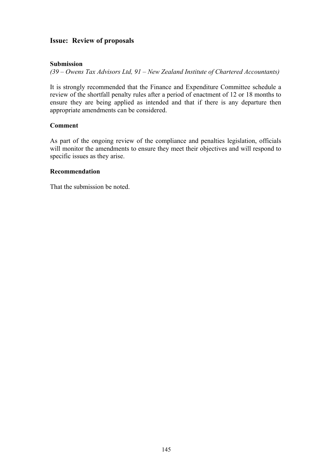# **Issue: Review of proposals**

## **Submission**

*(39 – Owens Tax Advisors Ltd, 91 – New Zealand Institute of Chartered Accountants)* 

It is strongly recommended that the Finance and Expenditure Committee schedule a review of the shortfall penalty rules after a period of enactment of 12 or 18 months to ensure they are being applied as intended and that if there is any departure then appropriate amendments can be considered.

## **Comment**

As part of the ongoing review of the compliance and penalties legislation, officials will monitor the amendments to ensure they meet their objectives and will respond to specific issues as they arise.

#### **Recommendation**

That the submission be noted.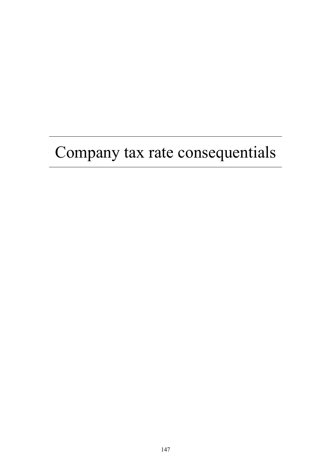# Company tax rate consequentials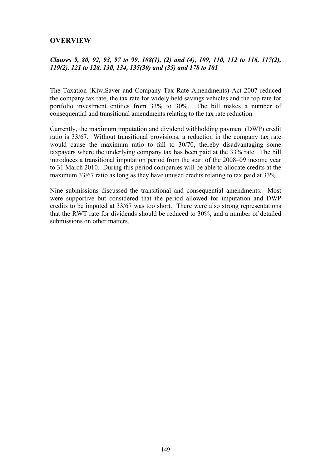## **OVERVIEW**

## *Clauses 9, 80, 92, 93, 97 to 99, 108(1), (2) and (4), 109, 110, 112 to 116, 117(2), 119(2), 121 to 128, 130, 134, 135(30) and (35) and 178 to 181*

The Taxation (KiwiSaver and Company Tax Rate Amendments) Act 2007 reduced the company tax rate, the tax rate for widely held savings vehicles and the top rate for portfolio investment entities from 33% to 30%. The bill makes a number of consequential and transitional amendments relating to the tax rate reduction.

Currently, the maximum imputation and dividend withholding payment (DWP) credit ratio is 33/67. Without transitional provisions, a reduction in the company tax rate would cause the maximum ratio to fall to 30/70, thereby disadvantaging some taxpayers where the underlying company tax has been paid at the 33% rate. The bill introduces a transitional imputation period from the start of the 2008–09 income year to 31 March 2010. During this period companies will be able to allocate credits at the maximum 33/67 ratio as long as they have unused credits relating to tax paid at 33%.

Nine submissions discussed the transitional and consequential amendments. Most were supportive but considered that the period allowed for imputation and DWP credits to be imputed at 33/67 was too short. There were also strong representations that the RWT rate for dividends should be reduced to 30%, and a number of detailed submissions on other matters.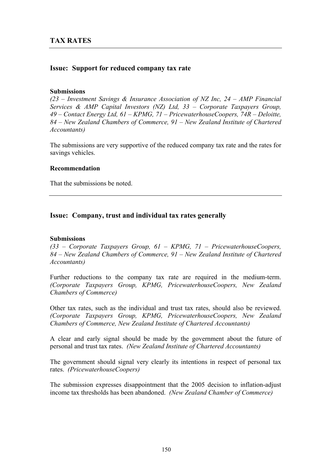## **Issue: Support for reduced company tax rate**

#### **Submissions**

*(23 – Investment Savings & Insurance Association of NZ Inc, 24 – AMP Financial Services & AMP Capital Investors (NZ) Ltd, 33 – Corporate Taxpayers Group, 49 – Contact Energy Ltd, 61 – KPMG, 71 – PricewaterhouseCoopers, 74R – Deloitte, 84 – New Zealand Chambers of Commerce, 91 – New Zealand Institute of Chartered Accountants)* 

The submissions are very supportive of the reduced company tax rate and the rates for savings vehicles.

#### **Recommendation**

That the submissions be noted.

## **Issue: Company, trust and individual tax rates generally**

#### **Submissions**

*(33 – Corporate Taxpayers Group, 61 – KPMG, 71 – PricewaterhouseCoopers, 84 – New Zealand Chambers of Commerce, 91 – New Zealand Institute of Chartered Accountants)* 

Further reductions to the company tax rate are required in the medium-term. *(Corporate Taxpayers Group, KPMG, PricewaterhouseCoopers, New Zealand Chambers of Commerce)* 

Other tax rates, such as the individual and trust tax rates, should also be reviewed. *(Corporate Taxpayers Group, KPMG, PricewaterhouseCoopers, New Zealand Chambers of Commerce, New Zealand Institute of Chartered Accountants)* 

A clear and early signal should be made by the government about the future of personal and trust tax rates. *(New Zealand Institute of Chartered Accountants)* 

The government should signal very clearly its intentions in respect of personal tax rates. *(PricewaterhouseCoopers)*

The submission expresses disappointment that the 2005 decision to inflation-adjust income tax thresholds has been abandoned. *(New Zealand Chamber of Commerce)*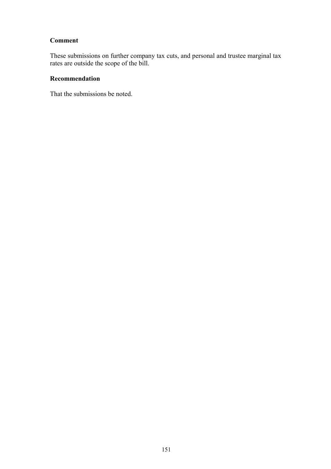# **Comment**

These submissions on further company tax cuts, and personal and trustee marginal tax rates are outside the scope of the bill.

## **Recommendation**

That the submissions be noted.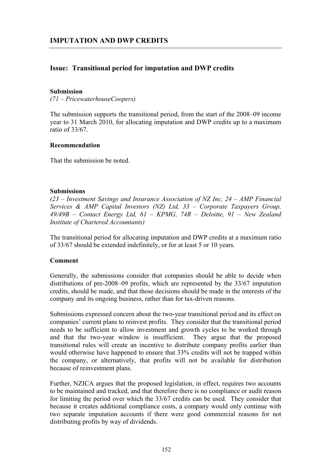# **Issue: Transitional period for imputation and DWP credits**

#### **Submission**

*(71 – PricewaterhouseCoopers)* 

The submission supports the transitional period, from the start of the 2008–09 income year to 31 March 2010, for allocating imputation and DWP credits up to a maximum ratio of 33/67.

#### **Recommendation**

That the submission be noted.

#### **Submissions**

*(23 – Investment Savings and Insurance Association of NZ Inc, 24 – AMP Financial Services & AMP Capital Investors (NZ) Ltd, 33 – Corporate Taxpayers Group, 49/49B – Contact Energy Ltd, 61 – KPMG, 74R – Deloitte, 91 – New Zealand Institute of Chartered Accountants)* 

The transitional period for allocating imputation and DWP credits at a maximum ratio of 33/67 should be extended indefinitely, or for at least 5 or 10 years.

#### **Comment**

Generally, the submissions consider that companies should be able to decide when distributions of pre-2008–09 profits, which are represented by the 33/67 imputation credits, should be made, and that those decisions should be made in the interests of the company and its ongoing business, rather than for tax-driven reasons.

Submissions expressed concern about the two-year transitional period and its effect on companies' current plans to reinvest profits. They consider that the transitional period needs to be sufficient to allow investment and growth cycles to be worked through and that the two-year window is insufficient. They argue that the proposed transitional rules will create an incentive to distribute company profits earlier than would otherwise have happened to ensure that 33% credits will not be trapped within the company, or alternatively, that profits will not be available for distribution because of reinvestment plans.

Further, NZICA argues that the proposed legislation, in effect, requires two accounts to be maintained and tracked, and that therefore there is no compliance or audit reason for limiting the period over which the 33/67 credits can be used. They consider that because it creates additional compliance costs, a company would only continue with two separate imputation accounts if there were good commercial reasons for not distributing profits by way of dividends.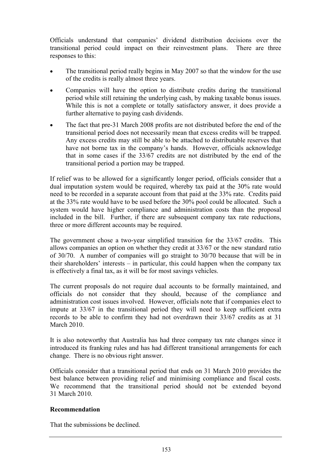Officials understand that companies' dividend distribution decisions over the transitional period could impact on their reinvestment plans. There are three responses to this:

- The transitional period really begins in May 2007 so that the window for the use of the credits is really almost three years.
- Companies will have the option to distribute credits during the transitional period while still retaining the underlying cash, by making taxable bonus issues. While this is not a complete or totally satisfactory answer, it does provide a further alternative to paying cash dividends.
- The fact that pre-31 March 2008 profits are not distributed before the end of the transitional period does not necessarily mean that excess credits will be trapped. Any excess credits may still be able to be attached to distributable reserves that have not borne tax in the company's hands. However, officials acknowledge that in some cases if the 33/67 credits are not distributed by the end of the transitional period a portion may be trapped.

If relief was to be allowed for a significantly longer period, officials consider that a dual imputation system would be required, whereby tax paid at the 30% rate would need to be recorded in a separate account from that paid at the 33% rate. Credits paid at the 33% rate would have to be used before the 30% pool could be allocated. Such a system would have higher compliance and administration costs than the proposal included in the bill. Further, if there are subsequent company tax rate reductions, three or more different accounts may be required.

The government chose a two-year simplified transition for the 33/67 credits. This allows companies an option on whether they credit at 33/67 or the new standard ratio of 30/70. A number of companies will go straight to 30/70 because that will be in their shareholders' interests – in particular, this could happen when the company tax is effectively a final tax, as it will be for most savings vehicles.

The current proposals do not require dual accounts to be formally maintained, and officials do not consider that they should, because of the compliance and administration cost issues involved. However, officials note that if companies elect to impute at 33/67 in the transitional period they will need to keep sufficient extra records to be able to confirm they had not overdrawn their 33/67 credits as at 31 March 2010.

It is also noteworthy that Australia has had three company tax rate changes since it introduced its franking rules and has had different transitional arrangements for each change. There is no obvious right answer.

Officials consider that a transitional period that ends on 31 March 2010 provides the best balance between providing relief and minimising compliance and fiscal costs. We recommend that the transitional period should not be extended beyond 31 March 2010.

## **Recommendation**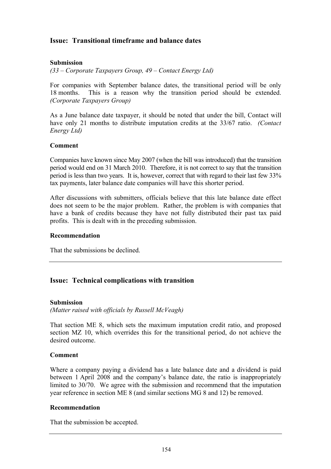# **Issue: Transitional timeframe and balance dates**

## **Submission**

*(33 – Corporate Taxpayers Group, 49 – Contact Energy Ltd)* 

For companies with September balance dates, the transitional period will be only 18 months. This is a reason why the transition period should be extended. *(Corporate Taxpayers Group)*

As a June balance date taxpayer, it should be noted that under the bill, Contact will have only 21 months to distribute imputation credits at the 33/67 ratio. *(Contact Energy Ltd)*

## **Comment**

Companies have known since May 2007 (when the bill was introduced) that the transition period would end on 31 March 2010. Therefore, it is not correct to say that the transition period is less than two years. It is, however, correct that with regard to their last few 33% tax payments, later balance date companies will have this shorter period.

After discussions with submitters, officials believe that this late balance date effect does not seem to be the major problem. Rather, the problem is with companies that have a bank of credits because they have not fully distributed their past tax paid profits. This is dealt with in the preceding submission.

#### **Recommendation**

That the submissions be declined.

## **Issue: Technical complications with transition**

#### **Submission**

*(Matter raised with officials by Russell McVeagh)* 

That section ME 8, which sets the maximum imputation credit ratio, and proposed section MZ 10, which overrides this for the transitional period, do not achieve the desired outcome.

#### **Comment**

Where a company paying a dividend has a late balance date and a dividend is paid between 1 April 2008 and the company's balance date, the ratio is inappropriately limited to 30/70. We agree with the submission and recommend that the imputation year reference in section ME 8 (and similar sections MG 8 and 12) be removed.

#### **Recommendation**

That the submission be accepted.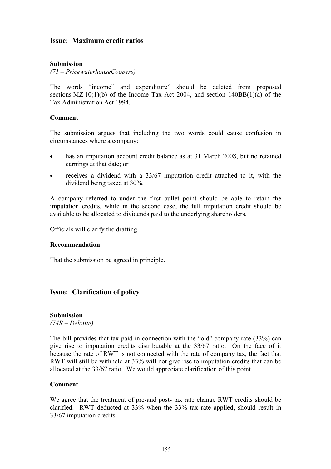## **Issue: Maximum credit ratios**

#### **Submission**

*(71 – PricewaterhouseCoopers)* 

The words "income" and expenditure" should be deleted from proposed sections MZ  $10(1)(b)$  of the Income Tax Act 2004, and section  $140BB(1)(a)$  of the Tax Administration Act 1994.

#### **Comment**

The submission argues that including the two words could cause confusion in circumstances where a company:

- has an imputation account credit balance as at 31 March 2008, but no retained earnings at that date; or
- receives a dividend with a  $33/67$  imputation credit attached to it, with the dividend being taxed at 30%.

A company referred to under the first bullet point should be able to retain the imputation credits, while in the second case, the full imputation credit should be available to be allocated to dividends paid to the underlying shareholders.

Officials will clarify the drafting.

#### **Recommendation**

That the submission be agreed in principle.

## **Issue: Clarification of policy**

#### **Submission**

*(74R – Deloitte)* 

The bill provides that tax paid in connection with the "old" company rate (33%) can give rise to imputation credits distributable at the 33/67 ratio. On the face of it because the rate of RWT is not connected with the rate of company tax, the fact that RWT will still be withheld at 33% will not give rise to imputation credits that can be allocated at the 33/67 ratio. We would appreciate clarification of this point.

#### **Comment**

We agree that the treatment of pre-and post- tax rate change RWT credits should be clarified. RWT deducted at 33% when the 33% tax rate applied, should result in 33/67 imputation credits.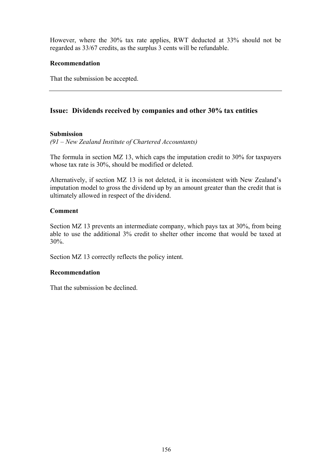However, where the 30% tax rate applies, RWT deducted at 33% should not be regarded as 33/67 credits, as the surplus 3 cents will be refundable.

## **Recommendation**

That the submission be accepted.

# **Issue: Dividends received by companies and other 30% tax entities**

## **Submission**

*(91 – New Zealand Institute of Chartered Accountants)* 

The formula in section MZ 13, which caps the imputation credit to 30% for taxpayers whose tax rate is 30%, should be modified or deleted.

Alternatively, if section MZ 13 is not deleted, it is inconsistent with New Zealand's imputation model to gross the dividend up by an amount greater than the credit that is ultimately allowed in respect of the dividend.

## **Comment**

Section MZ 13 prevents an intermediate company, which pays tax at 30%, from being able to use the additional 3% credit to shelter other income that would be taxed at 30%.

Section MZ 13 correctly reflects the policy intent.

## **Recommendation**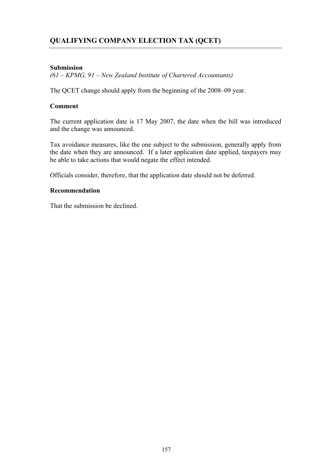# **QUALIFYING COMPANY ELECTION TAX (QCET)**

## **Submission**

*(61 – KPMG, 91 – New Zealand Institute of Chartered Accountants)* 

The QCET change should apply from the beginning of the 2008–09 year.

## **Comment**

The current application date is 17 May 2007, the date when the bill was introduced and the change was announced.

Tax avoidance measures, like the one subject to the submission, generally apply from the date when they are announced. If a later application date applied, taxpayers may be able to take actions that would negate the effect intended.

Officials consider, therefore, that the application date should not be deferred.

## **Recommendation**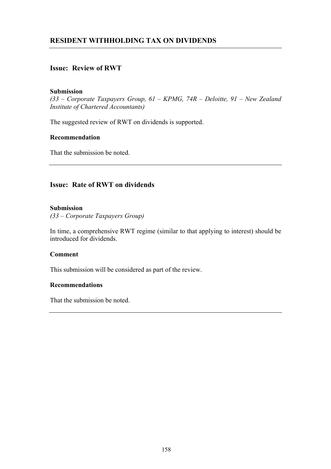# **RESIDENT WITHHOLDING TAX ON DIVIDENDS**

# **Issue: Review of RWT**

#### **Submission**

*(33 – Corporate Taxpayers Group, 61 – KPMG, 74R – Deloitte, 91 – New Zealand Institute of Chartered Accountants)* 

The suggested review of RWT on dividends is supported.

## **Recommendation**

That the submission be noted.

## **Issue: Rate of RWT on dividends**

#### **Submission**

*(33 – Corporate Taxpayers Group)* 

In time, a comprehensive RWT regime (similar to that applying to interest) should be introduced for dividends.

#### **Comment**

This submission will be considered as part of the review.

#### **Recommendations**

That the submission be noted.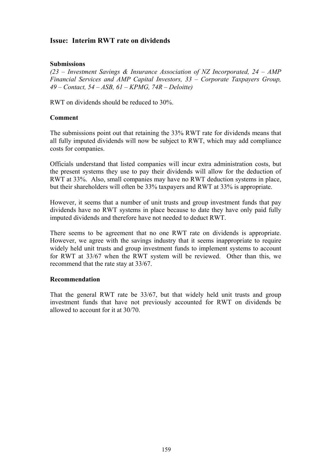# **Issue: Interim RWT rate on dividends**

## **Submissions**

*(23 – Investment Savings & Insurance Association of NZ Incorporated, 24 – AMP Financial Services and AMP Capital Investors, 33 – Corporate Taxpayers Group, 49 – Contact, 54 – ASB, 61 – KPMG, 74R – Deloitte)* 

RWT on dividends should be reduced to 30%.

#### **Comment**

The submissions point out that retaining the 33% RWT rate for dividends means that all fully imputed dividends will now be subject to RWT, which may add compliance costs for companies.

Officials understand that listed companies will incur extra administration costs, but the present systems they use to pay their dividends will allow for the deduction of RWT at 33%. Also, small companies may have no RWT deduction systems in place, but their shareholders will often be 33% taxpayers and RWT at 33% is appropriate.

However, it seems that a number of unit trusts and group investment funds that pay dividends have no RWT systems in place because to date they have only paid fully imputed dividends and therefore have not needed to deduct RWT.

There seems to be agreement that no one RWT rate on dividends is appropriate. However, we agree with the savings industry that it seems inappropriate to require widely held unit trusts and group investment funds to implement systems to account for RWT at 33/67 when the RWT system will be reviewed. Other than this, we recommend that the rate stay at 33/67.

#### **Recommendation**

That the general RWT rate be 33/67, but that widely held unit trusts and group investment funds that have not previously accounted for RWT on dividends be allowed to account for it at 30/70.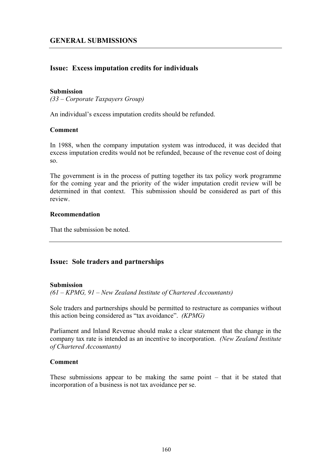# **Issue: Excess imputation credits for individuals**

#### **Submission**

*(33 – Corporate Taxpayers Group)* 

An individual's excess imputation credits should be refunded.

#### **Comment**

In 1988, when the company imputation system was introduced, it was decided that excess imputation credits would not be refunded, because of the revenue cost of doing so.

The government is in the process of putting together its tax policy work programme for the coming year and the priority of the wider imputation credit review will be determined in that context. This submission should be considered as part of this review.

#### **Recommendation**

That the submission be noted.

## **Issue: Sole traders and partnerships**

#### **Submission**

*(61 – KPMG, 91 – New Zealand Institute of Chartered Accountants)* 

Sole traders and partnerships should be permitted to restructure as companies without this action being considered as "tax avoidance". *(KPMG)*

Parliament and Inland Revenue should make a clear statement that the change in the company tax rate is intended as an incentive to incorporation. *(New Zealand Institute of Chartered Accountants)*

#### **Comment**

These submissions appear to be making the same point – that it be stated that incorporation of a business is not tax avoidance per se.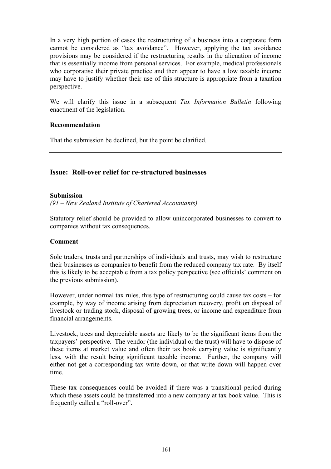In a very high portion of cases the restructuring of a business into a corporate form cannot be considered as "tax avoidance". However, applying the tax avoidance provisions may be considered if the restructuring results in the alienation of income that is essentially income from personal services. For example, medical professionals who corporatise their private practice and then appear to have a low taxable income may have to justify whether their use of this structure is appropriate from a taxation perspective.

We will clarify this issue in a subsequent *Tax Information Bulletin* following enactment of the legislation.

#### **Recommendation**

That the submission be declined, but the point be clarified.

# **Issue: Roll-over relief for re-structured businesses**

#### **Submission**

*(91 – New Zealand Institute of Chartered Accountants)* 

Statutory relief should be provided to allow unincorporated businesses to convert to companies without tax consequences.

#### **Comment**

Sole traders, trusts and partnerships of individuals and trusts, may wish to restructure their businesses as companies to benefit from the reduced company tax rate. By itself this is likely to be acceptable from a tax policy perspective (see officials' comment on the previous submission).

However, under normal tax rules, this type of restructuring could cause tax costs – for example, by way of income arising from depreciation recovery, profit on disposal of livestock or trading stock, disposal of growing trees, or income and expenditure from financial arrangements.

Livestock, trees and depreciable assets are likely to be the significant items from the taxpayers' perspective. The vendor (the individual or the trust) will have to dispose of these items at market value and often their tax book carrying value is significantly less, with the result being significant taxable income. Further, the company will either not get a corresponding tax write down, or that write down will happen over time.

These tax consequences could be avoided if there was a transitional period during which these assets could be transferred into a new company at tax book value. This is frequently called a "roll-over".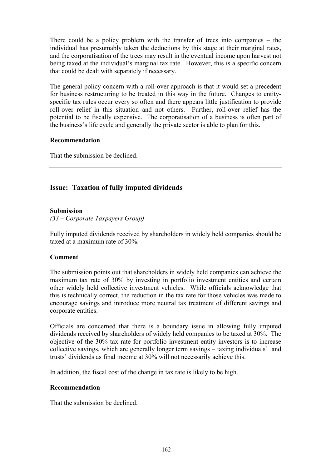There could be a policy problem with the transfer of trees into companies – the individual has presumably taken the deductions by this stage at their marginal rates, and the corporatisation of the trees may result in the eventual income upon harvest not being taxed at the individual's marginal tax rate. However, this is a specific concern that could be dealt with separately if necessary.

The general policy concern with a roll-over approach is that it would set a precedent for business restructuring to be treated in this way in the future. Changes to entityspecific tax rules occur every so often and there appears little justification to provide roll-over relief in this situation and not others. Further, roll-over relief has the potential to be fiscally expensive. The corporatisation of a business is often part of the business's life cycle and generally the private sector is able to plan for this.

#### **Recommendation**

That the submission be declined.

# **Issue: Taxation of fully imputed dividends**

## **Submission**

*(33 – Corporate Taxpayers Group)* 

Fully imputed dividends received by shareholders in widely held companies should be taxed at a maximum rate of 30%.

#### **Comment**

The submission points out that shareholders in widely held companies can achieve the maximum tax rate of 30% by investing in portfolio investment entities and certain other widely held collective investment vehicles. While officials acknowledge that this is technically correct, the reduction in the tax rate for those vehicles was made to encourage savings and introduce more neutral tax treatment of different savings and corporate entities.

Officials are concerned that there is a boundary issue in allowing fully imputed dividends received by shareholders of widely held companies to be taxed at 30%. The objective of the 30% tax rate for portfolio investment entity investors is to increase collective savings, which are generally longer term savings – taxing individuals' and trusts' dividends as final income at 30% will not necessarily achieve this.

In addition, the fiscal cost of the change in tax rate is likely to be high.

#### **Recommendation**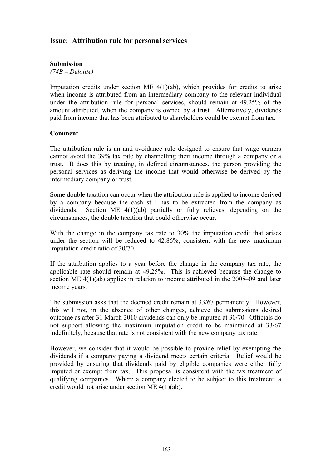# **Issue: Attribution rule for personal services**

## **Submission**

*(74B – Deloitte)* 

Imputation credits under section ME 4(1)(ab), which provides for credits to arise when income is attributed from an intermediary company to the relevant individual under the attribution rule for personal services, should remain at 49.25% of the amount attributed, when the company is owned by a trust. Alternatively, dividends paid from income that has been attributed to shareholders could be exempt from tax.

#### **Comment**

The attribution rule is an anti-avoidance rule designed to ensure that wage earners cannot avoid the 39% tax rate by channelling their income through a company or a trust. It does this by treating, in defined circumstances, the person providing the personal services as deriving the income that would otherwise be derived by the intermediary company or trust.

Some double taxation can occur when the attribution rule is applied to income derived by a company because the cash still has to be extracted from the company as dividends. Section ME 4(1)(ab) partially or fully relieves, depending on the circumstances, the double taxation that could otherwise occur.

With the change in the company tax rate to 30% the imputation credit that arises under the section will be reduced to 42.86%, consistent with the new maximum imputation credit ratio of 30/70.

If the attribution applies to a year before the change in the company tax rate, the applicable rate should remain at 49.25%. This is achieved because the change to section ME 4(1)(ab) applies in relation to income attributed in the 2008–09 and later income years.

The submission asks that the deemed credit remain at 33/67 permanently. However, this will not, in the absence of other changes, achieve the submissions desired outcome as after 31 March 2010 dividends can only be imputed at 30/70. Officials do not support allowing the maximum imputation credit to be maintained at 33/67 indefinitely, because that rate is not consistent with the new company tax rate.

However, we consider that it would be possible to provide relief by exempting the dividends if a company paying a dividend meets certain criteria. Relief would be provided by ensuring that dividends paid by eligible companies were either fully imputed or exempt from tax. This proposal is consistent with the tax treatment of qualifying companies. Where a company elected to be subject to this treatment, a credit would not arise under section ME 4(1)(ab).